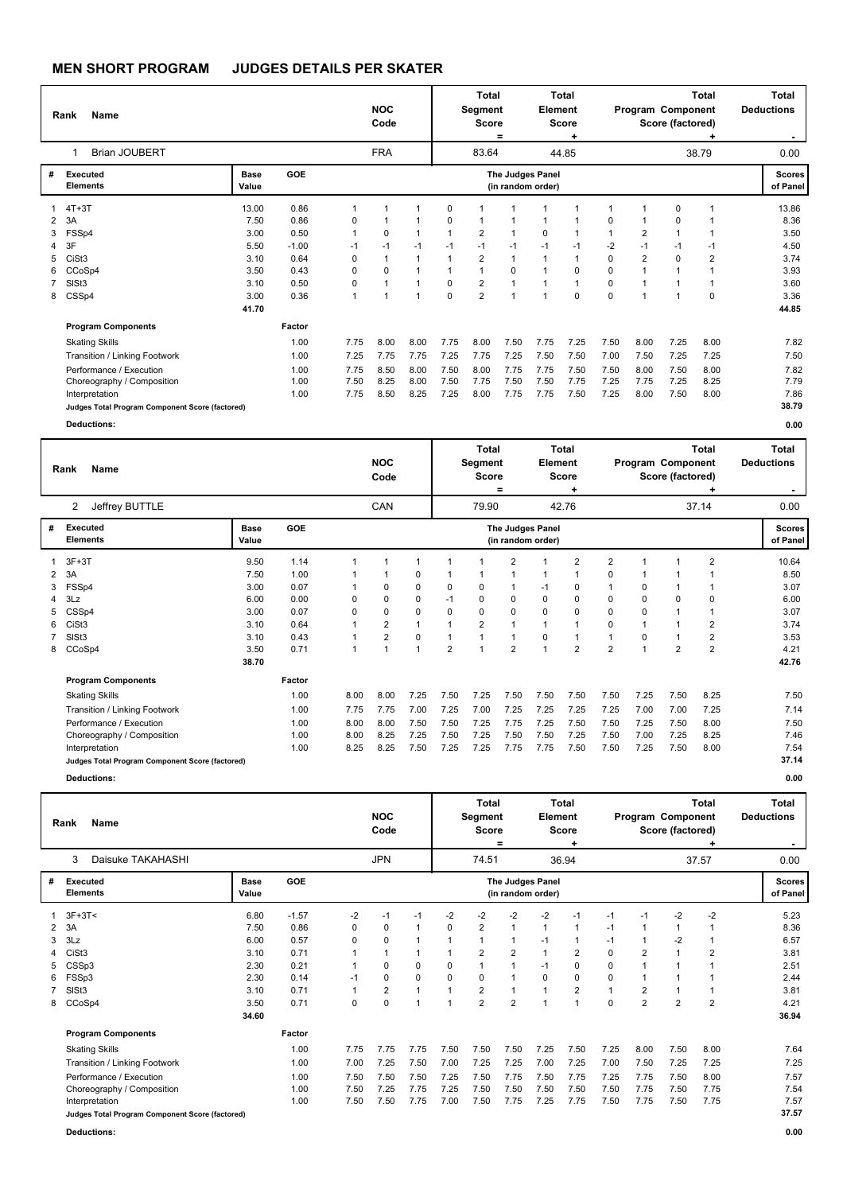|   | <b>Name</b><br>Rank<br>Brian JOUBERT            |               |         |      | <b>NOC</b><br>Code   |                |          | Total<br>Segment<br><b>Score</b> | $=$               | Element          | Total<br><b>Score</b><br>٠ |                |                | Program Component<br>Score (factored) | Total<br>٠     | Total<br><b>Deductions</b> |
|---|-------------------------------------------------|---------------|---------|------|----------------------|----------------|----------|----------------------------------|-------------------|------------------|----------------------------|----------------|----------------|---------------------------------------|----------------|----------------------------|
|   |                                                 |               |         |      | <b>FRA</b>           |                |          | 83.64                            |                   |                  | 44.85                      |                |                |                                       | 38.79          | 0.00                       |
| # | <b>Executed</b><br><b>Elements</b>              | Base<br>Value | GOE     |      |                      |                |          |                                  | (in random order) | The Judges Panel |                            |                |                |                                       |                | <b>Scores</b><br>of Panel  |
|   | $4T+3T$                                         | 13.00         | 0.86    | 1    | 1                    | -1             | 0        |                                  |                   |                  |                            | -1             |                | 0                                     | -1             | 13.86                      |
| 2 | 3A                                              | 7.50          | 0.86    | 0    | 1                    | 1              | 0        |                                  |                   |                  | 1                          | 0              |                | 0                                     |                | 8.36                       |
| 3 | FSSp4                                           | 3.00          | 0.50    | 1    | $\Omega$             | $\mathbf{1}$   |          | $\overline{2}$                   | 1                 | $\mathbf 0$      | 1                          | $\overline{1}$ | $\overline{2}$ | 1                                     | -1             | 3.50                       |
| 4 | 3F                                              | 5.50          | $-1.00$ | $-1$ | $-1$                 | $-1$           | $-1$     | $-1$                             | $-1$              | $-1$             | $-1$                       | -2             | $-1$           | $-1$                                  | $-1$           | 4.50                       |
| 5 | CiSt <sub>3</sub>                               | 3.10          | 0.64    | 0    | 1                    | $\mathbf{1}$   |          | $\overline{2}$                   | $\mathbf{1}$      |                  | 1                          | $\mathbf 0$    | 2              | 0                                     | $\overline{2}$ | 3.74                       |
| 6 | CCoSp4                                          | 3.50          | 0.43    | 0    | 0                    | $\mathbf{1}$   |          |                                  | 0                 |                  | $\Omega$                   | $\Omega$       |                |                                       | 1              | 3.93                       |
|   | SISt <sub>3</sub>                               | 3.10          | 0.50    | 0    | 1                    | $\mathbf{1}$   | 0        | $\overline{2}$                   |                   |                  | $\mathbf{1}$               | 0              |                |                                       | -1             | 3.60                       |
| 8 | CSSp4                                           | 3.00          | 0.36    | 1    | $\blacktriangleleft$ | $\overline{1}$ | $\Omega$ | $\overline{2}$                   | $\overline{ }$    |                  | $\Omega$                   | $\mathbf 0$    |                | 4                                     | $\Omega$       | 3.36                       |
|   |                                                 | 41.70         |         |      |                      |                |          |                                  |                   |                  |                            |                |                |                                       |                | 44.85                      |
|   | <b>Program Components</b>                       |               | Factor  |      |                      |                |          |                                  |                   |                  |                            |                |                |                                       |                |                            |
|   | <b>Skating Skills</b>                           |               | 1.00    | 7.75 | 8.00                 | 8.00           | 7.75     | 8.00                             | 7.50              | 7.75             | 7.25                       | 7.50           | 8.00           | 7.25                                  | 8.00           | 7.82                       |
|   | Transition / Linking Footwork                   |               | 1.00    | 7.25 | 7.75                 | 7.75           | 7.25     | 7.75                             | 7.25              | 7.50             | 7.50                       | 7.00           | 7.50           | 7.25                                  | 7.25           | 7.50                       |
|   | Performance / Execution                         |               | 1.00    | 7.75 | 8.50                 | 8.00           | 7.50     | 8.00                             | 7.75              | 7.75             | 7.50                       | 7.50           | 8.00           | 7.50                                  | 8.00           | 7.82                       |
|   | Choreography / Composition                      |               | 1.00    | 7.50 | 8.25                 | 8.00           | 7.50     | 7.75                             | 7.50              | 7.50             | 7.75                       | 7.25           | 7.75           | 7.25                                  | 8.25           | 7.79                       |
|   | Interpretation                                  |               | 1.00    | 7.75 | 8.50                 | 8.25           | 7.25     | 8.00                             | 7.75              | 7.75             | 7.50                       | 7.25           | 8.00           | 7.50                                  | 8.00           | 7.86                       |
|   | Judges Total Program Component Score (factored) |               |         |      |                      |                |          |                                  |                   |                  |                            |                |                |                                       |                | 38.79                      |
|   | <b>Deductions:</b>                              |               |         |      |                      |                |          |                                  |                   |                  |                            |                |                |                                       |                | 0.00                       |

|                | Name<br>Rank<br>2                               |                      |            |      | <b>NOC</b><br>Code |              |                | Total<br>Segment<br><b>Score</b> | =              | Element                                      | Total<br><b>Score</b> |                | Program Component | Score (factored) | Total                   | <b>Total</b><br><b>Deductions</b> |
|----------------|-------------------------------------------------|----------------------|------------|------|--------------------|--------------|----------------|----------------------------------|----------------|----------------------------------------------|-----------------------|----------------|-------------------|------------------|-------------------------|-----------------------------------|
|                | Jeffrey BUTTLE                                  |                      |            |      | CAN                |              |                | 79.90                            |                |                                              | 42.76                 |                |                   |                  | 37.14                   | 0.00                              |
| #              | <b>Executed</b><br><b>Elements</b>              | <b>Base</b><br>Value | <b>GOE</b> |      |                    |              |                |                                  |                | <b>The Judges Panel</b><br>(in random order) |                       |                |                   |                  |                         | <b>Scores</b><br>of Panel         |
|                | $3F+3T$                                         | 9.50                 | 1.14       | 1    |                    | 1            |                |                                  | $\overline{2}$ |                                              | 2                     | $\overline{2}$ | 1                 |                  | $\overline{\mathbf{c}}$ | 10.64                             |
| $\overline{2}$ | 3A                                              | 7.50                 | 1.00       | 1    |                    | 0            | 1              |                                  | 1              |                                              |                       | 0              | 1                 |                  |                         | 8.50                              |
| 3              | FSSp4                                           | 3.00                 | 0.07       | 1    | 0                  | 0            | 0              | 0                                |                | $-1$                                         | 0                     |                | 0                 |                  |                         | 3.07                              |
|                | 3Lz                                             | 6.00                 | 0.00       | 0    | 0                  | 0            | $-1$           | 0                                | $\Omega$       | $\Omega$                                     | 0                     | 0              | $\Omega$          | 0                | $\Omega$                | 6.00                              |
| 5.             | CSSp4                                           | 3.00                 | 0.07       | 0    | 0                  | 0            | 0              | 0                                | 0              | 0                                            | 0                     | 0              | 0                 | 1                |                         | 3.07                              |
| 6              | CiSt <sub>3</sub>                               | 3.10                 | 0.64       | 1    | $\overline{2}$     | $\mathbf{1}$ | $\overline{1}$ | $\overline{2}$                   | $\overline{1}$ |                                              | 1                     | 0              | 1                 | 1                | 2                       | 3.74                              |
|                | SIS <sub>t3</sub>                               | 3.10                 | 0.43       | 1    | $\overline{2}$     | 0            | 1              |                                  | $\mathbf 1$    | $\Omega$                                     |                       |                | 0                 | 1                | 2                       | 3.53                              |
|                | 8 CCoSp4                                        | 3.50                 | 0.71       | 1    |                    | 1            | $\overline{2}$ |                                  | $\overline{2}$ |                                              | $\overline{2}$        | $\overline{2}$ | 1                 | $\overline{2}$   | $\overline{2}$          | 4.21                              |
|                |                                                 | 38.70                |            |      |                    |              |                |                                  |                |                                              |                       |                |                   |                  |                         | 42.76                             |
|                | <b>Program Components</b>                       |                      | Factor     |      |                    |              |                |                                  |                |                                              |                       |                |                   |                  |                         |                                   |
|                | <b>Skating Skills</b>                           |                      | 1.00       | 8.00 | 8.00               | 7.25         | 7.50           | 7.25                             | 7.50           | 7.50                                         | 7.50                  | 7.50           | 7.25              | 7.50             | 8.25                    | 7.50                              |
|                | Transition / Linking Footwork                   |                      | 1.00       | 7.75 | 7.75               | 7.00         | 7.25           | 7.00                             | 7.25           | 7.25                                         | 7.25                  | 7.25           | 7.00              | 7.00             | 7.25                    | 7.14                              |
|                | Performance / Execution                         |                      | 1.00       | 8.00 | 8.00               | 7.50         | 7.50           | 7.25                             | 7.75           | 7.25                                         | 7.50                  | 7.50           | 7.25              | 7.50             | 8.00                    | 7.50                              |
|                | Choreography / Composition                      |                      | 1.00       | 8.00 | 8.25               | 7.25         | 7.50           | 7.25                             | 7.50           | 7.50                                         | 7.25                  | 7.50           | 7.00              | 7.25             | 8.25                    | 7.46                              |
|                | Interpretation                                  |                      | 1.00       | 8.25 | 8.25               | 7.50         | 7.25           | 7.25                             | 7.75           | 7.75                                         | 7.50                  | 7.50           | 7.25              | 7.50             | 8.00                    | 7.54                              |
|                | Judges Total Program Component Score (factored) |                      |            |      |                    |              |                |                                  |                |                                              |                       |                |                   |                  |                         | 37.14                             |
|                | <b>Deductions:</b>                              |                      |            |      |                    |              |                |                                  |                |                                              |                       |                |                   |                  |                         | 0.00                              |

|   | <b>Name</b><br>Rank<br>Daisuke TAKAHASHI<br>3   |                      |            |      | <b>NOC</b><br>Code      |                |          | <b>Total</b><br>Segment<br><b>Score</b> | =              | Element                               | <b>Total</b><br><b>Score</b><br>+ |             |                | Program Component<br>Score (factored) | <b>Total</b>   | Total<br><b>Deductions</b> |
|---|-------------------------------------------------|----------------------|------------|------|-------------------------|----------------|----------|-----------------------------------------|----------------|---------------------------------------|-----------------------------------|-------------|----------------|---------------------------------------|----------------|----------------------------|
|   |                                                 |                      |            |      | <b>JPN</b>              |                |          | 74.51                                   |                |                                       | 36.94                             |             |                |                                       | 37.57          | 0.00                       |
| # | Executed<br><b>Elements</b>                     | <b>Base</b><br>Value | <b>GOE</b> |      |                         |                |          |                                         |                | The Judges Panel<br>(in random order) |                                   |             |                |                                       |                | <b>Scores</b><br>of Panel  |
|   | $3F+3T<$                                        | 6.80                 | $-1.57$    | $-2$ | $-1$                    | $-1$           | $-2$     | $-2$                                    | $-2$           | $-2$                                  | $-1$                              | $-1$        | $-1$           | $-2$                                  | $-2$           | 5.23                       |
| 2 | 3A                                              | 7.50                 | 0.86       | 0    | 0                       | $\overline{1}$ | $\Omega$ | $\overline{2}$                          | 1              | 1                                     | 1                                 | $-1$        |                | 1                                     |                | 8.36                       |
| 3 | 3Lz                                             | 6.00                 | 0.57       | 0    | 0                       |                |          |                                         |                | $-1$                                  | 1                                 | $-1$        |                | $-2$                                  | 1              | 6.57                       |
|   | CiSt <sub>3</sub>                               | 3.10                 | 0.71       |      |                         |                |          | $\overline{2}$                          | $\overline{2}$ |                                       | $\overline{2}$                    | $\Omega$    | 2              | 1                                     | $\overline{2}$ | 3.81                       |
|   | CSSp3                                           | 2.30                 | 0.21       |      | 0                       | 0              | 0        |                                         |                | $-1$                                  | 0                                 | 0           |                |                                       |                | 2.51                       |
| 6 | FSSp3                                           | 2.30                 | 0.14       | $-1$ | 0                       | $\mathbf 0$    | $\Omega$ | $\Omega$                                |                | $\Omega$                              | $\mathbf 0$                       | $\Omega$    |                |                                       |                | 2.44                       |
|   | SISt <sub>3</sub>                               | 3.10                 | 0.71       | 1    | $\overline{\mathbf{c}}$ | $\overline{1}$ |          | $\overline{2}$                          |                |                                       | 2                                 |             | 2              | 1                                     |                | 3.81                       |
| 8 | CCoSp4                                          | 3.50                 | 0.71       | 0    | 0                       |                |          | $\overline{2}$                          | $\overline{2}$ |                                       | 1                                 | $\mathbf 0$ | $\overline{2}$ | $\overline{2}$                        | $\overline{2}$ | 4.21                       |
|   |                                                 | 34.60                |            |      |                         |                |          |                                         |                |                                       |                                   |             |                |                                       |                | 36.94                      |
|   | <b>Program Components</b>                       |                      | Factor     |      |                         |                |          |                                         |                |                                       |                                   |             |                |                                       |                |                            |
|   | <b>Skating Skills</b>                           |                      | 1.00       | 7.75 | 7.75                    | 7.75           | 7.50     | 7.50                                    | 7.50           | 7.25                                  | 7.50                              | 7.25        | 8.00           | 7.50                                  | 8.00           | 7.64                       |
|   | Transition / Linking Footwork                   |                      | 1.00       | 7.00 | 7.25                    | 7.50           | 7.00     | 7.25                                    | 7.25           | 7.00                                  | 7.25                              | 7.00        | 7.50           | 7.25                                  | 7.25           | 7.25                       |
|   | Performance / Execution                         |                      | 1.00       | 7.50 | 7.50                    | 7.50           | 7.25     | 7.50                                    | 7.75           | 7.50                                  | 7.75                              | 7.25        | 7.75           | 7.50                                  | 8.00           | 7.57                       |
|   | Choreography / Composition                      |                      | 1.00       | 7.50 | 7.25                    | 7.75           | 7.25     | 7.50                                    | 7.50           | 7.50                                  | 7.50                              | 7.50        | 7.75           | 7.50                                  | 7.75           | 7.54                       |
|   | Interpretation                                  |                      | 1.00       | 7.50 | 7.50                    | 7.75           | 7.00     | 7.50                                    | 7.75           | 7.25                                  | 7.75                              | 7.50        | 7.75           | 7.50                                  | 7.75           | 7.57                       |
|   | Judges Total Program Component Score (factored) |                      |            |      |                         |                |          |                                         |                |                                       |                                   |             |                |                                       |                | 37.57                      |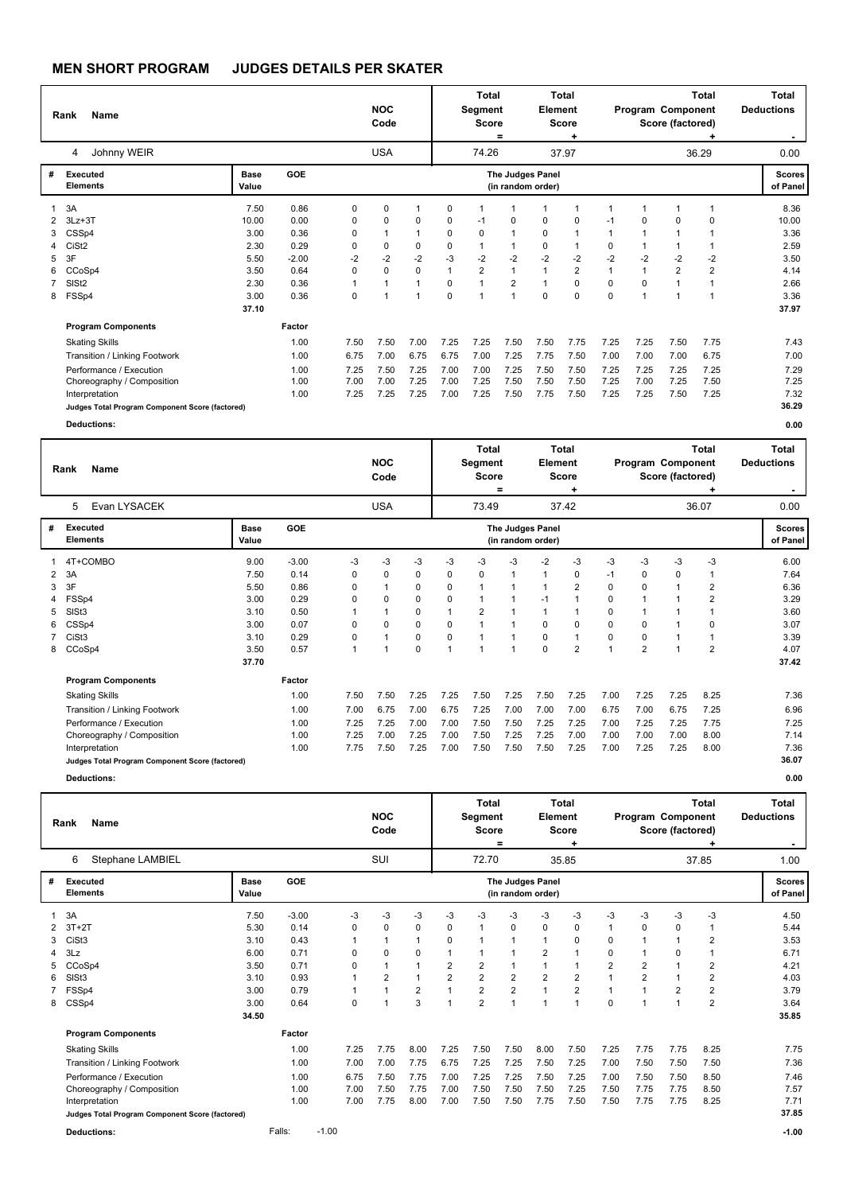|   | <b>Name</b><br>Rank<br>Johnny WEIR<br>4         |                      |         |      | <b>NOC</b><br>Code |                |      | <b>Total</b><br>Segment<br><b>Score</b> | $\equiv$                                     | Element     | Total<br><b>Score</b><br>٠ |                         | Program Component | Score (factored) | <b>Total</b>   | Total<br><b>Deductions</b> |
|---|-------------------------------------------------|----------------------|---------|------|--------------------|----------------|------|-----------------------------------------|----------------------------------------------|-------------|----------------------------|-------------------------|-------------------|------------------|----------------|----------------------------|
|   |                                                 |                      |         |      | <b>USA</b>         |                |      | 74.26                                   |                                              |             | 37.97                      |                         |                   |                  | 36.29          | 0.00                       |
| # | <b>Executed</b><br><b>Elements</b>              | <b>Base</b><br>Value | GOE     |      |                    |                |      |                                         | <b>The Judges Panel</b><br>(in random order) |             |                            |                         |                   |                  |                | <b>Scores</b><br>of Panel  |
|   | 3A                                              | 7.50                 | 0.86    | 0    | 0                  | -1             | 0    |                                         |                                              |             | 1                          | $\overline{\mathbf{1}}$ |                   | 1                | -1             | 8.36                       |
|   | $3Lz + 3T$                                      | 10.00                | 0.00    | 0    | 0                  | $\mathbf 0$    | 0    | $-1$                                    | 0                                            | $\mathbf 0$ | 0                          | $-1$                    | 0                 | 0                | 0              | 10.00                      |
| 3 | CSSp4                                           | 3.00                 | 0.36    | 0    | 1                  | $\mathbf{1}$   | 0    | $\Omega$                                | $\overline{1}$                               | 0           | 1                          | $\mathbf 1$             |                   |                  | -1             | 3.36                       |
| 4 | CiSt <sub>2</sub>                               | 2.30                 | 0.29    | 0    | 0                  | 0              | 0    |                                         |                                              | $\mathbf 0$ | 1                          | 0                       |                   |                  |                | 2.59                       |
| 5 | 3F                                              | 5.50                 | $-2.00$ | $-2$ | $-2$               | $-2$           | $-3$ | $-2$                                    | $-2$                                         | $-2$        | $-2$                       | $-2$                    | $-2$              | $-2$             | $-2$           | 3.50                       |
| 6 | CCoSp4                                          | 3.50                 | 0.64    | 0    | 0                  | $\mathbf 0$    |      | 2                                       | $\mathbf 1$                                  |             | $\overline{2}$             | $\blacktriangleleft$    | 1                 | $\overline{2}$   | $\overline{2}$ | 4.14                       |
|   | SISt <sub>2</sub>                               | 2.30                 | 0.36    | 1    | 1                  | $\mathbf{1}$   | 0    |                                         | $\overline{2}$                               |             | 0                          | 0                       | 0                 | 1                | $\overline{1}$ | 2.66                       |
|   | 8 FSSp4                                         | 3.00                 | 0.36    | 0    | 1                  | $\overline{1}$ | 0    |                                         | $\overline{ }$                               | $\Omega$    | $\Omega$                   | 0                       | 1                 | 1                | 1              | 3.36                       |
|   |                                                 | 37.10                |         |      |                    |                |      |                                         |                                              |             |                            |                         |                   |                  |                | 37.97                      |
|   | <b>Program Components</b>                       |                      | Factor  |      |                    |                |      |                                         |                                              |             |                            |                         |                   |                  |                |                            |
|   | <b>Skating Skills</b>                           |                      | 1.00    | 7.50 | 7.50               | 7.00           | 7.25 | 7.25                                    | 7.50                                         | 7.50        | 7.75                       | 7.25                    | 7.25              | 7.50             | 7.75           | 7.43                       |
|   | Transition / Linking Footwork                   |                      | 1.00    | 6.75 | 7.00               | 6.75           | 6.75 | 7.00                                    | 7.25                                         | 7.75        | 7.50                       | 7.00                    | 7.00              | 7.00             | 6.75           | 7.00                       |
|   | Performance / Execution                         |                      | 1.00    | 7.25 | 7.50               | 7.25           | 7.00 | 7.00                                    | 7.25                                         | 7.50        | 7.50                       | 7.25                    | 7.25              | 7.25             | 7.25           | 7.29                       |
|   | Choreography / Composition                      |                      | 1.00    | 7.00 | 7.00               | 7.25           | 7.00 | 7.25                                    | 7.50                                         | 7.50        | 7.50                       | 7.25                    | 7.00              | 7.25             | 7.50           | 7.25                       |
|   | Interpretation                                  |                      | 1.00    | 7.25 | 7.25               | 7.25           | 7.00 | 7.25                                    | 7.50                                         | 7.75        | 7.50                       | 7.25                    | 7.25              | 7.50             | 7.25           | 7.32                       |
|   | Judges Total Program Component Score (factored) |                      |         |      |                    |                |      |                                         |                                              |             |                            |                         |                   |                  |                | 36.29                      |
|   | <b>Deductions:</b>                              |                      |         |      |                    |                |      |                                         |                                              |             |                            |                         |                   |                  |                | 0.00                       |

|    | <b>Name</b><br>Rank                             |                      |            |      | <b>NOC</b><br>Code |             |              | Total<br>Segment<br>Score | $=$  | Element                               | Total<br><b>Score</b> |      | Program Component | Score (factored) | Total          | Total<br><b>Deductions</b> |
|----|-------------------------------------------------|----------------------|------------|------|--------------------|-------------|--------------|---------------------------|------|---------------------------------------|-----------------------|------|-------------------|------------------|----------------|----------------------------|
|    | Evan LYSACEK<br>5                               |                      |            |      | <b>USA</b>         |             |              | 73.49                     |      |                                       | 37.42                 |      |                   |                  | 36.07          | 0.00                       |
| #  | <b>Executed</b><br><b>Elements</b>              | <b>Base</b><br>Value | <b>GOE</b> |      |                    |             |              |                           |      | The Judges Panel<br>(in random order) |                       |      |                   |                  |                | <b>Scores</b><br>of Panel  |
|    | 4T+COMBO                                        | 9.00                 | $-3.00$    | $-3$ | -3                 | -3          | -3           | -3                        | -3   | $-2$                                  | -3                    | $-3$ | -3                | -3               | -3             | 6.00                       |
| 2  | 3A                                              | 7.50                 | 0.14       | 0    | 0                  | 0           | 0            | $\mathbf 0$               | 1    |                                       | 0                     | $-1$ | 0                 | 0                |                | 7.64                       |
| 3  | 3F                                              | 5.50                 | 0.86       | 0    |                    | 0           | 0            |                           |      |                                       | 2                     | 0    | 0                 |                  | 2              | 6.36                       |
|    | 4 FSSp4                                         | 3.00                 | 0.29       | 0    | n                  | 0           | $\Omega$     |                           | 1    | $-1$                                  | 1                     | 0    | 1                 | 1                | $\overline{2}$ | 3.29                       |
| 5. | SISt <sub>3</sub>                               | 3.10                 | 0.50       | 1    |                    | 0           | $\mathbf 1$  | $\overline{2}$            |      |                                       |                       | 0    | 1                 |                  |                | 3.60                       |
| 6  | CSSp4                                           | 3.00                 | 0.07       | 0    | $\Omega$           | 0           | 0            | $\overline{1}$            | 1    | $\Omega$                              | 0                     | 0    | 0                 |                  | $\mathbf 0$    | 3.07                       |
|    | CiSt3                                           | 3.10                 | 0.29       | 0    |                    | 0           | 0            |                           | 1    | 0                                     | 1                     | 0    | 0                 |                  |                | 3.39                       |
|    | 8 CCoSp4                                        | 3.50                 | 0.57       | 1    |                    | $\mathbf 0$ | $\mathbf{1}$ | $\overline{1}$            | 1    | $\Omega$                              | $\overline{2}$        | 1    | $\overline{2}$    |                  | $\overline{2}$ | 4.07                       |
|    |                                                 | 37.70                |            |      |                    |             |              |                           |      |                                       |                       |      |                   |                  |                | 37.42                      |
|    | <b>Program Components</b>                       |                      | Factor     |      |                    |             |              |                           |      |                                       |                       |      |                   |                  |                |                            |
|    | <b>Skating Skills</b>                           |                      | 1.00       | 7.50 | 7.50               | 7.25        | 7.25         | 7.50                      | 7.25 | 7.50                                  | 7.25                  | 7.00 | 7.25              | 7.25             | 8.25           | 7.36                       |
|    | Transition / Linking Footwork                   |                      | 1.00       | 7.00 | 6.75               | 7.00        | 6.75         | 7.25                      | 7.00 | 7.00                                  | 7.00                  | 6.75 | 7.00              | 6.75             | 7.25           | 6.96                       |
|    | Performance / Execution                         |                      | 1.00       | 7.25 | 7.25               | 7.00        | 7.00         | 7.50                      | 7.50 | 7.25                                  | 7.25                  | 7.00 | 7.25              | 7.25             | 7.75           | 7.25                       |
|    | Choreography / Composition                      |                      | 1.00       | 7.25 | 7.00               | 7.25        | 7.00         | 7.50                      | 7.25 | 7.25                                  | 7.00                  | 7.00 | 7.00              | 7.00             | 8.00           | 7.14                       |
|    | Interpretation                                  |                      | 1.00       | 7.75 | 7.50               | 7.25        | 7.00         | 7.50                      | 7.50 | 7.50                                  | 7.25                  | 7.00 | 7.25              | 7.25             | 8.00           | 7.36                       |
|    | Judges Total Program Component Score (factored) |                      |            |      |                    |             |              |                           |      |                                       |                       |      |                   |                  |                | 36.07                      |

|   | Name<br>Rank                                    |                      |         |         | <b>NOC</b><br>Code |                |                | <b>Total</b><br>Segment<br><b>Score</b> | =              | Element        | <b>Total</b><br>Score                        |                |                | Program Component<br>Score (factored) | <b>Total</b>   | <b>Total</b><br><b>Deductions</b> |                           |
|---|-------------------------------------------------|----------------------|---------|---------|--------------------|----------------|----------------|-----------------------------------------|----------------|----------------|----------------------------------------------|----------------|----------------|---------------------------------------|----------------|-----------------------------------|---------------------------|
|   | Stephane LAMBIEL<br>6                           |                      |         |         |                    | SUI            |                |                                         | 72.70          |                |                                              | 35.85          |                |                                       |                | 37.85                             | 1.00                      |
| # | <b>Executed</b><br><b>Elements</b>              | <b>Base</b><br>Value | GOE     |         |                    |                |                |                                         |                |                | <b>The Judges Panel</b><br>(in random order) |                |                |                                       |                |                                   | <b>Scores</b><br>of Panel |
|   | 3A                                              | 7.50                 | $-3.00$ |         | -3                 | -3             | $-3$           | -3                                      | -3             | -3             | $-3$                                         | -3             | $-3$           | -3                                    | -3             | -3                                | 4.50                      |
|   | $3T+2T$                                         | 5.30                 | 0.14    |         | 0                  | $\mathbf 0$    | 0              | 0                                       | 1              | 0              | $\Omega$                                     | 0              |                | 0                                     | 0              | 1                                 | 5.44                      |
| 3 | CiSt <sub>3</sub>                               | 3.10                 | 0.43    |         | 1                  |                | 1              | 0                                       |                |                |                                              | 0              | $\mathbf 0$    |                                       | 1              | $\overline{2}$                    | 3.53                      |
| 4 | 3Lz                                             | 6.00                 | 0.71    |         | 0                  | $\mathbf 0$    | 0              |                                         |                |                | 2                                            |                | $\mathbf 0$    |                                       | 0              | 1                                 | 6.71                      |
|   | CCoSp4                                          | 3.50                 | 0.71    |         | 0                  |                | 1              | $\overline{2}$                          | 2              | $\overline{1}$ |                                              |                | $\overline{2}$ | 2                                     | 1              | $\overline{2}$                    | 4.21                      |
| 6 | SISt <sub>3</sub>                               | 3.10                 | 0.93    |         | 1                  | $\overline{2}$ | $\overline{1}$ | $\overline{2}$                          | $\overline{2}$ | $\overline{2}$ | $\overline{2}$                               | $\overline{2}$ |                | $\overline{2}$                        | 1              | $\overline{2}$                    | 4.03                      |
|   | FSSp4                                           | 3.00                 | 0.79    |         | 1                  |                | $\overline{2}$ |                                         | $\overline{2}$ | $\overline{2}$ | 1                                            | $\overline{2}$ |                |                                       | $\overline{2}$ | $\overline{\mathbf{c}}$           | 3.79                      |
| 8 | CSSp4                                           | 3.00                 | 0.64    |         | 0                  |                | 3              |                                         | $\overline{2}$ | $\overline{1}$ | 1                                            |                | $\mathbf 0$    |                                       | 1              | $\overline{2}$                    | 3.64                      |
|   |                                                 | 34.50                |         |         |                    |                |                |                                         |                |                |                                              |                |                |                                       |                |                                   | 35.85                     |
|   | <b>Program Components</b>                       |                      | Factor  |         |                    |                |                |                                         |                |                |                                              |                |                |                                       |                |                                   |                           |
|   | <b>Skating Skills</b>                           |                      | 1.00    |         | 7.25               | 7.75           | 8.00           | 7.25                                    | 7.50           | 7.50           | 8.00                                         | 7.50           | 7.25           | 7.75                                  | 7.75           | 8.25                              | 7.75                      |
|   | Transition / Linking Footwork                   |                      | 1.00    |         | 7.00               | 7.00           | 7.75           | 6.75                                    | 7.25           | 7.25           | 7.50                                         | 7.25           | 7.00           | 7.50                                  | 7.50           | 7.50                              | 7.36                      |
|   | Performance / Execution                         |                      | 1.00    |         | 6.75               | 7.50           | 7.75           | 7.00                                    | 7.25           | 7.25           | 7.50                                         | 7.25           | 7.00           | 7.50                                  | 7.50           | 8.50                              | 7.46                      |
|   | Choreography / Composition                      |                      | 1.00    |         | 7.00               | 7.50           | 7.75           | 7.00                                    | 7.50           | 7.50           | 7.50                                         | 7.25           | 7.50           | 7.75                                  | 7.75           | 8.50                              | 7.57                      |
|   | Interpretation                                  |                      | 1.00    |         | 7.00               | 7.75           | 8.00           | 7.00                                    | 7.50           | 7.50           | 7.75                                         | 7.50           | 7.50           | 7.75                                  | 7.75           | 8.25                              | 7.71                      |
|   | Judges Total Program Component Score (factored) |                      |         |         |                    |                |                |                                         |                |                |                                              |                |                |                                       |                |                                   | 37.85                     |
|   | <b>Deductions:</b>                              |                      | Falls:  | $-1.00$ |                    |                |                |                                         |                |                |                                              |                |                |                                       |                |                                   | $-1.00$                   |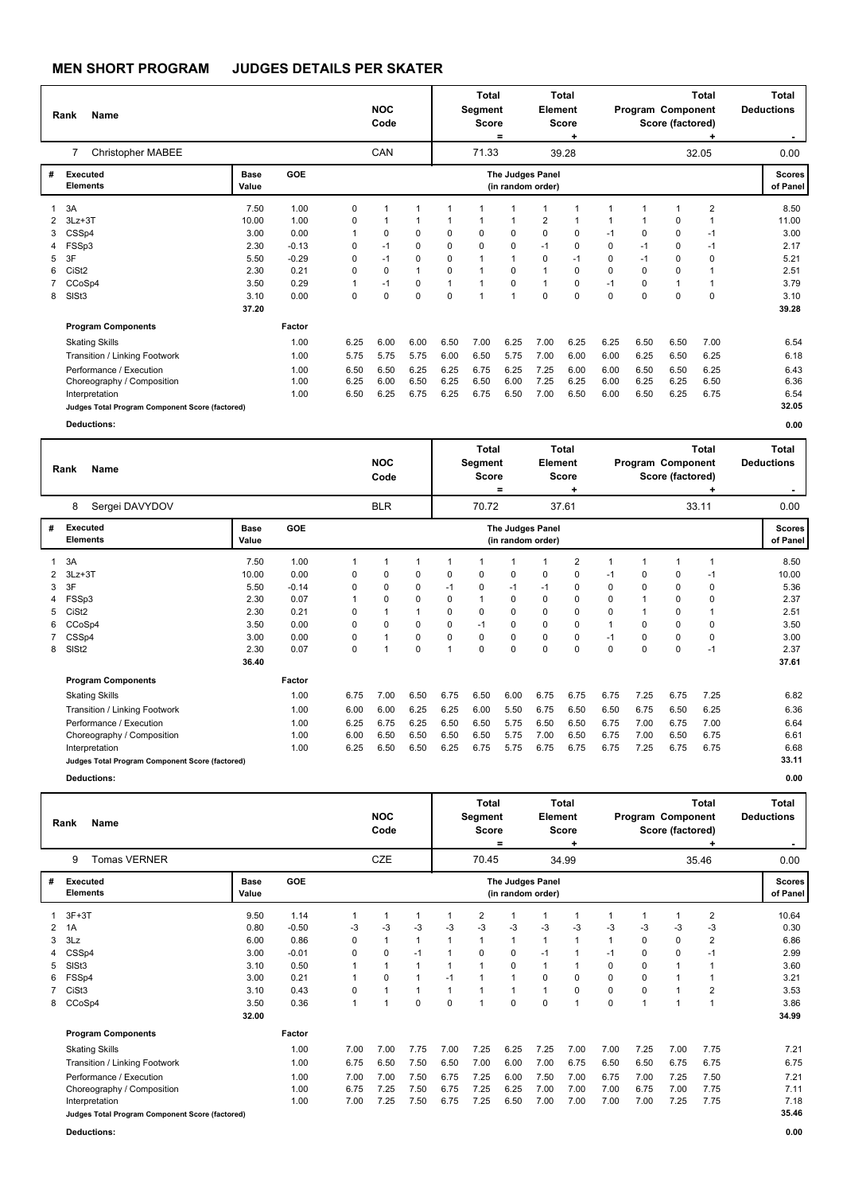|   | Name<br>Rank<br>Christopher MABEE<br>$\overline{7}$ |               |            |              | <b>NOC</b><br>Code |              |             | Total<br>Segment<br><b>Score</b> | $=$                                   | Element  | Total<br><b>Score</b><br>٠ |              | Program Component | Score (factored) | <b>Total</b><br>۰ | <b>Total</b><br><b>Deductions</b> |
|---|-----------------------------------------------------|---------------|------------|--------------|--------------------|--------------|-------------|----------------------------------|---------------------------------------|----------|----------------------------|--------------|-------------------|------------------|-------------------|-----------------------------------|
|   |                                                     |               |            |              | CAN                |              |             | 71.33                            |                                       |          | 39.28                      |              |                   |                  | 32.05             | 0.00                              |
| # | <b>Executed</b><br><b>Elements</b>                  | Base<br>Value | <b>GOE</b> |              |                    |              |             |                                  | The Judges Panel<br>(in random order) |          |                            |              |                   |                  |                   | <b>Scores</b><br>of Panel         |
| 1 | 3A                                                  | 7.50          | 1.00       | 0            | 1                  | $\mathbf 1$  | $\mathbf 1$ |                                  |                                       |          |                            | 1            | 1                 |                  | $\overline{2}$    | 8.50                              |
| 2 | $3Lz + 3T$                                          | 10.00         | 1.00       | 0            | 1                  | 1            | 1           | 1                                | 1                                     | 2        | 1                          | $\mathbf{1}$ | 1                 | 0                | 1                 | 11.00                             |
| 3 | CSSp4                                               | 3.00          | 0.00       | $\mathbf{1}$ | 0                  | $\mathbf 0$  | 0           | $\mathbf 0$                      | $\Omega$                              | 0        | $\Omega$                   | $-1$         | 0                 | 0                | $-1$              | 3.00                              |
| 4 | FSSp3                                               | 2.30          | $-0.13$    | 0            | $-1$               | 0            | 0           | $\mathbf 0$                      | $\Omega$                              | $-1$     | $\Omega$                   | $\Omega$     | $-1$              | $\Omega$         | $-1$              | 2.17                              |
| 5 | 3F                                                  | 5.50          | $-0.29$    | 0            | $-1$               | $\mathbf 0$  | 0           | $\mathbf{1}$                     | $\overline{1}$                        | $\Omega$ | $-1$                       | $\Omega$     | $-1$              | 0                | 0                 | 5.21                              |
| 6 | CiSt <sub>2</sub>                                   | 2.30          | 0.21       | $\Omega$     | 0                  | $\mathbf{1}$ | 0           | $\mathbf{1}$                     | $\Omega$                              |          | $\Omega$                   | $\Omega$     | $\Omega$          | 0                | $\overline{1}$    | 2.51                              |
|   | CCoSp4                                              | 3.50          | 0.29       | 1            | $-1$               | $\mathbf 0$  | 1           | $\mathbf{1}$                     | 0                                     | 1        | 0                          | $-1$         | 0                 |                  |                   | 3.79                              |
| 8 | SISt <sub>3</sub>                                   | 3.10          | 0.00       | $\mathbf 0$  | 0                  | $\mathbf 0$  | 0           | $\mathbf{1}$                     | $\overline{1}$                        | $\Omega$ | 0                          | $\mathbf 0$  | $\mathbf 0$       | $\Omega$         | $\mathbf 0$       | 3.10                              |
|   |                                                     | 37.20         |            |              |                    |              |             |                                  |                                       |          |                            |              |                   |                  |                   | 39.28                             |
|   | <b>Program Components</b>                           |               | Factor     |              |                    |              |             |                                  |                                       |          |                            |              |                   |                  |                   |                                   |
|   | <b>Skating Skills</b>                               |               | 1.00       | 6.25         | 6.00               | 6.00         | 6.50        | 7.00                             | 6.25                                  | 7.00     | 6.25                       | 6.25         | 6.50              | 6.50             | 7.00              | 6.54                              |
|   | Transition / Linking Footwork                       |               | 1.00       | 5.75         | 5.75               | 5.75         | 6.00        | 6.50                             | 5.75                                  | 7.00     | 6.00                       | 6.00         | 6.25              | 6.50             | 6.25              | 6.18                              |
|   | Performance / Execution                             |               | 1.00       | 6.50         | 6.50               | 6.25         | 6.25        | 6.75                             | 6.25                                  | 7.25     | 6.00                       | 6.00         | 6.50              | 6.50             | 6.25              | 6.43                              |
|   | Choreography / Composition                          |               | 1.00       | 6.25         | 6.00               | 6.50         | 6.25        | 6.50                             | 6.00                                  | 7.25     | 6.25                       | 6.00         | 6.25              | 6.25             | 6.50              | 6.36                              |
|   | Interpretation                                      |               | 1.00       | 6.50         | 6.25               | 6.75         | 6.25        | 6.75                             | 6.50                                  | 7.00     | 6.50                       | 6.00         | 6.50              | 6.25             | 6.75              | 6.54                              |
|   | Judges Total Program Component Score (factored)     |               |            |              |                    |              |             |                                  |                                       |          |                            |              |                   |                  |                   | 32.05                             |
|   | <b>Deductions:</b>                                  |               |            |              |                    |              |             |                                  |                                       |          |                            |              |                   |                  |                   | 0.00                              |
|   |                                                     |               |            |              |                    |              |             | <b>Total</b>                     |                                       |          | <b>Total</b>               |              |                   |                  | <b>Total</b>      | <b>Total</b>                      |

|   | <b>Name</b><br>Rank<br>Sergei DAVYDOV<br>8      |               |         |      | <b>NOC</b><br>Code |             |                         | <b>Segment</b><br><b>Score</b> | =        | Element                               | Score    |          |                | Program Component<br>Score (factored) |          | <b>Deductions</b>         |
|---|-------------------------------------------------|---------------|---------|------|--------------------|-------------|-------------------------|--------------------------------|----------|---------------------------------------|----------|----------|----------------|---------------------------------------|----------|---------------------------|
|   |                                                 |               |         |      | <b>BLR</b>         |             |                         | 70.72                          |          |                                       | 37.61    |          |                |                                       | 33.11    | 0.00                      |
| # | <b>Executed</b><br><b>Elements</b>              | Base<br>Value | GOE     |      |                    |             |                         |                                |          | The Judges Panel<br>(in random order) |          |          |                |                                       |          | <b>Scores</b><br>of Panel |
|   | 3A                                              | 7.50          | 1.00    | 1    |                    | 1           |                         |                                |          |                                       | 2        |          |                |                                       | 1        | 8.50                      |
|   | $3Lz + 3T$                                      | 10.00         | 0.00    | 0    | 0                  | 0           | $\mathbf 0$             | 0                              | 0        | 0                                     | 0        | $-1$     | 0              | 0                                     | -1       | 10.00                     |
| 3 | 3F                                              | 5.50          | $-0.14$ | 0    | $\Omega$           | 0           | $-1$                    | 0                              | $-1$     | $-1$                                  | 0        | 0        | 0              | 0                                     | $\Omega$ | 5.36                      |
|   | 4 FSSp3                                         | 2.30          | 0.07    |      | 0                  | 0           | $\Omega$                | -1                             | 0        | 0                                     | 0        | 0        | 1              | 0                                     | 0        | 2.37                      |
| 5 | CiSt <sub>2</sub>                               | 2.30          | 0.21    | 0    |                    | 1           | $\Omega$                | 0                              | 0        | 0                                     | 0        | $\Omega$ | $\overline{1}$ | 0                                     |          | 2.51                      |
| 6 | CCoSp4                                          | 3.50          | 0.00    | 0    | 0                  | 0           | 0                       | $-1$                           | 0        | 0                                     | 0        |          | 0              | 0                                     | 0        | 3.50                      |
|   | CSSp4                                           | 3.00          | 0.00    | 0    |                    | 0           | 0                       | $\mathbf 0$                    | 0        | 0                                     | 0        | $-1$     | 0              | 0                                     | 0        | 3.00                      |
| 8 | SISt <sub>2</sub>                               | 2.30          | 0.07    | 0    |                    | $\mathbf 0$ | $\overline{\mathbf{1}}$ | $\Omega$                       | $\Omega$ | 0                                     | $\Omega$ | $\Omega$ | $\mathbf 0$    | 0                                     | $-1$     | 2.37                      |
|   |                                                 | 36.40         |         |      |                    |             |                         |                                |          |                                       |          |          |                |                                       |          | 37.61                     |
|   | <b>Program Components</b>                       |               | Factor  |      |                    |             |                         |                                |          |                                       |          |          |                |                                       |          |                           |
|   | <b>Skating Skills</b>                           |               | 1.00    | 6.75 | 7.00               | 6.50        | 6.75                    | 6.50                           | 6.00     | 6.75                                  | 6.75     | 6.75     | 7.25           | 6.75                                  | 7.25     | 6.82                      |
|   | Transition / Linking Footwork                   |               | 1.00    | 6.00 | 6.00               | 6.25        | 6.25                    | 6.00                           | 5.50     | 6.75                                  | 6.50     | 6.50     | 6.75           | 6.50                                  | 6.25     | 6.36                      |
|   | Performance / Execution                         |               | 1.00    | 6.25 | 6.75               | 6.25        | 6.50                    | 6.50                           | 5.75     | 6.50                                  | 6.50     | 6.75     | 7.00           | 6.75                                  | 7.00     | 6.64                      |
|   | Choreography / Composition                      |               | 1.00    | 6.00 | 6.50               | 6.50        | 6.50                    | 6.50                           | 5.75     | 7.00                                  | 6.50     | 6.75     | 7.00           | 6.50                                  | 6.75     | 6.61                      |
|   | Interpretation                                  |               | 1.00    | 6.25 | 6.50               | 6.50        | 6.25                    | 6.75                           | 5.75     | 6.75                                  | 6.75     | 6.75     | 7.25           | 6.75                                  | 6.75     | 6.68                      |
|   | Judges Total Program Component Score (factored) |               |         |      |                    |             |                         |                                |          |                                       |          |          |                |                                       |          | 33.11                     |
|   | <b>Deductions:</b>                              |               |         |      |                    |             |                         |                                |          |                                       |          |          |                |                                       |          | 0.00                      |

|   | <b>Name</b><br>Rank<br><b>Tomas VERNER</b><br>9 |                      |         |              | <b>NOC</b><br>Code |                |          | <b>Total</b><br>Segment<br><b>Score</b> | $=$  | Element                               | <b>Total</b><br><b>Score</b><br>٠ |          | Program Component | Score (factored)         | <b>Total</b> | <b>Total</b><br><b>Deductions</b> |
|---|-------------------------------------------------|----------------------|---------|--------------|--------------------|----------------|----------|-----------------------------------------|------|---------------------------------------|-----------------------------------|----------|-------------------|--------------------------|--------------|-----------------------------------|
|   |                                                 |                      |         |              | CZE                |                |          | 70.45                                   |      |                                       | 34.99                             |          |                   |                          | 35.46        | 0.00                              |
| # | Executed<br><b>Elements</b>                     | <b>Base</b><br>Value | GOE     |              |                    |                |          |                                         |      | The Judges Panel<br>(in random order) |                                   |          |                   |                          |              | <b>Scores</b><br>of Panel         |
|   | $3F+3T$                                         | 9.50                 | 1.14    | 1            | 1                  | $\mathbf{1}$   |          | 2                                       |      |                                       | 1                                 | 1        |                   | $\blacktriangleleft$     | 2            | 10.64                             |
| 2 | 1A                                              | 0.80                 | $-0.50$ | -3           | $-3$               | $-3$           | $-3$     | $-3$                                    | $-3$ | $-3$                                  | $-3$                              | $-3$     | -3                | $-3$                     | -3           | 0.30                              |
| 3 | 3Lz                                             | 6.00                 | 0.86    | 0            | 1                  | $\mathbf{1}$   | 1        |                                         |      |                                       | 1                                 | 1        | 0                 | $\pmb{0}$                | 2            | 6.86                              |
|   | CSSp4                                           | 3.00                 | $-0.01$ | 0            | 0                  | $-1$           | 1        | 0                                       | 0    | -1                                    | 1                                 | -1       | 0                 | 0                        | $-1$         | 2.99                              |
| 5 | SISt <sub>3</sub>                               | 3.10                 | 0.50    |              | 1                  | $\mathbf{1}$   |          |                                         | 0    |                                       |                                   | $\Omega$ | $\Omega$          | 1                        |              | 3.60                              |
| 6 | FSSp4                                           | 3.00                 | 0.21    |              | 0                  | $\overline{1}$ | $-1$     |                                         |      | 0                                     | $\Omega$                          | 0        | $\Omega$          | $\overline{\phantom{a}}$ |              | 3.21                              |
|   | CiSt <sub>3</sub>                               | 3.10                 | 0.43    | 0            | 1                  | $\overline{1}$ | 1        |                                         |      |                                       | 0                                 | 0        | 0                 | 1                        | 2            | 3.53                              |
| 8 | CCoSp4                                          | 3.50                 | 0.36    | $\mathbf{1}$ | 1                  | $\mathbf 0$    | $\Omega$ |                                         | 0    | $\Omega$                              | $\overline{1}$                    | 0        |                   |                          | 1            | 3.86                              |
|   |                                                 | 32.00                |         |              |                    |                |          |                                         |      |                                       |                                   |          |                   |                          |              | 34.99                             |
|   | <b>Program Components</b>                       |                      | Factor  |              |                    |                |          |                                         |      |                                       |                                   |          |                   |                          |              |                                   |
|   | <b>Skating Skills</b>                           |                      | 1.00    | 7.00         | 7.00               | 7.75           | 7.00     | 7.25                                    | 6.25 | 7.25                                  | 7.00                              | 7.00     | 7.25              | 7.00                     | 7.75         | 7.21                              |
|   | Transition / Linking Footwork                   |                      | 1.00    | 6.75         | 6.50               | 7.50           | 6.50     | 7.00                                    | 6.00 | 7.00                                  | 6.75                              | 6.50     | 6.50              | 6.75                     | 6.75         | 6.75                              |
|   | Performance / Execution                         |                      | 1.00    | 7.00         | 7.00               | 7.50           | 6.75     | 7.25                                    | 6.00 | 7.50                                  | 7.00                              | 6.75     | 7.00              | 7.25                     | 7.50         | 7.21                              |
|   | Choreography / Composition                      |                      | 1.00    | 6.75         | 7.25               | 7.50           | 6.75     | 7.25                                    | 6.25 | 7.00                                  | 7.00                              | 7.00     | 6.75              | 7.00                     | 7.75         | 7.11                              |
|   | Interpretation                                  |                      | 1.00    | 7.00         | 7.25               | 7.50           | 6.75     | 7.25                                    | 6.50 | 7.00                                  | 7.00                              | 7.00     | 7.00              | 7.25                     | 7.75         | 7.18                              |
|   | Judges Total Program Component Score (factored) |                      |         |              |                    |                |          |                                         |      |                                       |                                   |          |                   |                          |              | 35.46                             |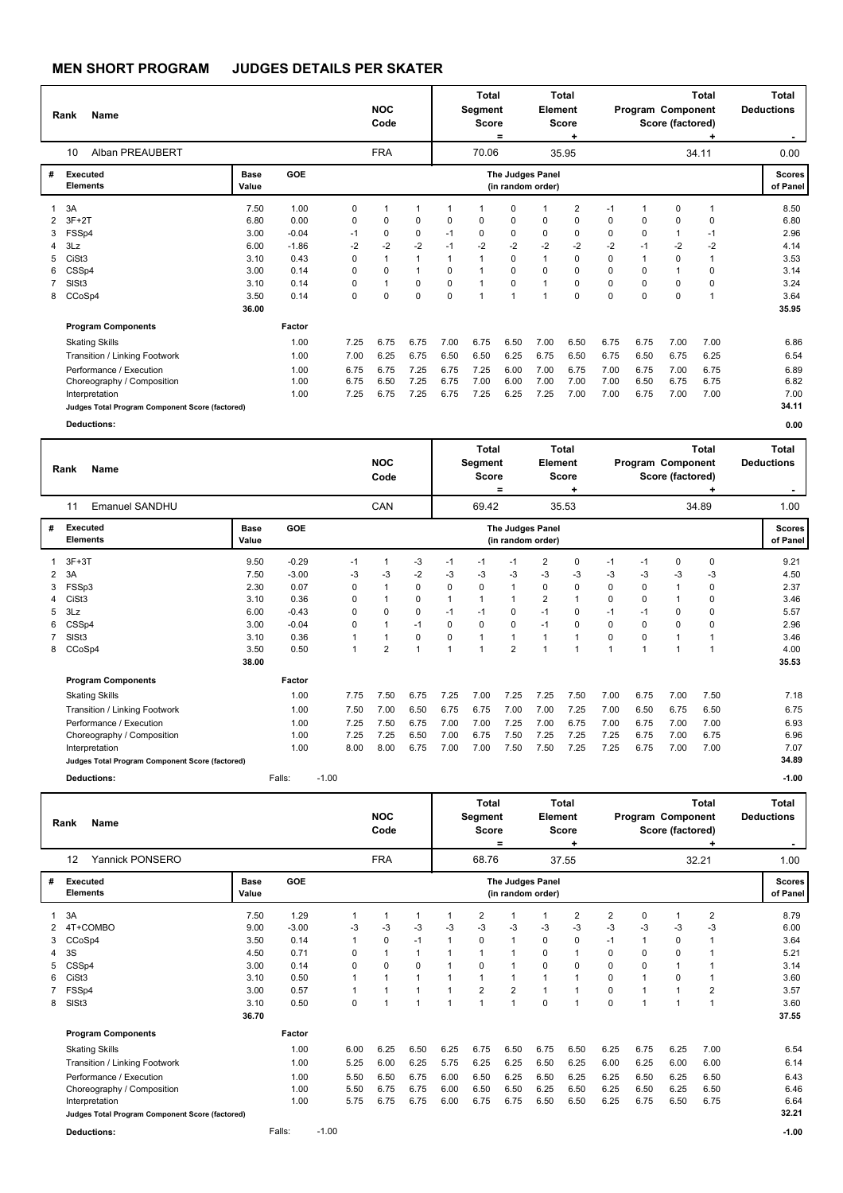|                                 | Name<br>Rank<br>Alban PREAUBERT<br>10                                                                                                                                                |                                                                       |                                                                    |                                            | <b>NOC</b><br>Code                   |                                                   |                                                                 | <b>Total</b><br>Segment<br><b>Score</b> | $=$                                     | Element                               | Total<br><b>Score</b><br>٠                                                             |                                            | Program Component                                                     | Score (factored)                                                                              | <b>Total</b>                               | Total<br><b>Deductions</b><br>. .                                     |
|---------------------------------|--------------------------------------------------------------------------------------------------------------------------------------------------------------------------------------|-----------------------------------------------------------------------|--------------------------------------------------------------------|--------------------------------------------|--------------------------------------|---------------------------------------------------|-----------------------------------------------------------------|-----------------------------------------|-----------------------------------------|---------------------------------------|----------------------------------------------------------------------------------------|--------------------------------------------|-----------------------------------------------------------------------|-----------------------------------------------------------------------------------------------|--------------------------------------------|-----------------------------------------------------------------------|
|                                 |                                                                                                                                                                                      |                                                                       |                                                                    |                                            | <b>FRA</b>                           |                                                   |                                                                 | 70.06                                   |                                         |                                       | 35.95                                                                                  |                                            |                                                                       |                                                                                               | 34.11                                      | 0.00                                                                  |
| #                               | <b>Executed</b><br><b>Elements</b>                                                                                                                                                   | Base<br>Value                                                         | GOE                                                                |                                            |                                      |                                                   |                                                                 |                                         |                                         | The Judges Panel<br>(in random order) |                                                                                        |                                            |                                                                       |                                                                                               |                                            | <b>Scores</b><br>of Panel                                             |
| 1<br>2<br>3<br>4<br>5<br>6<br>8 | 3A<br>$3F+2T$<br>FSSp4<br>3Lz<br>CiSt <sub>3</sub><br>CSSp4<br>SIS <sub>t3</sub><br>CCoSp4                                                                                           | 7.50<br>6.80<br>3.00<br>6.00<br>3.10<br>3.00<br>3.10<br>3.50<br>36.00 | 1.00<br>0.00<br>$-0.04$<br>$-1.86$<br>0.43<br>0.14<br>0.14<br>0.14 | 0<br>0<br>$-1$<br>$-2$<br>0<br>0<br>0<br>0 | 4<br>0<br>0<br>$-2$<br>0<br>1<br>0   | 1<br>0<br>0<br>$-2$<br>1<br>1<br>0<br>$\mathbf 0$ | 1<br>$\Omega$<br>$-1$<br>$-1$<br>1<br>$\Omega$<br>0<br>$\Omega$ | $\Omega$<br>$\Omega$<br>$-2$            | 0<br>0<br>0<br>$-2$<br>0<br>0<br>0<br>4 | 0<br>0<br>$-2$<br>1<br>0              | 2<br>0<br>$\mathbf 0$<br>$-2$<br>$\mathbf 0$<br>$\Omega$<br>$\mathbf 0$<br>$\mathbf 0$ | $-1$<br>0<br>0<br>$-2$<br>0<br>0<br>0<br>0 | $\Omega$<br>$\Omega$<br>$-1$<br>1<br>$\Omega$<br>$\Omega$<br>$\Omega$ | 0<br>$\mathbf 0$<br>$\mathbf{1}$<br>$-2$<br>$\mathbf 0$<br>$\overline{1}$<br>0<br>$\mathbf 0$ | 1<br>0<br>$-1$<br>$-2$<br>1<br>0<br>0<br>1 | 8.50<br>6.80<br>2.96<br>4.14<br>3.53<br>3.14<br>3.24<br>3.64<br>35.95 |
|                                 | <b>Program Components</b>                                                                                                                                                            |                                                                       | Factor                                                             |                                            |                                      |                                                   |                                                                 |                                         |                                         |                                       |                                                                                        |                                            |                                                                       |                                                                                               |                                            |                                                                       |
|                                 | <b>Skating Skills</b><br>Transition / Linking Footwork<br>Performance / Execution<br>Choreography / Composition<br>Interpretation<br>Judges Total Program Component Score (factored) |                                                                       | 1.00<br>1.00<br>1.00<br>1.00<br>1.00                               | 7.25<br>7.00<br>6.75<br>6.75<br>7.25       | 6.75<br>6.25<br>6.75<br>6.50<br>6.75 | 6.75<br>6.75<br>7.25<br>7.25<br>7.25              | 7.00<br>6.50<br>6.75<br>6.75<br>6.75                            | 6.75<br>6.50<br>7.25<br>7.00<br>7.25    | 6.50<br>6.25<br>6.00<br>6.00<br>6.25    | 7.00<br>6.75<br>7.00<br>7.00<br>7.25  | 6.50<br>6.50<br>6.75<br>7.00<br>7.00                                                   | 6.75<br>6.75<br>7.00<br>7.00<br>7.00       | 6.75<br>6.50<br>6.75<br>6.50<br>6.75                                  | 7.00<br>6.75<br>7.00<br>6.75<br>7.00                                                          | 7.00<br>6.25<br>6.75<br>6.75<br>7.00       | 6.86<br>6.54<br>6.89<br>6.82<br>7.00<br>34.11                         |
|                                 | <b>Deductions:</b>                                                                                                                                                                   |                                                                       |                                                                    |                                            |                                      |                                                   |                                                                 |                                         |                                         |                                       |                                                                                        |                                            |                                                                       |                                                                                               |                                            | 0.00                                                                  |

|                | Name<br>Rank                                    |                      |         |         |      | <b>NOC</b><br>Code |             |                | Total<br>Segment<br><b>Score</b> | ٠              | Element                               | Total<br><b>Score</b><br>٠ |      | Program Component | Score (factored) | Total<br>٠ | Total<br><b>Deductions</b><br>۰. |
|----------------|-------------------------------------------------|----------------------|---------|---------|------|--------------------|-------------|----------------|----------------------------------|----------------|---------------------------------------|----------------------------|------|-------------------|------------------|------------|----------------------------------|
|                | Emanuel SANDHU<br>11                            |                      |         |         |      | CAN                |             |                | 69.42                            |                |                                       | 35.53                      |      |                   |                  | 34.89      | 1.00                             |
| #              | Executed<br><b>Elements</b>                     | <b>Base</b><br>Value | GOE     |         |      |                    |             |                |                                  |                | The Judges Panel<br>(in random order) |                            |      |                   |                  |            | <b>Scores</b><br>of Panel        |
|                | $3F+3T$                                         | 9.50                 | $-0.29$ |         | $-1$ |                    | $-3$        | $-1$           | $-1$                             | -1             | 2                                     | 0                          | $-1$ | $-1$              | 0                | 0          | 9.21                             |
| $\overline{2}$ | 3A                                              | 7.50                 | $-3.00$ |         | -3   | $-3$               | $-2$        | $-3$           | $-3$                             | $-3$           | $-3$                                  | $-3$                       | $-3$ | $-3$              | $-3$             | -3         | 4.50                             |
|                | FSSp3                                           | 2.30                 | 0.07    |         | 0    | 1                  | $\mathbf 0$ | $\mathbf 0$    | $\mathbf 0$                      |                | 0                                     | 0                          | 0    | $\mathbf 0$       |                  | 0          | 2.37                             |
| 4              | CiSt <sub>3</sub>                               | 3.10                 | 0.36    |         | 0    |                    | 0           | $\mathbf{1}$   | 1                                |                | $\overline{2}$                        | 1                          | 0    | 0                 | $\mathbf 1$      | $\Omega$   | 3.46                             |
| 5.             | 3Lz                                             | 6.00                 | $-0.43$ |         | 0    | $\Omega$           | 0           | $-1$           | $-1$                             | 0              | $-1$                                  | 0                          | $-1$ | $-1$              | 0                | $\Omega$   | 5.57                             |
| 6              | CSSp4                                           | 3.00                 | $-0.04$ |         | 0    |                    | $-1$        | $\Omega$       | 0                                | 0              | $-1$                                  | 0                          | 0    | $\Omega$          | 0                | $\Omega$   | 2.96                             |
|                | SISt <sub>3</sub>                               | 3.10                 | 0.36    |         | 1    |                    | 0           | 0              | $\mathbf{1}$                     |                |                                       |                            | 0    | 0                 |                  |            | 3.46                             |
| 8              | CCoSp4                                          | 3.50                 | 0.50    |         | 1    | $\overline{2}$     | 1           | $\overline{1}$ | $\overline{ }$                   | $\overline{2}$ |                                       |                            |      | 1                 | 1                |            | 4.00                             |
|                |                                                 | 38.00                |         |         |      |                    |             |                |                                  |                |                                       |                            |      |                   |                  |            | 35.53                            |
|                | <b>Program Components</b>                       |                      | Factor  |         |      |                    |             |                |                                  |                |                                       |                            |      |                   |                  |            |                                  |
|                | <b>Skating Skills</b>                           |                      | 1.00    |         | 7.75 | 7.50               | 6.75        | 7.25           | 7.00                             | 7.25           | 7.25                                  | 7.50                       | 7.00 | 6.75              | 7.00             | 7.50       | 7.18                             |
|                | Transition / Linking Footwork                   |                      | 1.00    |         | 7.50 | 7.00               | 6.50        | 6.75           | 6.75                             | 7.00           | 7.00                                  | 7.25                       | 7.00 | 6.50              | 6.75             | 6.50       | 6.75                             |
|                | Performance / Execution                         |                      | 1.00    |         | 7.25 | 7.50               | 6.75        | 7.00           | 7.00                             | 7.25           | 7.00                                  | 6.75                       | 7.00 | 6.75              | 7.00             | 7.00       | 6.93                             |
|                | Choreography / Composition                      |                      | 1.00    |         | 7.25 | 7.25               | 6.50        | 7.00           | 6.75                             | 7.50           | 7.25                                  | 7.25                       | 7.25 | 6.75              | 7.00             | 6.75       | 6.96                             |
|                | Interpretation                                  |                      | 1.00    |         | 8.00 | 8.00               | 6.75        | 7.00           | 7.00                             | 7.50           | 7.50                                  | 7.25                       | 7.25 | 6.75              | 7.00             | 7.00       | 7.07                             |
|                | Judges Total Program Component Score (factored) |                      |         |         |      |                    |             |                |                                  |                |                                       |                            |      |                   |                  |            | 34.89                            |
|                | Deductions:                                     |                      | Falls:  | $-1.00$ |      |                    |             |                |                                  |                |                                       |                            |      |                   |                  |            | $-1.00$                          |

|   | <b>Name</b><br>Rank<br>Yannick PONSERO<br>12    |               |         |         | <b>NOC</b><br>Code |            |              | Total<br>Segment<br><b>Score</b> | $=$            | Element              | Total<br><b>Score</b><br>٠            |                | Program Component | Score (factored) | Total<br>٠     | Total<br><b>Deductions</b><br>۰. |                           |
|---|-------------------------------------------------|---------------|---------|---------|--------------------|------------|--------------|----------------------------------|----------------|----------------------|---------------------------------------|----------------|-------------------|------------------|----------------|----------------------------------|---------------------------|
|   |                                                 |               |         |         |                    | <b>FRA</b> |              |                                  | 68.76          |                      |                                       | 37.55          |                   |                  |                | 32.21                            | 1.00                      |
| # | Executed<br><b>Elements</b>                     | Base<br>Value | GOE     |         |                    |            |              |                                  |                |                      | The Judges Panel<br>(in random order) |                |                   |                  |                |                                  | <b>Scores</b><br>of Panel |
|   | 3A                                              | 7.50          | 1.29    |         |                    | 1          |              |                                  | $\overline{2}$ | 1                    |                                       | $\overline{2}$ | $\overline{2}$    | $\Omega$         |                | $\overline{2}$                   | 8.79                      |
|   | 4T+COMBO                                        | 9.00          | $-3.00$ |         | -3                 | $-3$       | -3           | $-3$                             | $-3$           | $-3$                 | -3                                    | $-3$           | $-3$              | -3               | -3             | $-3$                             | 6.00                      |
| 3 | CCoSp4                                          | 3.50          | 0.14    |         |                    | 0          | $-1$         |                                  | 0              | $\mathbf{1}$         | 0                                     | 0              | $-1$              |                  | 0              | 1                                | 3.64                      |
|   | 3S                                              | 4.50          | 0.71    |         | 0                  |            | $\mathbf 1$  |                                  |                | 1                    | $\Omega$                              | $\mathbf{1}$   | $\Omega$          | 0                | $\Omega$       | 1                                | 5.21                      |
|   | CSSp4                                           | 3.00          | 0.14    |         | 0                  | 0          | $\mathbf 0$  |                                  | 0              | 1                    | $\Omega$                              | 0              | $\mathbf 0$       | $\Omega$         | $\overline{1}$ |                                  | 3.14                      |
| 6 | CiSt <sub>3</sub>                               | 3.10          | 0.50    |         |                    | 1          | $\mathbf{1}$ |                                  | 1              | $\blacktriangleleft$ | $\overline{1}$                        | $\overline{1}$ | $\Omega$          |                  | 0              | 1                                | 3.60                      |
|   | 7 FSSp4                                         | 3.00          | 0.57    |         |                    | 1          | 1            |                                  | $\overline{2}$ | $\overline{2}$       | $\mathbf 1$                           | 1              | 0                 |                  | $\overline{1}$ | $\overline{2}$                   | 3.57                      |
| 8 | SISt <sub>3</sub>                               | 3.10          | 0.50    |         | 0                  | 1          | 1            | 1                                |                | 1                    | $\mathbf 0$                           | $\overline{1}$ | $\mathbf 0$       |                  |                | 1                                | 3.60                      |
|   |                                                 | 36.70         |         |         |                    |            |              |                                  |                |                      |                                       |                |                   |                  |                |                                  | 37.55                     |
|   | <b>Program Components</b>                       |               | Factor  |         |                    |            |              |                                  |                |                      |                                       |                |                   |                  |                |                                  |                           |
|   | <b>Skating Skills</b>                           |               | 1.00    |         | 6.00               | 6.25       | 6.50         | 6.25                             | 6.75           | 6.50                 | 6.75                                  | 6.50           | 6.25              | 6.75             | 6.25           | 7.00                             | 6.54                      |
|   | Transition / Linking Footwork                   |               | 1.00    |         | 5.25               | 6.00       | 6.25         | 5.75                             | 6.25           | 6.25                 | 6.50                                  | 6.25           | 6.00              | 6.25             | 6.00           | 6.00                             | 6.14                      |
|   | Performance / Execution                         |               | 1.00    |         | 5.50               | 6.50       | 6.75         | 6.00                             | 6.50           | 6.25                 | 6.50                                  | 6.25           | 6.25              | 6.50             | 6.25           | 6.50                             | 6.43                      |
|   | Choreography / Composition                      |               | 1.00    |         | 5.50               | 6.75       | 6.75         | 6.00                             | 6.50           | 6.50                 | 6.25                                  | 6.50           | 6.25              | 6.50             | 6.25           | 6.50                             | 6.46                      |
|   | Interpretation                                  |               | 1.00    |         | 5.75               | 6.75       | 6.75         | 6.00                             | 6.75           | 6.75                 | 6.50                                  | 6.50           | 6.25              | 6.75             | 6.50           | 6.75                             | 6.64                      |
|   | Judges Total Program Component Score (factored) |               |         |         |                    |            |              |                                  |                |                      |                                       |                |                   |                  |                |                                  | 32.21                     |
|   | <b>Deductions:</b>                              |               | Falls:  | $-1.00$ |                    |            |              |                                  |                |                      |                                       |                |                   |                  |                |                                  | $-1.00$                   |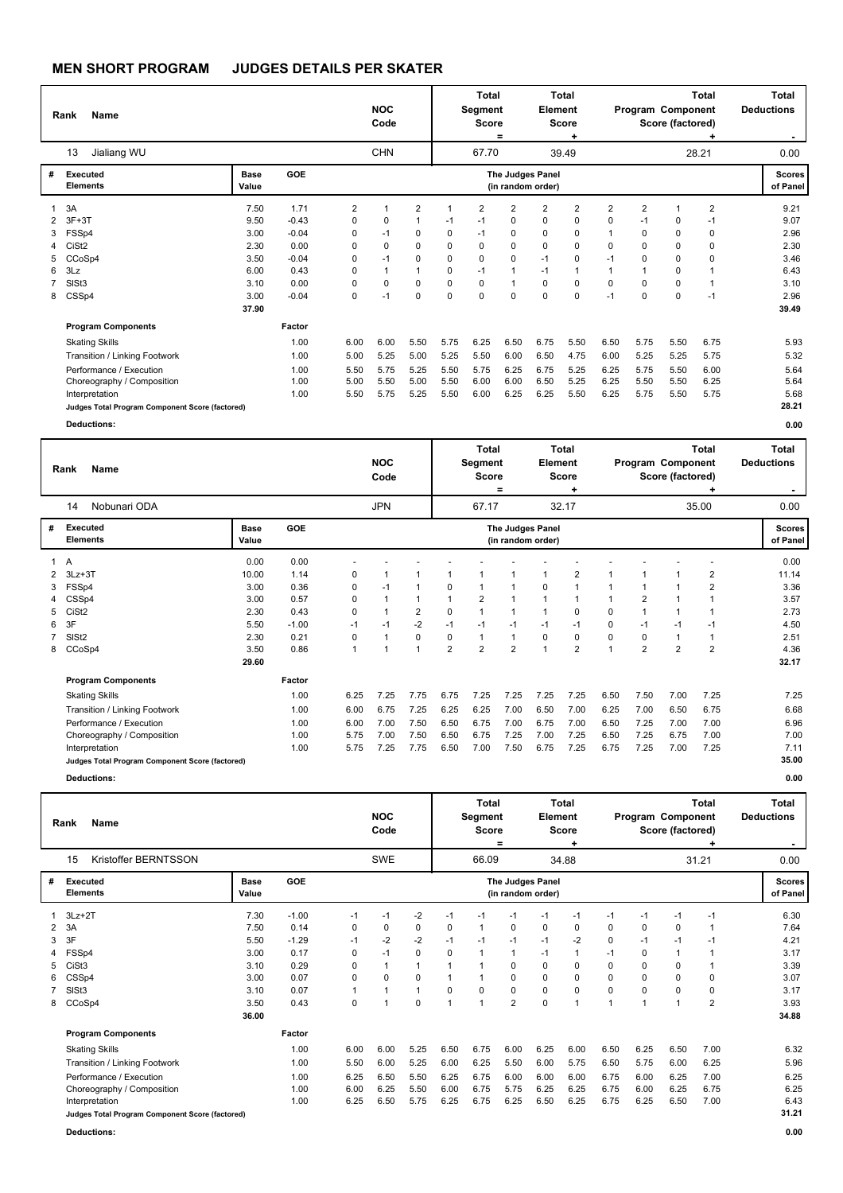|                  | Name<br>Rank                                                                                                                                                                         |                                                      |                                                               |                                      | <b>NOC</b><br>Code                   |                                                                     |                                                    | <b>Total</b><br>Segment<br><b>Score</b>                | =                                                                                          | Element                                                                 | Total<br>Score<br>٠                                                   |                                                                                      |                                                                 | Program Component<br>Score (factored) | <b>Total</b>                                                            | <b>Total</b><br><b>Deductions</b>                    |
|------------------|--------------------------------------------------------------------------------------------------------------------------------------------------------------------------------------|------------------------------------------------------|---------------------------------------------------------------|--------------------------------------|--------------------------------------|---------------------------------------------------------------------|----------------------------------------------------|--------------------------------------------------------|--------------------------------------------------------------------------------------------|-------------------------------------------------------------------------|-----------------------------------------------------------------------|--------------------------------------------------------------------------------------|-----------------------------------------------------------------|---------------------------------------|-------------------------------------------------------------------------|------------------------------------------------------|
|                  | Jialiang WU<br>13                                                                                                                                                                    |                                                      |                                                               |                                      | <b>CHN</b>                           |                                                                     |                                                    | 67.70                                                  |                                                                                            |                                                                         | 39.49                                                                 |                                                                                      |                                                                 |                                       | 28.21                                                                   | 0.00                                                 |
| #                | Executed<br><b>Elements</b>                                                                                                                                                          | <b>Base</b><br>Value                                 | GOE                                                           |                                      |                                      |                                                                     |                                                    |                                                        |                                                                                            | <b>The Judges Panel</b><br>(in random order)                            |                                                                       |                                                                                      |                                                                 |                                       |                                                                         | <b>Scores</b><br>of Panel                            |
| 3<br>4<br>5<br>6 | 3A<br>$3F+3T$<br>FSSp4<br>CiSt <sub>2</sub><br>CCoSp4<br>3Lz<br>SIS <sub>t3</sub>                                                                                                    | 7.50<br>9.50<br>3.00<br>2.30<br>3.50<br>6.00<br>3.10 | 1.71<br>$-0.43$<br>$-0.04$<br>0.00<br>$-0.04$<br>0.43<br>0.00 | 2<br>0<br>0<br>0<br>0<br>0<br>0      | 0<br>$-1$<br>0<br>$-1$<br>1<br>0     | $\overline{2}$<br>0<br>$\Omega$<br>$\mathbf 0$<br>$\mathbf{1}$<br>0 | $-1$<br>$\Omega$<br>$\Omega$<br>0<br>$\Omega$<br>0 | 2<br>$-1$<br>$-1$<br>$\Omega$<br>0<br>$-1$<br>$\Omega$ | $\overline{2}$<br>0<br>$\Omega$<br>$\Omega$<br>$\mathbf 0$<br>$\mathbf{1}$<br>$\mathbf{1}$ | $\overline{2}$<br>0<br>$\Omega$<br>$\Omega$<br>$-1$<br>$-1$<br>$\Omega$ | $\overline{2}$<br>0<br>0<br>$\Omega$<br>0<br>$\mathbf{1}$<br>$\Omega$ | $\overline{2}$<br>$\mathbf 0$<br>1<br>$\Omega$<br>$-1$<br>$\overline{1}$<br>$\Omega$ | $\overline{2}$<br>$-1$<br>$\Omega$<br>$\Omega$<br>0<br>$\Omega$ | 1<br>0<br>0<br>0<br>0<br>0<br>0       | $\overline{2}$<br>$-1$<br>0<br>0<br>0<br>$\overline{1}$<br>$\mathbf{1}$ | 9.21<br>9.07<br>2.96<br>2.30<br>3.46<br>6.43<br>3.10 |
| 8                | CSSp4                                                                                                                                                                                | 3.00<br>37.90                                        | $-0.04$                                                       | 0                                    | $-1$                                 | 0                                                                   | $\Omega$                                           | $\Omega$                                               | 0                                                                                          | $\Omega$                                                                | 0                                                                     | $-1$                                                                                 | 0                                                               | 0                                     | $-1$                                                                    | 2.96<br>39.49                                        |
|                  | <b>Program Components</b>                                                                                                                                                            |                                                      | Factor                                                        |                                      |                                      |                                                                     |                                                    |                                                        |                                                                                            |                                                                         |                                                                       |                                                                                      |                                                                 |                                       |                                                                         |                                                      |
|                  | <b>Skating Skills</b><br>Transition / Linking Footwork<br>Performance / Execution<br>Choreography / Composition<br>Interpretation<br>Judges Total Program Component Score (factored) |                                                      | 1.00<br>1.00<br>1.00<br>1.00<br>1.00                          | 6.00<br>5.00<br>5.50<br>5.00<br>5.50 | 6.00<br>5.25<br>5.75<br>5.50<br>5.75 | 5.50<br>5.00<br>5.25<br>5.00<br>5.25                                | 5.75<br>5.25<br>5.50<br>5.50<br>5.50               | 6.25<br>5.50<br>5.75<br>6.00<br>6.00                   | 6.50<br>6.00<br>6.25<br>6.00<br>6.25                                                       | 6.75<br>6.50<br>6.75<br>6.50<br>6.25                                    | 5.50<br>4.75<br>5.25<br>5.25<br>5.50                                  | 6.50<br>6.00<br>6.25<br>6.25<br>6.25                                                 | 5.75<br>5.25<br>5.75<br>5.50<br>5.75                            | 5.50<br>5.25<br>5.50<br>5.50<br>5.50  | 6.75<br>5.75<br>6.00<br>6.25<br>5.75                                    | 5.93<br>5.32<br>5.64<br>5.64<br>5.68<br>28.21        |
|                  | <b>Deductions:</b>                                                                                                                                                                   |                                                      |                                                               |                                      |                                      |                                                                     |                                                    |                                                        |                                                                                            |                                                                         |                                                                       |                                                                                      |                                                                 |                                       |                                                                         | 0.00                                                 |

|   | <b>Name</b><br>Rank                             |                      |            |      | <b>NOC</b><br>Code |                |                | Total<br>Segment<br><b>Score</b> | $=$            | Element                               | Total<br><b>Score</b><br>٠ |                | Program Component | Score (factored) | Total          | Total<br><b>Deductions</b> |
|---|-------------------------------------------------|----------------------|------------|------|--------------------|----------------|----------------|----------------------------------|----------------|---------------------------------------|----------------------------|----------------|-------------------|------------------|----------------|----------------------------|
|   | Nobunari ODA<br>14                              |                      |            |      | <b>JPN</b>         |                |                | 67.17                            |                |                                       | 32.17                      |                |                   |                  | 35.00          | 0.00                       |
| # | Executed<br><b>Elements</b>                     | <b>Base</b><br>Value | <b>GOE</b> |      |                    |                |                |                                  |                | The Judges Panel<br>(in random order) |                            |                |                   |                  |                | <b>Scores</b><br>of Panel  |
| 1 | $\overline{A}$                                  | 0.00                 | 0.00       |      |                    |                |                |                                  |                |                                       |                            |                |                   |                  |                | 0.00                       |
| 2 | $3Lz + 3T$                                      | 10.00                | 1.14       | 0    |                    |                |                | 1                                |                |                                       | 2                          | 1              |                   |                  | 2              | 11.14                      |
| 3 | FSSp4                                           | 3.00                 | 0.36       | 0    | $-1$               |                | 0              | $\overline{1}$                   |                | 0                                     |                            | 1              |                   |                  | $\overline{2}$ | 3.36                       |
| 4 | CSSp4                                           | 3.00                 | 0.57       | 0    |                    | $\overline{1}$ | 1              | $\overline{2}$                   | 1              |                                       |                            | 1              | 2                 |                  |                | 3.57                       |
| 5 | CiSt <sub>2</sub>                               | 2.30                 | 0.43       | 0    |                    | $\overline{2}$ | 0              | $\mathbf{1}$                     | 1              |                                       | 0                          | 0              | 1                 |                  |                | 2.73                       |
| 6 | 3F                                              | 5.50                 | $-1.00$    | $-1$ | $-1$               | $-2$           | $-1$           | $-1$                             | $-1$           | $-1$                                  | $-1$                       | 0              | $-1$              | $-1$             | $-1$           | 4.50                       |
| 7 | SIS <sub>t2</sub>                               | 2.30                 | 0.21       | 0    |                    | 0              | 0              | $\mathbf{1}$                     | 1              | $\Omega$                              | 0                          | 0              | 0                 |                  |                | 2.51                       |
|   | 8 CCoSp4                                        | 3.50                 | 0.86       | 1    |                    | 1              | $\overline{2}$ | $\overline{2}$                   | $\overline{2}$ |                                       | $\overline{2}$             | $\overline{ }$ | $\overline{2}$    | $\overline{2}$   | $\overline{2}$ | 4.36                       |
|   |                                                 | 29.60                |            |      |                    |                |                |                                  |                |                                       |                            |                |                   |                  |                | 32.17                      |
|   | <b>Program Components</b>                       |                      | Factor     |      |                    |                |                |                                  |                |                                       |                            |                |                   |                  |                |                            |
|   | <b>Skating Skills</b>                           |                      | 1.00       | 6.25 | 7.25               | 7.75           | 6.75           | 7.25                             | 7.25           | 7.25                                  | 7.25                       | 6.50           | 7.50              | 7.00             | 7.25           | 7.25                       |
|   | Transition / Linking Footwork                   |                      | 1.00       | 6.00 | 6.75               | 7.25           | 6.25           | 6.25                             | 7.00           | 6.50                                  | 7.00                       | 6.25           | 7.00              | 6.50             | 6.75           | 6.68                       |
|   | Performance / Execution                         |                      | 1.00       | 6.00 | 7.00               | 7.50           | 6.50           | 6.75                             | 7.00           | 6.75                                  | 7.00                       | 6.50           | 7.25              | 7.00             | 7.00           | 6.96                       |
|   | Choreography / Composition                      |                      | 1.00       | 5.75 | 7.00               | 7.50           | 6.50           | 6.75                             | 7.25           | 7.00                                  | 7.25                       | 6.50           | 7.25              | 6.75             | 7.00           | 7.00                       |
|   | Interpretation                                  |                      | 1.00       | 5.75 | 7.25               | 7.75           | 6.50           | 7.00                             | 7.50           | 6.75                                  | 7.25                       | 6.75           | 7.25              | 7.00             | 7.25           | 7.11                       |
|   | Judges Total Program Component Score (factored) |                      |            |      |                    |                |                |                                  |                |                                       |                            |                |                   |                  |                | 35.00                      |
|   | <b>Deductions:</b>                              |                      |            |      |                    |                |                |                                  |                |                                       |                            |                |                   |                  |                | 0.00                       |

**Rank Name Total Deductions - NOC Code Total Segment Score = Total Element Score + Total Program Component Score (factored) +** Kristoffer BERNTSSON SWE 66.09 34.88 0.00 **# Executed Elements Base Value GOE Scores The Judges Panel of Panel** 1 7.30 -1.00 -1 -1 -2 -1 -1 -1 -1 -1 -1 -1 -1 -1 6.30 15 **(in random order)** 31.21 1 3Lz+2T<br>2 3A 2 3A 7.50 0.14 0 0 0 0 1 0 0 0 0 0 0 1 7.64 3 3F 5.50 -1.29 -1 -2 -2 -1 -1 -1 -1 -2 0 -1 -1 -1 4.21 4 FSSp4 3.00 0.17 0 -1 0 0 1 1 -1 1 -1 0 1 1 3.17 5 CiSt3 3.10 0.29 0 1 1 1 1 0 0 0 0 0 0 1 3.39 6 CSSp4 3.00 0.07 0 0 0 1 1 0 0 0 0 0 0 0 3.07 7 SlSt3 3.10 0.07 1 1 1 0 0 0 0 0 0 0 0 0 3.17 8 CCoSp4 3.50 0.43 0 1 0 1 1 2 0 1 1 1 1 2 3.93  **36.00 Program Components**  Skating Skills Transition / Linking Footwork Performance / Execution 6.00 5.50 6.25 6.00 5.25 6.50 6.75 6.00 6.25 6.00 6.50 6.25 6.50 7.00 6.00 5.25 6.00 6.25 5.50 6.00 5.75 6.50 5.75 6.00 6.25 6.50 5.50 6.25 6.75 6.00 6.00 6.00 6.75 6.00 6.25 7.00 **Factor**  1.00 1.00 1.00 6.32 5.96 6.25  **34.88** Choreography / Composition 1.00 6.00 6.25 5.50 6.00 6.75 5.75 6.25 6.25 6.75 6.00 6.25 6.75 6.25 Interpretation 1.00 6.25 6.50 5.75 6.25 6.75 6.25 6.50 6.25 6.75 6.25 6.50 7.00 6.43 **Judges Total Program Component Score (factored) 31.21**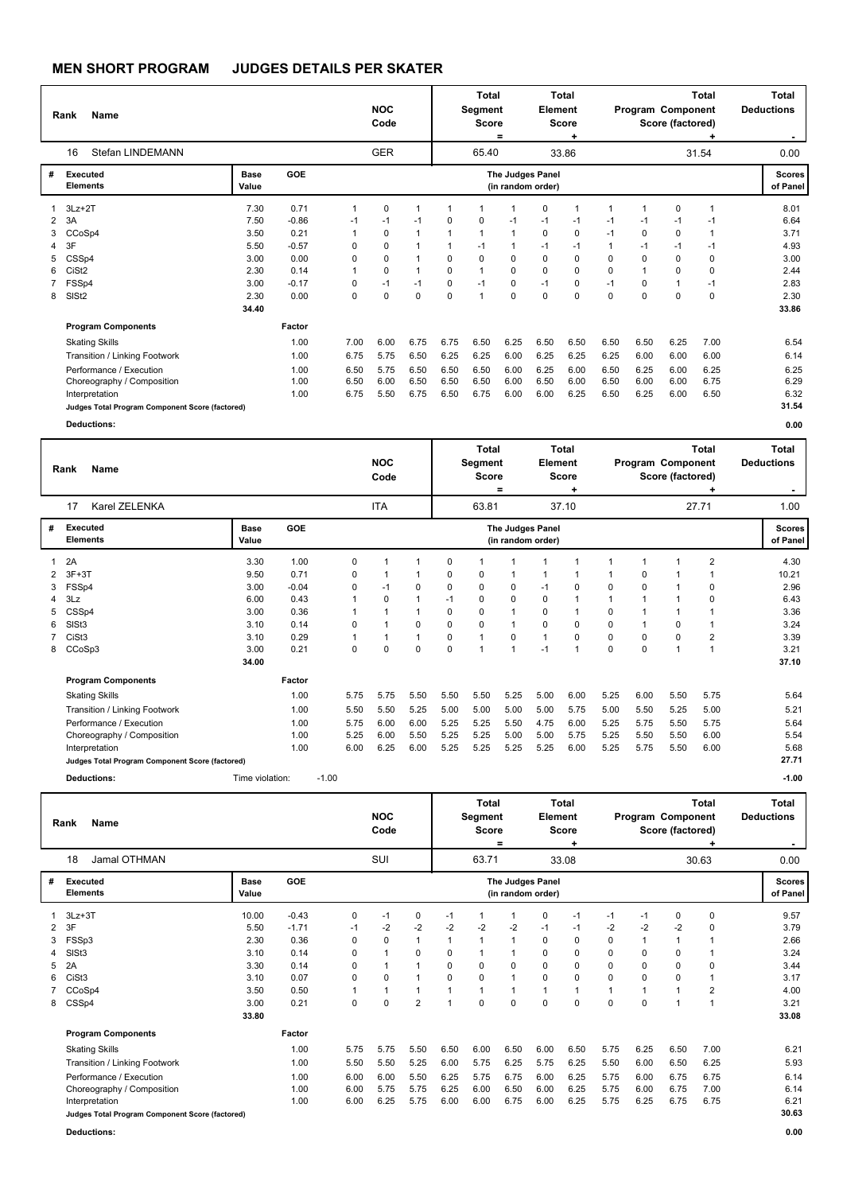|                | Name<br>Rank                                    | Stefan LINDEMANN<br>16 |         |              |            |              |              | <b>Total</b><br>Segment<br><b>Score</b> | $=$               | Element          | Total<br><b>Score</b><br>٠ |             | Program Component | Score (factored) | <b>Total</b> | Total<br><b>Deductions</b><br>$\sim$ |
|----------------|-------------------------------------------------|------------------------|---------|--------------|------------|--------------|--------------|-----------------------------------------|-------------------|------------------|----------------------------|-------------|-------------------|------------------|--------------|--------------------------------------|
|                |                                                 |                        |         |              | <b>GER</b> |              |              | 65.40                                   |                   |                  | 33.86                      |             |                   |                  | 31.54        | 0.00                                 |
| #              | Executed<br><b>Elements</b>                     | Base<br>Value          | GOE     |              |            |              |              |                                         | (in random order) | The Judges Panel |                            |             |                   |                  |              | <b>Scores</b><br>of Panel            |
|                | $3Lz + 2T$                                      | 7.30                   | 0.71    | $\mathbf{1}$ | 0          | -1           |              |                                         | 1                 | 0                | 1                          | $\mathbf 1$ |                   | 0                | 1            | 8.01                                 |
| $\overline{2}$ | 3A                                              | 7.50                   | $-0.86$ | $-1$         | $-1$       | $-1$         | 0            | 0                                       | $-1$              | $-1$             | $-1$                       | $-1$        | $-1$              | $-1$             | $-1$         | 6.64                                 |
| 3              | CCoSp4                                          | 3.50                   | 0.21    | 1            | $\Omega$   | $\mathbf{1}$ | $\mathbf{1}$ | $\mathbf{1}$                            | $\mathbf{1}$      | 0                | 0                          | $-1$        | 0                 | 0                | 1            | 3.71                                 |
| 4              | 3F                                              | 5.50                   | $-0.57$ | 0            | 0          | $\mathbf 1$  | 1            | $-1$                                    | 1                 | $-1$             | -1                         | $\mathbf 1$ | $-1$              | -1               | $-1$         | 4.93                                 |
| 5              | CSSp4                                           | 3.00                   | 0.00    | 0            | 0          | $\mathbf{1}$ | 0            | $\Omega$                                | 0                 | $\Omega$         | $\mathbf 0$                | $\Omega$    | $\Omega$          | $\Omega$         | $\Omega$     | 3.00                                 |
| 6              | CiSt <sub>2</sub>                               | 2.30                   | 0.14    | 1            | 0          | $\mathbf{1}$ | 0            | 1                                       | 0                 | $\mathbf 0$      | $\mathbf 0$                | 0           | 1                 | $\mathbf 0$      | 0            | 2.44                                 |
|                | FSSp4                                           | 3.00                   | $-0.17$ | 0            | $-1$       | $-1$         | 0            | $-1$                                    | $\Omega$          | $-1$             | 0                          | $-1$        | $\Omega$          | $\overline{1}$   | $-1$         | 2.83                                 |
| 8              | SIS <sub>t2</sub>                               | 2.30                   | 0.00    | 0            | 0          | $\Omega$     | 0            | 1                                       | 0                 | $\Omega$         | $\Omega$                   | $\Omega$    | $\Omega$          | $\Omega$         | $\Omega$     | 2.30                                 |
|                |                                                 | 34.40                  |         |              |            |              |              |                                         |                   |                  |                            |             |                   |                  |              | 33.86                                |
|                | <b>Program Components</b>                       |                        | Factor  |              |            |              |              |                                         |                   |                  |                            |             |                   |                  |              |                                      |
|                | <b>Skating Skills</b>                           |                        | 1.00    | 7.00         | 6.00       | 6.75         | 6.75         | 6.50                                    | 6.25              | 6.50             | 6.50                       | 6.50        | 6.50              | 6.25             | 7.00         | 6.54                                 |
|                | Transition / Linking Footwork                   |                        | 1.00    | 6.75         | 5.75       | 6.50         | 6.25         | 6.25                                    | 6.00              | 6.25             | 6.25                       | 6.25        | 6.00              | 6.00             | 6.00         | 6.14                                 |
|                | Performance / Execution                         |                        | 1.00    | 6.50         | 5.75       | 6.50         | 6.50         | 6.50                                    | 6.00              | 6.25             | 6.00                       | 6.50        | 6.25              | 6.00             | 6.25         | 6.25                                 |
|                | Choreography / Composition                      |                        | 1.00    | 6.50         | 6.00       | 6.50         | 6.50         | 6.50                                    | 6.00              | 6.50             | 6.00                       | 6.50        | 6.00              | 6.00             | 6.75         | 6.29                                 |
|                | Interpretation                                  |                        | 1.00    | 6.75         | 5.50       | 6.75         | 6.50         | 6.75                                    | 6.00              | 6.00             | 6.25                       | 6.50        | 6.25              | 6.00             | 6.50         | 6.32                                 |
|                | Judges Total Program Component Score (factored) |                        |         |              |            |              |              |                                         |                   |                  |                            |             |                   |                  |              | 31.54                                |
|                | <b>Deductions:</b>                              |                        |         |              |            |              |              |                                         |                   |                  |                            |             |                   |                  |              | 0.00                                 |

|   | Name<br>Rank                                    |                      |            |         |      | <b>NOC</b><br>Code |      |             | Total<br>Segment<br><b>Score</b> | =    | Element                               | Total<br><b>Score</b> |          |             | Program Component<br>Score (factored) | <b>Total</b> | <b>Total</b><br><b>Deductions</b> |
|---|-------------------------------------------------|----------------------|------------|---------|------|--------------------|------|-------------|----------------------------------|------|---------------------------------------|-----------------------|----------|-------------|---------------------------------------|--------------|-----------------------------------|
|   | Karel ZELENKA<br>17                             |                      |            |         |      | <b>ITA</b>         |      |             | 63.81                            |      |                                       | 37.10                 |          |             |                                       | 27.71        | 1.00                              |
| # | <b>Executed</b><br><b>Elements</b>              | <b>Base</b><br>Value | <b>GOE</b> |         |      |                    |      |             |                                  |      | The Judges Panel<br>(in random order) |                       |          |             |                                       |              | Scores  <br>of Panel              |
|   | 2A                                              | 3.30                 | 1.00       |         | 0    |                    | 1    | 0           |                                  |      |                                       |                       |          |             |                                       | 2            | 4.30                              |
|   | $3F+3T$                                         | 9.50                 | 0.71       |         | 0    |                    | 1    | 0           | 0                                |      |                                       |                       |          | $\mathbf 0$ |                                       |              | 10.21                             |
|   | FSSp4                                           | 3.00                 | $-0.04$    |         | 0    | $-1$               | 0    | 0           | 0                                | 0    | $-1$                                  | 0                     | 0        | $\mathbf 0$ |                                       | 0            | 2.96                              |
|   | 3Lz                                             | 6.00                 | 0.43       |         |      | 0                  | 1    | $-1$        | 0                                | 0    | 0                                     |                       |          |             |                                       | 0            | 6.43                              |
|   | CSSp4                                           | 3.00                 | 0.36       |         |      |                    | 1    | 0           | 0                                |      | 0                                     |                       | 0        |             |                                       |              | 3.36                              |
| 6 | SISt <sub>3</sub>                               | 3.10                 | 0.14       |         | 0    |                    | 0    | $\mathbf 0$ | 0                                |      | 0                                     | $\Omega$              | $\Omega$ |             | 0                                     |              | 3.24                              |
|   | CiSt3                                           | 3.10                 | 0.29       |         |      |                    | 1    | 0           | $\overline{ }$                   | 0    |                                       | 0                     | 0        | $\mathbf 0$ | 0                                     | 2            | 3.39                              |
|   | 8 CCoSp3                                        | 3.00                 | 0.21       |         | 0    | 0                  | 0    | $\mathbf 0$ | 1                                |      | $-1$                                  | 1                     | $\Omega$ | $\mathbf 0$ | 1                                     |              | 3.21                              |
|   |                                                 | 34.00                |            |         |      |                    |      |             |                                  |      |                                       |                       |          |             |                                       |              | 37.10                             |
|   | <b>Program Components</b>                       |                      | Factor     |         |      |                    |      |             |                                  |      |                                       |                       |          |             |                                       |              |                                   |
|   | <b>Skating Skills</b>                           |                      | 1.00       |         | 5.75 | 5.75               | 5.50 | 5.50        | 5.50                             | 5.25 | 5.00                                  | 6.00                  | 5.25     | 6.00        | 5.50                                  | 5.75         | 5.64                              |
|   | Transition / Linking Footwork                   |                      | 1.00       |         | 5.50 | 5.50               | 5.25 | 5.00        | 5.00                             | 5.00 | 5.00                                  | 5.75                  | 5.00     | 5.50        | 5.25                                  | 5.00         | 5.21                              |
|   | Performance / Execution                         |                      | 1.00       |         | 5.75 | 6.00               | 6.00 | 5.25        | 5.25                             | 5.50 | 4.75                                  | 6.00                  | 5.25     | 5.75        | 5.50                                  | 5.75         | 5.64                              |
|   | Choreography / Composition                      |                      | 1.00       |         | 5.25 | 6.00               | 5.50 | 5.25        | 5.25                             | 5.00 | 5.00                                  | 5.75                  | 5.25     | 5.50        | 5.50                                  | 6.00         | 5.54                              |
|   | Interpretation                                  |                      | 1.00       |         | 6.00 | 6.25               | 6.00 | 5.25        | 5.25                             | 5.25 | 5.25                                  | 6.00                  | 5.25     | 5.75        | 5.50                                  | 6.00         | 5.68                              |
|   | Judges Total Program Component Score (factored) |                      |            |         |      |                    |      |             |                                  |      |                                       |                       |          |             |                                       |              | 27.71                             |
|   | <b>Deductions:</b>                              | Time violation:      |            | $-1.00$ |      |                    |      |             |                                  |      |                                       |                       |          |             |                                       |              | $-1.00$                           |

|    | <b>Name</b><br>Rank                             |               |         |      | <b>NOC</b><br>Code |                |                | <b>Total</b><br>Segment<br><b>Score</b> | $=$  | <b>Element</b>                        | <b>Total</b><br><b>Score</b><br>٠ |      | Program Component | Score (factored) | Total | <b>Total</b><br><b>Deductions</b> |
|----|-------------------------------------------------|---------------|---------|------|--------------------|----------------|----------------|-----------------------------------------|------|---------------------------------------|-----------------------------------|------|-------------------|------------------|-------|-----------------------------------|
|    | Jamal OTHMAN<br>18                              |               |         |      | SUI                |                |                | 63.71                                   |      |                                       | 33.08                             |      |                   |                  | 30.63 | 0.00                              |
| #  | Executed<br><b>Elements</b>                     | Base<br>Value | GOE     |      |                    |                |                |                                         |      | The Judges Panel<br>(in random order) |                                   |      |                   |                  |       | <b>Scores</b><br>of Panel         |
|    | $3Lz + 3T$                                      | 10.00         | $-0.43$ | 0    | $-1$               | 0              | -1             |                                         |      | 0                                     | $-1$                              | $-1$ | $-1$              | 0                | 0     | 9.57                              |
| 2  | 3F                                              | 5.50          | $-1.71$ | $-1$ | $-2$               | $-2$           | $-2$           | $-2$                                    | $-2$ | $-1$                                  | $-1$                              | $-2$ | $-2$              | $-2$             | 0     | 3.79                              |
| 3  | FSSp3                                           | 2.30          | 0.36    | 0    | 0                  | $\mathbf{1}$   | $\mathbf 1$    |                                         |      | 0                                     | 0                                 | 0    |                   | $\mathbf{1}$     |       | 2.66                              |
| 4  | SISt <sub>3</sub>                               | 3.10          | 0.14    | 0    | 1                  | $\Omega$       | $\Omega$       |                                         |      | $\Omega$                              | 0                                 | 0    | 0                 | 0                |       | 3.24                              |
| 5. | 2A                                              | 3.30          | 0.14    | 0    | 1                  | $\mathbf{1}$   | $\Omega$       | $\Omega$                                | 0    | $\Omega$                              | 0                                 | 0    | 0                 | 0                | 0     | 3.44                              |
| 6  | CiSt <sub>3</sub>                               | 3.10          | 0.07    | 0    | $\Omega$           | $\mathbf{1}$   | $\Omega$       | $\Omega$                                |      | 0                                     | $\mathbf 0$                       | 0    | $\Omega$          | $\Omega$         |       | 3.17                              |
|    | CCoSp4                                          | 3.50          | 0.50    |      | 1                  | $\mathbf{1}$   | $\mathbf{1}$   |                                         |      |                                       | $\mathbf{1}$                      | 1    |                   |                  | 2     | 4.00                              |
| 8  | CSSp4                                           | 3.00          | 0.21    | 0    | 0                  | $\overline{2}$ | $\overline{ }$ | $\Omega$                                | 0    | $\Omega$                              | $\mathbf 0$                       | 0    | $\Omega$          |                  |       | 3.21                              |
|    |                                                 | 33.80         |         |      |                    |                |                |                                         |      |                                       |                                   |      |                   |                  |       | 33.08                             |
|    | <b>Program Components</b>                       |               | Factor  |      |                    |                |                |                                         |      |                                       |                                   |      |                   |                  |       |                                   |
|    | <b>Skating Skills</b>                           |               | 1.00    | 5.75 | 5.75               | 5.50           | 6.50           | 6.00                                    | 6.50 | 6.00                                  | 6.50                              | 5.75 | 6.25              | 6.50             | 7.00  | 6.21                              |
|    | Transition / Linking Footwork                   |               | 1.00    | 5.50 | 5.50               | 5.25           | 6.00           | 5.75                                    | 6.25 | 5.75                                  | 6.25                              | 5.50 | 6.00              | 6.50             | 6.25  | 5.93                              |
|    | Performance / Execution                         |               | 1.00    | 6.00 | 6.00               | 5.50           | 6.25           | 5.75                                    | 6.75 | 6.00                                  | 6.25                              | 5.75 | 6.00              | 6.75             | 6.75  | 6.14                              |
|    | Choreography / Composition                      |               | 1.00    | 6.00 | 5.75               | 5.75           | 6.25           | 6.00                                    | 6.50 | 6.00                                  | 6.25                              | 5.75 | 6.00              | 6.75             | 7.00  | 6.14                              |
|    | Interpretation                                  |               | 1.00    | 6.00 | 6.25               | 5.75           | 6.00           | 6.00                                    | 6.75 | 6.00                                  | 6.25                              | 5.75 | 6.25              | 6.75             | 6.75  | 6.21                              |
|    | Judges Total Program Component Score (factored) |               |         |      |                    |                |                |                                         |      |                                       |                                   |      |                   |                  |       | 30.63                             |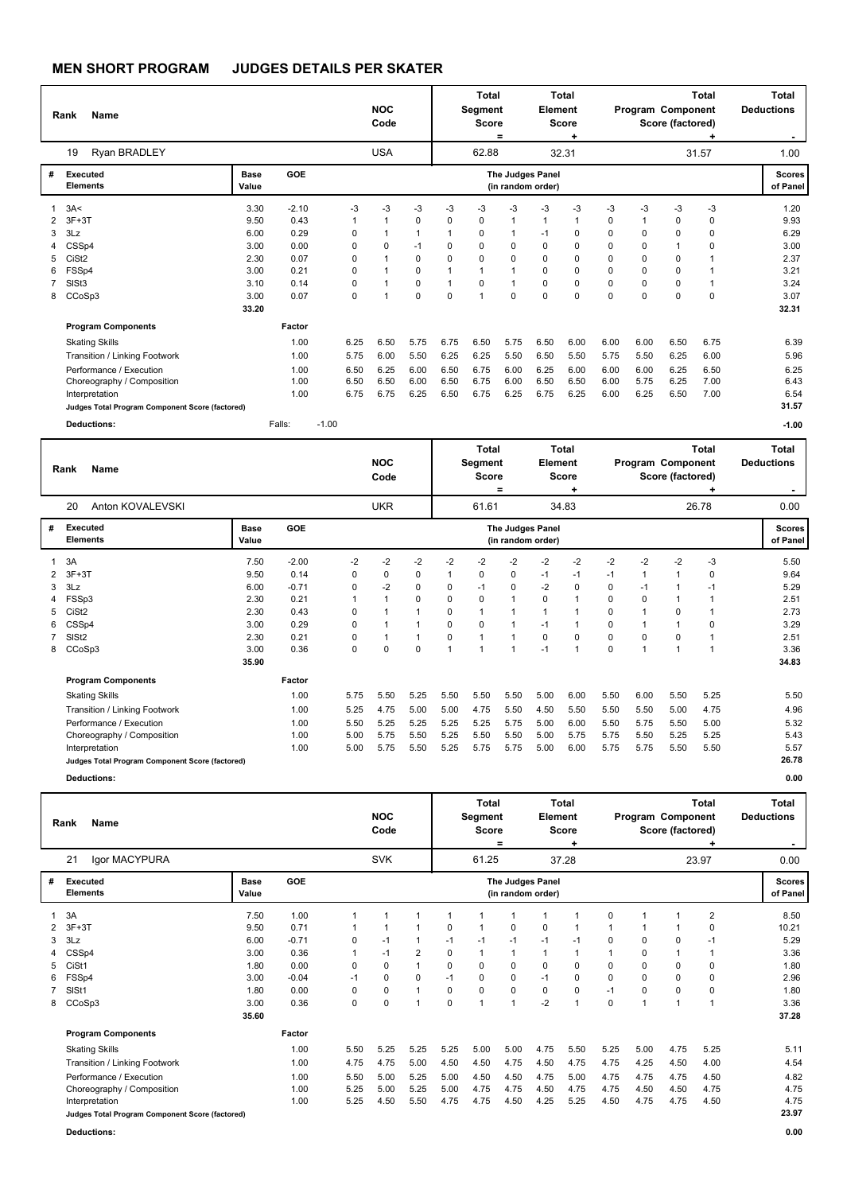|                                         | Name<br>Rank                                                                                                                                                                                                                                |                                                                       |                                                                                                           |                                                                                    | <b>NOC</b><br>Code                                                                                    |                                                                                                                          |                                                                                                      | Total<br>Segment<br><b>Score</b>                                      | ۰                                                                                                                                               | Element                                                                                                                        | Total<br><b>Score</b><br>÷                                                                             |                                                                                                                          |                                                                                                                          | Program Component<br>Score (factored)                                                     | <b>Total</b><br>٠                                                                           | Total<br><b>Deductions</b><br>$\sim$                                                                  |
|-----------------------------------------|---------------------------------------------------------------------------------------------------------------------------------------------------------------------------------------------------------------------------------------------|-----------------------------------------------------------------------|-----------------------------------------------------------------------------------------------------------|------------------------------------------------------------------------------------|-------------------------------------------------------------------------------------------------------|--------------------------------------------------------------------------------------------------------------------------|------------------------------------------------------------------------------------------------------|-----------------------------------------------------------------------|-------------------------------------------------------------------------------------------------------------------------------------------------|--------------------------------------------------------------------------------------------------------------------------------|--------------------------------------------------------------------------------------------------------|--------------------------------------------------------------------------------------------------------------------------|--------------------------------------------------------------------------------------------------------------------------|-------------------------------------------------------------------------------------------|---------------------------------------------------------------------------------------------|-------------------------------------------------------------------------------------------------------|
|                                         | Ryan BRADLEY<br>19                                                                                                                                                                                                                          |                                                                       |                                                                                                           |                                                                                    | <b>USA</b>                                                                                            |                                                                                                                          |                                                                                                      | 62.88                                                                 |                                                                                                                                                 |                                                                                                                                | 32.31                                                                                                  |                                                                                                                          |                                                                                                                          |                                                                                           | 31.57                                                                                       | 1.00                                                                                                  |
| #                                       | Executed<br><b>Elements</b>                                                                                                                                                                                                                 | <b>Base</b><br>Value                                                  | GOE                                                                                                       |                                                                                    |                                                                                                       |                                                                                                                          |                                                                                                      |                                                                       | (in random order)                                                                                                                               | The Judges Panel                                                                                                               |                                                                                                        |                                                                                                                          |                                                                                                                          |                                                                                           |                                                                                             | <b>Scores</b><br>of Panel                                                                             |
| $\overline{2}$<br>3<br>5<br>6<br>7<br>8 | 3A<<br>$3F+3T$<br>3Lz<br>CSSp4<br>CiSt <sub>2</sub><br>FSSp4<br>SISt <sub>3</sub><br>CCoSp3<br><b>Program Components</b><br><b>Skating Skills</b><br>Transition / Linking Footwork<br>Performance / Execution<br>Choreography / Composition | 3.30<br>9.50<br>6.00<br>3.00<br>2.30<br>3.00<br>3.10<br>3.00<br>33.20 | $-2.10$<br>0.43<br>0.29<br>0.00<br>0.07<br>0.21<br>0.14<br>0.07<br>Factor<br>1.00<br>1.00<br>1.00<br>1.00 | $-3$<br>$\mathbf{1}$<br>0<br>0<br>0<br>0<br>0<br>0<br>6.25<br>5.75<br>6.50<br>6.50 | -3<br>$\mathbf{1}$<br>1<br>$\mathbf 0$<br>1<br>$\mathbf{1}$<br>1<br>1<br>6.50<br>6.00<br>6.25<br>6.50 | $-3$<br>$\pmb{0}$<br>$\mathbf{1}$<br>$-1$<br>$\mathbf 0$<br>0<br>$\Omega$<br>$\mathbf 0$<br>5.75<br>5.50<br>6.00<br>6.00 | $-3$<br>0<br>1<br>0<br>0<br>$\mathbf{1}$<br>$\mathbf{1}$<br>$\Omega$<br>6.75<br>6.25<br>6.50<br>6.50 | -3<br>0<br>0<br>0<br>0<br>1<br>0<br>1<br>6.50<br>6.25<br>6.75<br>6.75 | -3<br>$\mathbf{1}$<br>$\mathbf{1}$<br>$\mathbf 0$<br>$\mathbf 0$<br>$\mathbf{1}$<br>$\mathbf{1}$<br>$\mathbf 0$<br>5.75<br>5.50<br>6.00<br>6.00 | $-3$<br>$\mathbf{1}$<br>$-1$<br>$\Omega$<br>$\mathbf 0$<br>$\Omega$<br>$\Omega$<br>$\mathbf 0$<br>6.50<br>6.50<br>6.25<br>6.50 | $-3$<br>$\mathbf{1}$<br>0<br>$\mathbf 0$<br>$\mathbf 0$<br>0<br>0<br>0<br>6.00<br>5.50<br>6.00<br>6.50 | $-3$<br>$\Omega$<br>$\Omega$<br>$\Omega$<br>$\Omega$<br>$\Omega$<br>$\Omega$<br>$\Omega$<br>6.00<br>5.75<br>6.00<br>6.00 | $-3$<br>$\mathbf{1}$<br>$\mathbf 0$<br>$\Omega$<br>0<br>$\Omega$<br>$\Omega$<br>$\Omega$<br>6.00<br>5.50<br>6.00<br>5.75 | $-3$<br>0<br>0<br>$\mathbf{1}$<br>0<br>0<br>$\Omega$<br>0<br>6.50<br>6.25<br>6.25<br>6.25 | $-3$<br>0<br>$\mathbf 0$<br>$\mathbf 0$<br>1<br>1<br>1<br>0<br>6.75<br>6.00<br>6.50<br>7.00 | 1.20<br>9.93<br>6.29<br>3.00<br>2.37<br>3.21<br>3.24<br>3.07<br>32.31<br>6.39<br>5.96<br>6.25<br>6.43 |
|                                         | Interpretation<br>Judges Total Program Component Score (factored)<br><b>Deductions:</b>                                                                                                                                                     | Falls:                                                                | 1.00                                                                                                      | 6.75<br>$-1.00$                                                                    | 6.75                                                                                                  | 6.25                                                                                                                     | 6.50                                                                                                 | 6.75                                                                  | 6.25                                                                                                                                            | 6.75                                                                                                                           | 6.25                                                                                                   | 6.00                                                                                                                     | 6.25                                                                                                                     | 6.50                                                                                      | 7.00                                                                                        | 6.54<br>31.57<br>$-1.00$                                                                              |
|                                         | <b>Name</b><br>Rank                                                                                                                                                                                                                         |                                                                       |                                                                                                           |                                                                                    | <b>NOC</b><br>Code                                                                                    |                                                                                                                          |                                                                                                      | Total<br>Segment<br><b>Score</b>                                      | =                                                                                                                                               | Element                                                                                                                        | <b>Total</b><br><b>Score</b><br>÷                                                                      |                                                                                                                          |                                                                                                                          | Program Component<br>Score (factored)                                                     | <b>Total</b><br>÷                                                                           | Total<br><b>Deductions</b><br>$\sim$                                                                  |
|                                         | Anton KOVALEVSKI<br>20                                                                                                                                                                                                                      |                                                                       |                                                                                                           |                                                                                    | <b>UKR</b>                                                                                            |                                                                                                                          |                                                                                                      | 61.61                                                                 |                                                                                                                                                 |                                                                                                                                | 34.83                                                                                                  |                                                                                                                          |                                                                                                                          |                                                                                           | 26.78                                                                                       | 0.00                                                                                                  |
| #                                       | <b>Executed</b><br><b>Elements</b>                                                                                                                                                                                                          | <b>Base</b><br>Value                                                  | <b>GOE</b>                                                                                                |                                                                                    |                                                                                                       |                                                                                                                          |                                                                                                      |                                                                       | (in random order)                                                                                                                               | The Judges Panel                                                                                                               |                                                                                                        |                                                                                                                          |                                                                                                                          |                                                                                           |                                                                                             | <b>Scores</b><br>of Panel                                                                             |

1 7.50 -2.00 -2 -2 -2 -2 -2 -2 -2 -2 -2 -2 -2 -3 5.50

 3F+3T 9.50 0.14 0 0 0 1 0 0 -1 -1 -1 1 1 0 9.64 3Lz 6.00 -0.71 0 -2 0 0 -1 0 -2 0 0 -1 1 -1 5.29 FSSp3 2.30 0.21 1 1 0 0 0 1 0 1 0 0 1 1 2.51 CiSt2 2.30 0.43 0 1 1 0 1 1 1 1 0 1 0 1 2.73 CSSp4 3.00 0.29 0 1 1 0 0 1 -1 1 0 1 1 0 3.29 SlSt2 2.30 0.21 0 1 1 0 1 1 0 0 0 0 0 1 2.51 CCoSp3 3.00 0.36 0 0 0 1 1 1 -1 1 0 1 1 1 3.36

> 5.50 5.25 5.50 5.50 5.50 5.00 6.00 5.50 6.00 5.50 5.25 4.75 5.00 5.00 4.75 5.50 4.50 5.50 5.50 5.50 5.00 4.75 5.25 5.25 5.25 5.25 5.75 5.00 6.00 5.50 5.75 5.50 5.00

5.75 5.25 5.50

| Performance / Execution    | .00 | 5.50 | 5.25 | 5.25 | 5.25 | 5.25 | 5.75 | 5.00 | 6.00 | 5.50 | 5.75 | 5.50 | 5.00 | 5.32 |
|----------------------------|-----|------|------|------|------|------|------|------|------|------|------|------|------|------|
| Choreography / Composition | .00 | 5.00 | 5.75 | 5.50 | 5.25 | 5.50 | 5.50 | 5.00 | 5.75 | 5.75 | 5.50 | 5.25 | 5.25 | 5.43 |
| Interpretation             | .00 | 5.00 | 5.75 | 5.50 | 5.25 | 5.75 | 5.75 | 5.00 | 6.00 | 5.75 | 5.75 | 5.50 | 5.50 | 5.57 |

 **35.90**

**Factor**  1.00 1.00 1.00

**Judges Total Program Component Score (factored) 26.78**

**Program Components**  Skating Skills

Transition / Linking Footwork

 $\begin{array}{cc} 1 & 3A \\ 2 & 3F+3T \end{array}$ 

|   |                                                 |               |         |              |            |                |      | <b>Total</b> |          |                                       | Total          |      |          |                   | <b>Total</b> | <b>Total</b>              |
|---|-------------------------------------------------|---------------|---------|--------------|------------|----------------|------|--------------|----------|---------------------------------------|----------------|------|----------|-------------------|--------------|---------------------------|
|   | Name<br>Rank                                    |               |         |              | <b>NOC</b> |                |      | Segment      |          | Element                               |                |      |          | Program Component |              | <b>Deductions</b>         |
|   |                                                 |               |         |              | Code       |                |      | <b>Score</b> |          |                                       | Score          |      |          | Score (factored)  |              |                           |
|   |                                                 |               |         |              |            |                |      |              | $\equiv$ |                                       |                |      |          |                   |              |                           |
|   | Igor MACYPURA<br>21                             |               |         |              | <b>SVK</b> |                |      | 61.25        |          |                                       | 37.28          |      |          |                   | 23.97        | 0.00                      |
| # | <b>Executed</b><br><b>Elements</b>              | Base<br>Value | GOE     |              |            |                |      |              |          | The Judges Panel<br>(in random order) |                |      |          |                   |              | <b>Scores</b><br>of Panel |
|   | 3A                                              | 7.50          | 1.00    | 1            |            |                |      |              |          |                                       | 1              | 0    |          | 1                 | 2            | 8.50                      |
| 2 | $3F+3T$                                         | 9.50          | 0.71    |              |            |                | 0    |              | 0        | 0                                     |                | 1    |          |                   | 0            | 10.21                     |
| 3 | 3Lz                                             | 6.00          | $-0.71$ | 0            | $-1$       | $\mathbf{1}$   | $-1$ | $-1$         | $-1$     | $-1$                                  | $-1$           | 0    | 0        | 0                 | $-1$         | 5.29                      |
|   | CSSp4                                           | 3.00          | 0.36    | $\mathbf{1}$ | $-1$       | $\overline{2}$ | 0    | 1            | 1        | 1                                     | $\mathbf{1}$   | 1    | $\Omega$ | $\mathbf{1}$      |              | 3.36                      |
| 5 | CiSt1                                           | 1.80          | 0.00    | 0            | 0          | $\mathbf{1}$   | 0    | 0            | 0        | 0                                     | $\mathbf 0$    | 0    | 0        | 0                 | 0            | 1.80                      |
| 6 | FSSp4                                           | 3.00          | $-0.04$ | $-1$         | 0          | 0              | $-1$ | 0            | 0        | $-1$                                  | $\mathbf 0$    | 0    | 0        | 0                 | 0            | 2.96                      |
|   | SIS <sub>t1</sub>                               | 1.80          | 0.00    | 0            | 0          | $\mathbf{1}$   | 0    | $\Omega$     | 0        | 0                                     | $\mathbf 0$    | $-1$ | 0        | 0                 | 0            | 1.80                      |
| 8 | CCoSp3                                          | 3.00          | 0.36    | 0            | $\Omega$   | 1              | 0    |              | 4        | $-2$                                  | $\overline{1}$ | 0    |          | 1                 |              | 3.36                      |
|   |                                                 | 35.60         |         |              |            |                |      |              |          |                                       |                |      |          |                   |              | 37.28                     |
|   | <b>Program Components</b>                       |               | Factor  |              |            |                |      |              |          |                                       |                |      |          |                   |              |                           |
|   | <b>Skating Skills</b>                           |               | 1.00    | 5.50         | 5.25       | 5.25           | 5.25 | 5.00         | 5.00     | 4.75                                  | 5.50           | 5.25 | 5.00     | 4.75              | 5.25         | 5.11                      |
|   | Transition / Linking Footwork                   |               | 1.00    | 4.75         | 4.75       | 5.00           | 4.50 | 4.50         | 4.75     | 4.50                                  | 4.75           | 4.75 | 4.25     | 4.50              | 4.00         | 4.54                      |
|   | Performance / Execution                         |               | 1.00    | 5.50         | 5.00       | 5.25           | 5.00 | 4.50         | 4.50     | 4.75                                  | 5.00           | 4.75 | 4.75     | 4.75              | 4.50         | 4.82                      |
|   | Choreography / Composition                      |               | 1.00    | 5.25         | 5.00       | 5.25           | 5.00 | 4.75         | 4.75     | 4.50                                  | 4.75           | 4.75 | 4.50     | 4.50              | 4.75         | 4.75                      |
|   | Interpretation                                  |               | 1.00    | 5.25         | 4.50       | 5.50           | 4.75 | 4.75         | 4.50     | 4.25                                  | 5.25           | 4.50 | 4.75     | 4.75              | 4.50         | 4.75                      |
|   | Judges Total Program Component Score (factored) |               |         |              |            |                |      |              |          |                                       |                |      |          |                   |              | 23.97                     |
|   |                                                 |               |         |              |            |                |      |              |          |                                       |                |      |          |                   |              |                           |

**Deductions: 0.00**

 5.50 4.96 5.32

 **34.83**

**Deductions: 0.00**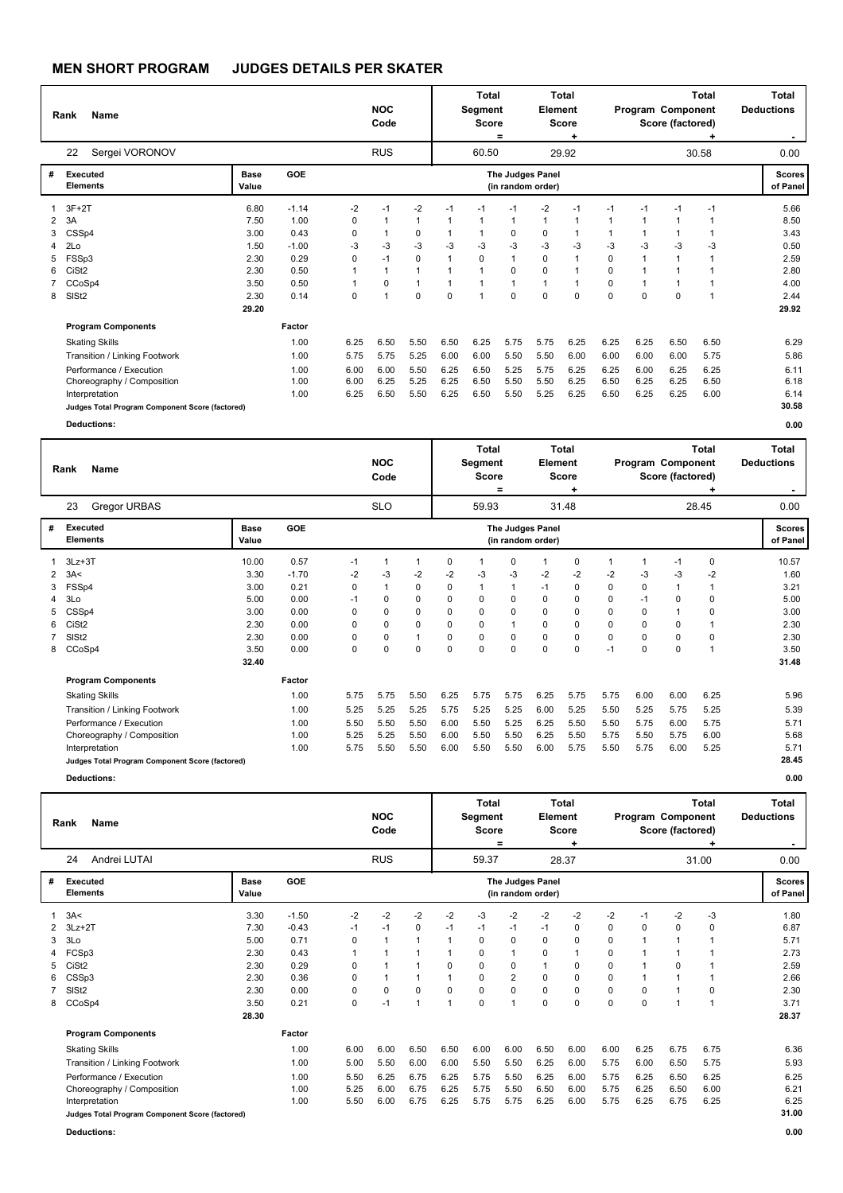|   | Name<br>Rank                                    |                      |         |             | <b>NOC</b><br>Code |                |              | <b>Total</b><br>Segment<br><b>Score</b> | =            | Element                                      | Total<br><b>Score</b><br>٠ |                | Program Component | Score (factored) | <b>Total</b> | <b>Total</b><br><b>Deductions</b> |
|---|-------------------------------------------------|----------------------|---------|-------------|--------------------|----------------|--------------|-----------------------------------------|--------------|----------------------------------------------|----------------------------|----------------|-------------------|------------------|--------------|-----------------------------------|
|   | Sergei VORONOV<br>22                            |                      |         |             | <b>RUS</b>         |                |              | 60.50                                   |              |                                              | 29.92                      |                |                   |                  | 30.58        | 0.00                              |
| # | <b>Executed</b><br><b>Elements</b>              | <b>Base</b><br>Value | GOE     |             |                    |                |              |                                         |              | <b>The Judges Panel</b><br>(in random order) |                            |                |                   |                  |              | <b>Scores</b><br>of Panel         |
|   | $3F+2T$                                         | 6.80                 | $-1.14$ | $-2$        | $-1$               | $-2$           | $-1$         | $-1$                                    | $-1$         | $-2$                                         | $-1$                       | $-1$           | $-1$              | $-1$             | $-1$         | 5.66                              |
| 2 | 3A                                              | 7.50                 | 1.00    | 0           |                    | $\overline{1}$ | $\mathbf 1$  |                                         | 1            | $\overline{1}$                               | 1                          | $\overline{1}$ |                   | 1                | 1            | 8.50                              |
| 3 | CSSp4                                           | 3.00                 | 0.43    | 0           |                    | 0              |              |                                         | 0            | $\Omega$                                     | 1                          |                |                   |                  | 1            | 3.43                              |
| 4 | 2Lo                                             | 1.50                 | $-1.00$ | -3          | $-3$               | $-3$           | $-3$         | -3                                      | $-3$         | $-3$                                         | $-3$                       | $-3$           | -3                | $-3$             | $-3$         | 0.50                              |
| 5 | FSSp3                                           | 2.30                 | 0.29    | 0           | $-1$               | $\mathbf 0$    | $\mathbf{1}$ | $\Omega$                                | $\mathbf{1}$ | $\Omega$                                     | 1                          | $\mathbf 0$    |                   | 1                | $\mathbf{1}$ | 2.59                              |
| 6 | CiSt <sub>2</sub>                               | 2.30                 | 0.50    |             | 1                  | $\overline{1}$ |              | 1                                       | 0            | $\Omega$                                     | 1                          | 0              |                   |                  | -1           | 2.80                              |
|   | CCoSp4                                          | 3.50                 | 0.50    |             | 0                  | $\mathbf{1}$   |              |                                         | $\mathbf{1}$ | $\mathbf{1}$                                 | 1                          | $\Omega$       |                   | 1                | -1           | 4.00                              |
| 8 | SIS <sub>t2</sub>                               | 2.30                 | 0.14    | $\mathbf 0$ | 1                  | $\mathbf 0$    | $\Omega$     | $\overline{\phantom{a}}$                | $\Omega$     | $\Omega$                                     | $\Omega$                   | $\Omega$       | $\Omega$          | $\Omega$         | 1            | 2.44                              |
|   |                                                 | 29.20                |         |             |                    |                |              |                                         |              |                                              |                            |                |                   |                  |              | 29.92                             |
|   | <b>Program Components</b>                       |                      | Factor  |             |                    |                |              |                                         |              |                                              |                            |                |                   |                  |              |                                   |
|   | <b>Skating Skills</b>                           |                      | 1.00    | 6.25        | 6.50               | 5.50           | 6.50         | 6.25                                    | 5.75         | 5.75                                         | 6.25                       | 6.25           | 6.25              | 6.50             | 6.50         | 6.29                              |
|   | Transition / Linking Footwork                   |                      | 1.00    | 5.75        | 5.75               | 5.25           | 6.00         | 6.00                                    | 5.50         | 5.50                                         | 6.00                       | 6.00           | 6.00              | 6.00             | 5.75         | 5.86                              |
|   | Performance / Execution                         |                      | 1.00    | 6.00        | 6.00               | 5.50           | 6.25         | 6.50                                    | 5.25         | 5.75                                         | 6.25                       | 6.25           | 6.00              | 6.25             | 6.25         | 6.11                              |
|   | Choreography / Composition                      |                      | 1.00    | 6.00        | 6.25               | 5.25           | 6.25         | 6.50                                    | 5.50         | 5.50                                         | 6.25                       | 6.50           | 6.25              | 6.25             | 6.50         | 6.18                              |
|   | Interpretation                                  |                      | 1.00    | 6.25        | 6.50               | 5.50           | 6.25         | 6.50                                    | 5.50         | 5.25                                         | 6.25                       | 6.50           | 6.25              | 6.25             | 6.00         | 6.14                              |
|   | Judges Total Program Component Score (factored) |                      |         |             |                    |                |              |                                         |              |                                              |                            |                |                   |                  |              | 30.58                             |
|   | <b>Deductions:</b>                              |                      |         |             |                    |                |              |                                         |              |                                              |                            |                |                   |                  |              | 0.00                              |

|                      | <b>Name</b><br>Rank                             |               |         |      | <b>NOC</b><br>Code |              |             | Total<br>Segment<br><b>Score</b> | Ξ        | Element                               | <b>Total</b><br><b>Score</b> |          | Program Component | Score (factored) | <b>Total</b> | <b>Total</b><br><b>Deductions</b> |
|----------------------|-------------------------------------------------|---------------|---------|------|--------------------|--------------|-------------|----------------------------------|----------|---------------------------------------|------------------------------|----------|-------------------|------------------|--------------|-----------------------------------|
|                      | 23<br><b>Gregor URBAS</b>                       |               |         |      | <b>SLO</b>         |              |             | 59.93                            |          |                                       | 31.48                        |          |                   |                  | 28.45        | 0.00                              |
| #                    | <b>Executed</b><br><b>Elements</b>              | Base<br>Value | GOE     |      |                    |              |             |                                  |          | The Judges Panel<br>(in random order) |                              |          |                   |                  |              | <b>Scores</b><br>of Panel         |
|                      | $3Lz + 3T$                                      | 10.00         | 0.57    | $-1$ |                    | $\mathbf{1}$ | 0           |                                  | 0        |                                       | 0                            |          | $\overline{1}$    | $-1$             | 0            | 10.57                             |
| $\mathbf{2}^{\circ}$ | 3A<                                             | 3.30          | $-1.70$ | $-2$ | -3                 | $-2$         | $-2$        | -3                               | $-3$     | $-2$                                  | $-2$                         | $-2$     | -3                | -3               | $-2$         | 1.60                              |
|                      | FSSp4                                           | 3.00          | 0.21    | 0    |                    | 0            | 0           | $\overline{1}$                   |          | $-1$                                  | 0                            | 0        | $\pmb{0}$         |                  |              | 3.21                              |
|                      | 3Lo                                             | 5.00          | 0.00    | $-1$ | $\Omega$           | 0            | $\Omega$    | $\Omega$                         | 0        | $\Omega$                              | $\Omega$                     | $\Omega$ | $-1$              | 0                | 0            | 5.00                              |
|                      | CSSp4                                           | 3.00          | 0.00    | 0    | 0                  | 0            | $\mathbf 0$ | 0                                | 0        | 0                                     | $\mathbf 0$                  | 0        | $\mathbf 0$       |                  | 0            | 3.00                              |
| 6                    | CiSt <sub>2</sub>                               | 2.30          | 0.00    | 0    | 0                  | 0            | 0           | 0                                |          | $\Omega$                              | 0                            | $\Omega$ | 0                 | 0                | 1            | 2.30                              |
|                      | SISt <sub>2</sub>                               | 2.30          | 0.00    | 0    | 0                  | 1            | 0           | 0                                | 0        | $\Omega$                              | 0                            | 0        | 0                 | 0                | 0            | 2.30                              |
|                      | 8 CCoSp4                                        | 3.50          | 0.00    | 0    | $\Omega$           | 0            | $\Omega$    | $\Omega$                         | $\Omega$ | $\Omega$                              | 0                            | $-1$     | $\Omega$          | 0                | 1            | 3.50                              |
|                      |                                                 | 32.40         |         |      |                    |              |             |                                  |          |                                       |                              |          |                   |                  |              | 31.48                             |
|                      | <b>Program Components</b>                       |               | Factor  |      |                    |              |             |                                  |          |                                       |                              |          |                   |                  |              |                                   |
|                      | <b>Skating Skills</b>                           |               | 1.00    | 5.75 | 5.75               | 5.50         | 6.25        | 5.75                             | 5.75     | 6.25                                  | 5.75                         | 5.75     | 6.00              | 6.00             | 6.25         | 5.96                              |
|                      | Transition / Linking Footwork                   |               | 1.00    | 5.25 | 5.25               | 5.25         | 5.75        | 5.25                             | 5.25     | 6.00                                  | 5.25                         | 5.50     | 5.25              | 5.75             | 5.25         | 5.39                              |
|                      | Performance / Execution                         |               | 1.00    | 5.50 | 5.50               | 5.50         | 6.00        | 5.50                             | 5.25     | 6.25                                  | 5.50                         | 5.50     | 5.75              | 6.00             | 5.75         | 5.71                              |
|                      | Choreography / Composition                      |               | 1.00    | 5.25 | 5.25               | 5.50         | 6.00        | 5.50                             | 5.50     | 6.25                                  | 5.50                         | 5.75     | 5.50              | 5.75             | 6.00         | 5.68                              |
|                      | Interpretation                                  |               | 1.00    | 5.75 | 5.50               | 5.50         | 6.00        | 5.50                             | 5.50     | 6.00                                  | 5.75                         | 5.50     | 5.75              | 6.00             | 5.25         | 5.71                              |
|                      | Judges Total Program Component Score (factored) |               |         |      |                    |              |             |                                  |          |                                       |                              |          |                   |                  |              | 28.45                             |
|                      | <b>Deductions:</b>                              |               |         |      |                    |              |             |                                  |          |                                       |                              |          |                   |                  |              | 0.00                              |

|    | <b>Name</b><br>Rank                             |                      |            |      | <b>NOC</b><br>Code |             |          | Total<br>Segment<br><b>Score</b> | =    | Element                               | Total<br><b>Score</b><br>٠ |          | Program Component | Score (factored) | <b>Total</b> | <b>Total</b><br><b>Deductions</b> |
|----|-------------------------------------------------|----------------------|------------|------|--------------------|-------------|----------|----------------------------------|------|---------------------------------------|----------------------------|----------|-------------------|------------------|--------------|-----------------------------------|
|    | Andrei LUTAI<br>24                              |                      |            |      | <b>RUS</b>         |             |          | 59.37                            |      |                                       | 28.37                      |          |                   |                  | 31.00        | 0.00                              |
| #  | Executed<br><b>Elements</b>                     | <b>Base</b><br>Value | <b>GOE</b> |      |                    |             |          |                                  |      | The Judges Panel<br>(in random order) |                            |          |                   |                  |              | <b>Scores</b><br>of Panel         |
|    | 3A<                                             | 3.30                 | $-1.50$    | $-2$ | $-2$               | $-2$        | $-2$     | -3                               | $-2$ | $-2$                                  | $-2$                       | $-2$     | $-1$              | $-2$             | -3           | 1.80                              |
|    | $3Lz + 2T$                                      | 7.30                 | $-0.43$    | $-1$ | $-1$               | 0           | $-1$     | $-1$                             | $-1$ | $-1$                                  | 0                          | $\Omega$ | $\Omega$          | 0                | 0            | 6.87                              |
| 3  | 3Lo                                             | 5.00                 | 0.71       | 0    |                    |             |          | $\Omega$                         | 0    | $\Omega$                              | 0                          | $\Omega$ |                   | 1                |              | 5.71                              |
| 4  | FCSp3                                           | 2.30                 | 0.43       |      |                    |             |          | 0                                | 1    | 0                                     | 1                          | 0        |                   |                  |              | 2.73                              |
| 5. | CiSt <sub>2</sub>                               | 2.30                 | 0.29       | 0    |                    |             | $\Omega$ | 0                                | 0    | $\mathbf{1}$                          | 0                          | 0        |                   | 0                | 1            | 2.59                              |
| 6. | CSSp3                                           | 2.30                 | 0.36       | 0    | 1                  |             |          | $\Omega$                         | 2    | $\Omega$                              | 0                          | $\Omega$ |                   |                  | 1            | 2.66                              |
|    | SISt <sub>2</sub>                               | 2.30                 | 0.00       | 0    | 0                  | $\mathbf 0$ | $\Omega$ | $\Omega$                         | 0    | $\Omega$                              | 0                          | $\Omega$ | $\Omega$          |                  | 0            | 2.30                              |
| 8  | CCoSp4                                          | 3.50                 | 0.21       | 0    | $-1$               | 1           | 1        | $\Omega$                         | 1    | $\Omega$                              | $\mathbf 0$                | $\Omega$ | $\Omega$          | 1                | 1            | 3.71                              |
|    |                                                 | 28.30                |            |      |                    |             |          |                                  |      |                                       |                            |          |                   |                  |              | 28.37                             |
|    | <b>Program Components</b>                       |                      | Factor     |      |                    |             |          |                                  |      |                                       |                            |          |                   |                  |              |                                   |
|    | <b>Skating Skills</b>                           |                      | 1.00       | 6.00 | 6.00               | 6.50        | 6.50     | 6.00                             | 6.00 | 6.50                                  | 6.00                       | 6.00     | 6.25              | 6.75             | 6.75         | 6.36                              |
|    | Transition / Linking Footwork                   |                      | 1.00       | 5.00 | 5.50               | 6.00        | 6.00     | 5.50                             | 5.50 | 6.25                                  | 6.00                       | 5.75     | 6.00              | 6.50             | 5.75         | 5.93                              |
|    | Performance / Execution                         |                      | 1.00       | 5.50 | 6.25               | 6.75        | 6.25     | 5.75                             | 5.50 | 6.25                                  | 6.00                       | 5.75     | 6.25              | 6.50             | 6.25         | 6.25                              |
|    | Choreography / Composition                      |                      | 1.00       | 5.25 | 6.00               | 6.75        | 6.25     | 5.75                             | 5.50 | 6.50                                  | 6.00                       | 5.75     | 6.25              | 6.50             | 6.00         | 6.21                              |
|    | Interpretation                                  |                      | 1.00       | 5.50 | 6.00               | 6.75        | 6.25     | 5.75                             | 5.75 | 6.25                                  | 6.00                       | 5.75     | 6.25              | 6.75             | 6.25         | 6.25                              |
|    | Judges Total Program Component Score (factored) |                      |            |      |                    |             |          |                                  |      |                                       |                            |          |                   |                  |              | 31.00                             |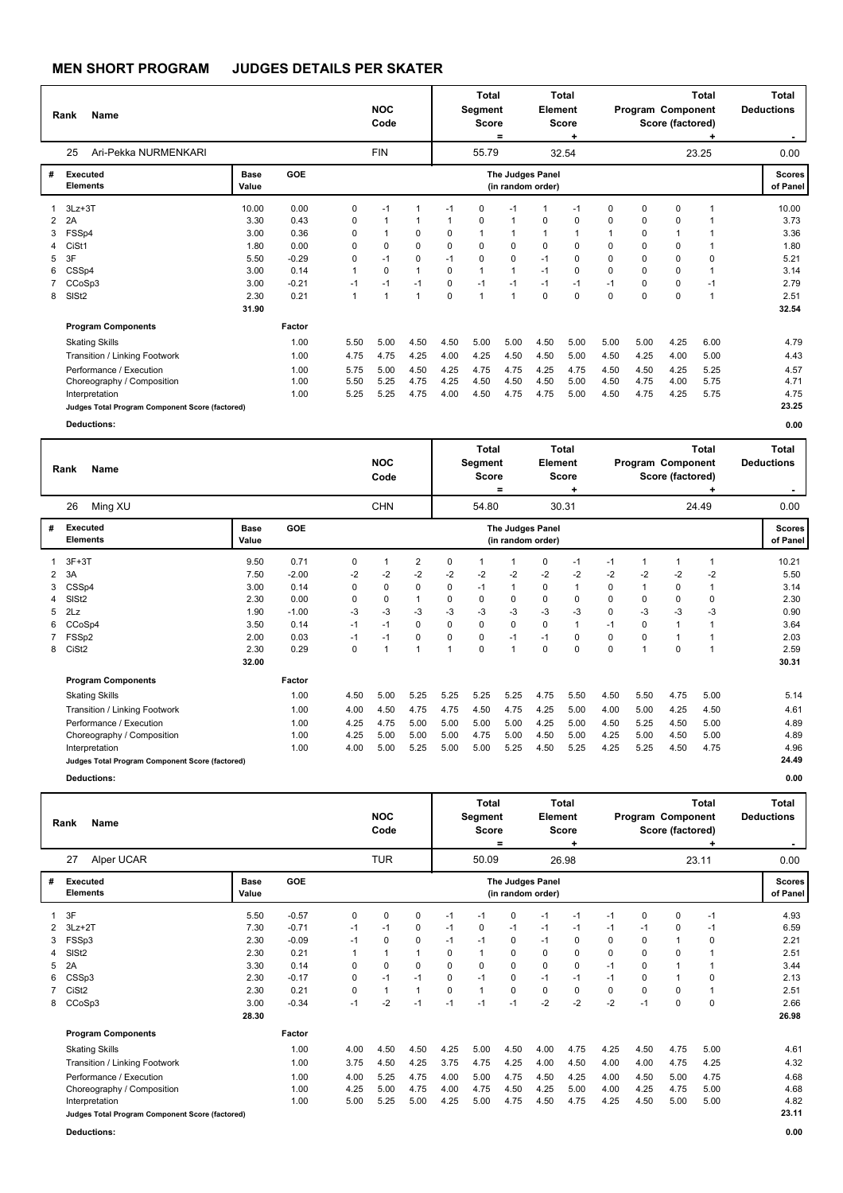|   | <b>Name</b><br>Rank                             |               |         |          | <b>NOC</b><br>Code |                |          | <b>Total</b><br><b>Segment</b><br><b>Score</b> | =    | Element                               | Total<br><b>Score</b> |          |          | Program Component<br>Score (factored) | <b>Total</b><br>٠ | <b>Total</b><br><b>Deductions</b><br>۰. |
|---|-------------------------------------------------|---------------|---------|----------|--------------------|----------------|----------|------------------------------------------------|------|---------------------------------------|-----------------------|----------|----------|---------------------------------------|-------------------|-----------------------------------------|
|   | Ari-Pekka NURMENKARI<br>25                      |               |         |          | <b>FIN</b>         |                |          | 55.79                                          |      |                                       | 32.54                 |          |          |                                       | 23.25             | 0.00                                    |
| # | <b>Executed</b><br><b>Elements</b>              | Base<br>Value | GOE     |          |                    |                |          |                                                |      | The Judges Panel<br>(in random order) |                       |          |          |                                       |                   | <b>Scores</b><br>of Panel               |
|   | $3Lz + 3T$                                      | 10.00         | 0.00    | 0        | $-1$               |                | $-1$     | $\mathbf 0$                                    | $-1$ |                                       | $-1$                  | 0        | 0        | 0                                     | 1                 | 10.00                                   |
| 2 | 2A                                              | 3.30          | 0.43    | 0        |                    |                |          | $\mathbf 0$                                    |      | 0                                     | 0                     | $\Omega$ | 0        | 0                                     | 1                 | 3.73                                    |
| 3 | FSSp4                                           | 3.00          | 0.36    | $\Omega$ |                    | 0              | $\Omega$ | 1                                              |      |                                       | 1                     |          | 0        |                                       |                   | 3.36                                    |
| 4 | CiSt1                                           | 1.80          | 0.00    | $\Omega$ | 0                  | $\Omega$       | $\Omega$ | 0                                              | 0    | 0                                     | 0                     | 0        | $\Omega$ | 0                                     | 1                 | 1.80                                    |
| 5 | 3F                                              | 5.50          | $-0.29$ | 0        | $-1$               | 0              | $-1$     | 0                                              | 0    | $-1$                                  | 0                     | 0        | 0        | 0                                     | $\Omega$          | 5.21                                    |
| 6 | CSSp4                                           | 3.00          | 0.14    | 1        | $\Omega$           | $\overline{1}$ | $\Omega$ | 1                                              |      | $-1$                                  | 0                     | 0        | $\Omega$ | 0                                     | $\overline{1}$    | 3.14                                    |
|   | CCoSp3                                          | 3.00          | $-0.21$ | $-1$     | $-1$               | $-1$           | 0        | $-1$                                           | $-1$ | $-1$                                  | $-1$                  | $-1$     | 0        | 0                                     | $-1$              | 2.79                                    |
| 8 | SIS <sub>t2</sub>                               | 2.30          | 0.21    | 1        | $\overline{1}$     | $\mathbf{1}$   | $\Omega$ | $\mathbf{1}$                                   | -1   | $\Omega$                              | 0                     | $\Omega$ | $\Omega$ | $\Omega$                              | 1                 | 2.51                                    |
|   |                                                 | 31.90         |         |          |                    |                |          |                                                |      |                                       |                       |          |          |                                       |                   | 32.54                                   |
|   | <b>Program Components</b>                       |               | Factor  |          |                    |                |          |                                                |      |                                       |                       |          |          |                                       |                   |                                         |
|   | <b>Skating Skills</b>                           |               | 1.00    | 5.50     | 5.00               | 4.50           | 4.50     | 5.00                                           | 5.00 | 4.50                                  | 5.00                  | 5.00     | 5.00     | 4.25                                  | 6.00              | 4.79                                    |
|   | Transition / Linking Footwork                   |               | 1.00    | 4.75     | 4.75               | 4.25           | 4.00     | 4.25                                           | 4.50 | 4.50                                  | 5.00                  | 4.50     | 4.25     | 4.00                                  | 5.00              | 4.43                                    |
|   | Performance / Execution                         |               | 1.00    | 5.75     | 5.00               | 4.50           | 4.25     | 4.75                                           | 4.75 | 4.25                                  | 4.75                  | 4.50     | 4.50     | 4.25                                  | 5.25              | 4.57                                    |
|   | Choreography / Composition                      |               | 1.00    | 5.50     | 5.25               | 4.75           | 4.25     | 4.50                                           | 4.50 | 4.50                                  | 5.00                  | 4.50     | 4.75     | 4.00                                  | 5.75              | 4.71                                    |
|   | Interpretation                                  |               | 1.00    | 5.25     | 5.25               | 4.75           | 4.00     | 4.50                                           | 4.75 | 4.75                                  | 5.00                  | 4.50     | 4.75     | 4.25                                  | 5.75              | 4.75                                    |
|   | Judges Total Program Component Score (factored) |               |         |          |                    |                |          |                                                |      |                                       |                       |          |          |                                       |                   | 23.25                                   |
|   | <b>Deductions:</b>                              |               |         |          |                    |                |          |                                                |      |                                       |                       |          |          |                                       |                   | 0.00                                    |
|   |                                                 |               |         |          |                    |                |          | Tatal.                                         |      |                                       | <b>Tatal</b>          |          |          |                                       | Tatal.            | Tatal.                                  |

|   | Name<br>Rank                                    |                      |            |      | <b>NOC</b><br>Code |                |          | <b>Total</b><br>Segment<br><b>Score</b> | $=$      | Element                               | <b>Total</b><br><b>Score</b> |      | Program Component | Score (factored) | <b>Total</b> | Total<br><b>Deductions</b> |
|---|-------------------------------------------------|----------------------|------------|------|--------------------|----------------|----------|-----------------------------------------|----------|---------------------------------------|------------------------------|------|-------------------|------------------|--------------|----------------------------|
|   | Ming XU<br>26                                   |                      |            |      | <b>CHN</b>         |                |          | 54.80                                   |          |                                       | 30.31                        |      |                   |                  | 24.49        | 0.00                       |
| # | <b>Executed</b><br><b>Elements</b>              | <b>Base</b><br>Value | <b>GOE</b> |      |                    |                |          |                                         |          | The Judges Panel<br>(in random order) |                              |      |                   |                  |              | <b>Scores</b><br>of Panel  |
|   | $3F+3T$                                         | 9.50                 | 0.71       | 0    |                    | $\overline{2}$ | 0        |                                         | 1        | 0                                     | $-1$                         | $-1$ | 1                 |                  |              | 10.21                      |
| 2 | 3A                                              | 7.50                 | $-2.00$    | $-2$ | -2                 | $-2$           | $-2$     | $-2$                                    | $-2$     | $-2$                                  | $-2$                         | $-2$ | $-2$              | $-2$             | $-2$         | 5.50                       |
| 3 | CSSp4                                           | 3.00                 | 0.14       | 0    | 0                  | 0              | $\Omega$ | $-1$                                    | 1        | $\Omega$                              | 1                            | 0    | 1                 | 0                |              | 3.14                       |
| 4 | SIS <sub>t2</sub>                               | 2.30                 | 0.00       | 0    | 0                  | $\mathbf{1}$   | 0        | $\mathbf 0$                             | 0        | $\Omega$                              | 0                            | 0    | 0                 | 0                | $\mathbf 0$  | 2.30                       |
| 5 | 2Lz                                             | 1.90                 | $-1.00$    | $-3$ | -3                 | -3             | -3       | -3                                      | $-3$     | -3                                    | $-3$                         | 0    | -3                | $-3$             | -3           | 0.90                       |
| 6 | CCoSp4                                          | 3.50                 | 0.14       | $-1$ | $-1$               | $\mathbf 0$    | $\Omega$ | $\mathbf 0$                             | $\Omega$ | $\Omega$                              |                              | $-1$ | 0                 | 1                |              | 3.64                       |
|   | 7 FSSp2                                         | 2.00                 | 0.03       | $-1$ | $-1$               | 0              | $\Omega$ | 0                                       | $-1$     | $-1$                                  | 0                            | 0    | $\Omega$          | 1                |              | 2.03                       |
| 8 | CiSt <sub>2</sub>                               | 2.30                 | 0.29       | 0    |                    | 1              | 1        | $\mathbf 0$                             | 1        | $\Omega$                              | 0                            | 0    | 1                 | $\mathbf 0$      |              | 2.59                       |
|   |                                                 | 32.00                |            |      |                    |                |          |                                         |          |                                       |                              |      |                   |                  |              | 30.31                      |
|   | <b>Program Components</b>                       |                      | Factor     |      |                    |                |          |                                         |          |                                       |                              |      |                   |                  |              |                            |
|   | <b>Skating Skills</b>                           |                      | 1.00       | 4.50 | 5.00               | 5.25           | 5.25     | 5.25                                    | 5.25     | 4.75                                  | 5.50                         | 4.50 | 5.50              | 4.75             | 5.00         | 5.14                       |
|   | Transition / Linking Footwork                   |                      | 1.00       | 4.00 | 4.50               | 4.75           | 4.75     | 4.50                                    | 4.75     | 4.25                                  | 5.00                         | 4.00 | 5.00              | 4.25             | 4.50         | 4.61                       |
|   | Performance / Execution                         |                      | 1.00       | 4.25 | 4.75               | 5.00           | 5.00     | 5.00                                    | 5.00     | 4.25                                  | 5.00                         | 4.50 | 5.25              | 4.50             | 5.00         | 4.89                       |
|   | Choreography / Composition                      |                      | 1.00       | 4.25 | 5.00               | 5.00           | 5.00     | 4.75                                    | 5.00     | 4.50                                  | 5.00                         | 4.25 | 5.00              | 4.50             | 5.00         | 4.89                       |
|   | Interpretation                                  |                      | 1.00       | 4.00 | 5.00               | 5.25           | 5.00     | 5.00                                    | 5.25     | 4.50                                  | 5.25                         | 4.25 | 5.25              | 4.50             | 4.75         | 4.96                       |
|   | Judges Total Program Component Score (factored) |                      |            |      |                    |                |          |                                         |          |                                       |                              |      |                   |                  |              | 24.49                      |
|   | <b>Deductions:</b>                              |                      |            |      |                    |                |          |                                         |          |                                       |                              |      |                   |                  |              | 0.00                       |

|   | <b>Name</b><br>Rank                             |               |         |      | <b>NOC</b><br>Code |                |          | Total<br>Segment<br><b>Score</b> | =    | Element                               | Total<br><b>Score</b><br>٠ |          |          | Program Component<br>Score (factored) | <b>Total</b> | <b>Total</b><br><b>Deductions</b> |
|---|-------------------------------------------------|---------------|---------|------|--------------------|----------------|----------|----------------------------------|------|---------------------------------------|----------------------------|----------|----------|---------------------------------------|--------------|-----------------------------------|
|   | Alper UCAR<br>27                                |               |         |      | <b>TUR</b>         |                |          | 50.09                            |      |                                       | 26.98                      |          |          |                                       | 23.11        | 0.00                              |
| # | Executed<br><b>Elements</b>                     | Base<br>Value | GOE     |      |                    |                |          |                                  |      | The Judges Panel<br>(in random order) |                            |          |          |                                       |              | <b>Scores</b><br>of Panel         |
|   | 3F                                              | 5.50          | $-0.57$ | 0    | 0                  | 0              | $-1$     | $-1$                             | 0    | -1                                    | $-1$                       | $-1$     | 0        | 0                                     | $-1$         | 4.93                              |
|   | $3Lz + 2T$                                      | 7.30          | $-0.71$ | $-1$ | $-1$               | 0              | $-1$     | $\Omega$                         | $-1$ | -1                                    | $-1$                       | $-1$     | $-1$     | 0                                     | $-1$         | 6.59                              |
| 3 | FSSp3                                           | 2.30          | $-0.09$ | $-1$ | $\Omega$           | 0              | $-1$     | $-1$                             | 0    | -1                                    | 0                          | $\Omega$ | $\Omega$ | $\mathbf{1}$                          | 0            | 2.21                              |
| 4 | SISt <sub>2</sub>                               | 2.30          | 0.21    |      |                    | $\overline{1}$ | 0        |                                  | 0    | 0                                     | 0                          | 0        | 0        | 0                                     | 1            | 2.51                              |
| 5 | 2A                                              | 3.30          | 0.14    | 0    | 0                  | $\mathbf 0$    | $\Omega$ | 0                                | 0    | $\mathbf 0$                           | 0                          | $-1$     | 0        |                                       | 1            | 3.44                              |
| 6 | CSSp3                                           | 2.30          | $-0.17$ | 0    | $-1$               | $-1$           | $\Omega$ | $-1$                             | 0    | $-1$                                  | $-1$                       | $-1$     | $\Omega$ |                                       | 0            | 2.13                              |
|   | CiSt <sub>2</sub>                               | 2.30          | 0.21    | 0    |                    |                | 0        |                                  | 0    | 0                                     | 0                          | 0        | $\Omega$ | 0                                     |              | 2.51                              |
| 8 | CCoSp3                                          | 3.00          | $-0.34$ | $-1$ | $-2$               | $-1$           | $-1$     | $-1$                             | $-1$ | $-2$                                  | $-2$                       | $-2$     | $-1$     | $\mathbf 0$                           | 0            | 2.66                              |
|   |                                                 | 28.30         |         |      |                    |                |          |                                  |      |                                       |                            |          |          |                                       |              | 26.98                             |
|   | <b>Program Components</b>                       |               | Factor  |      |                    |                |          |                                  |      |                                       |                            |          |          |                                       |              |                                   |
|   | <b>Skating Skills</b>                           |               | 1.00    | 4.00 | 4.50               | 4.50           | 4.25     | 5.00                             | 4.50 | 4.00                                  | 4.75                       | 4.25     | 4.50     | 4.75                                  | 5.00         | 4.61                              |
|   | Transition / Linking Footwork                   |               | 1.00    | 3.75 | 4.50               | 4.25           | 3.75     | 4.75                             | 4.25 | 4.00                                  | 4.50                       | 4.00     | 4.00     | 4.75                                  | 4.25         | 4.32                              |
|   | Performance / Execution                         |               | 1.00    | 4.00 | 5.25               | 4.75           | 4.00     | 5.00                             | 4.75 | 4.50                                  | 4.25                       | 4.00     | 4.50     | 5.00                                  | 4.75         | 4.68                              |
|   | Choreography / Composition                      |               | 1.00    | 4.25 | 5.00               | 4.75           | 4.00     | 4.75                             | 4.50 | 4.25                                  | 5.00                       | 4.00     | 4.25     | 4.75                                  | 5.00         | 4.68                              |
|   | Interpretation                                  |               | 1.00    | 5.00 | 5.25               | 5.00           | 4.25     | 5.00                             | 4.75 | 4.50                                  | 4.75                       | 4.25     | 4.50     | 5.00                                  | 5.00         | 4.82                              |
|   | Judges Total Program Component Score (factored) |               |         |      |                    |                |          |                                  |      |                                       |                            |          |          |                                       |              | 23.11                             |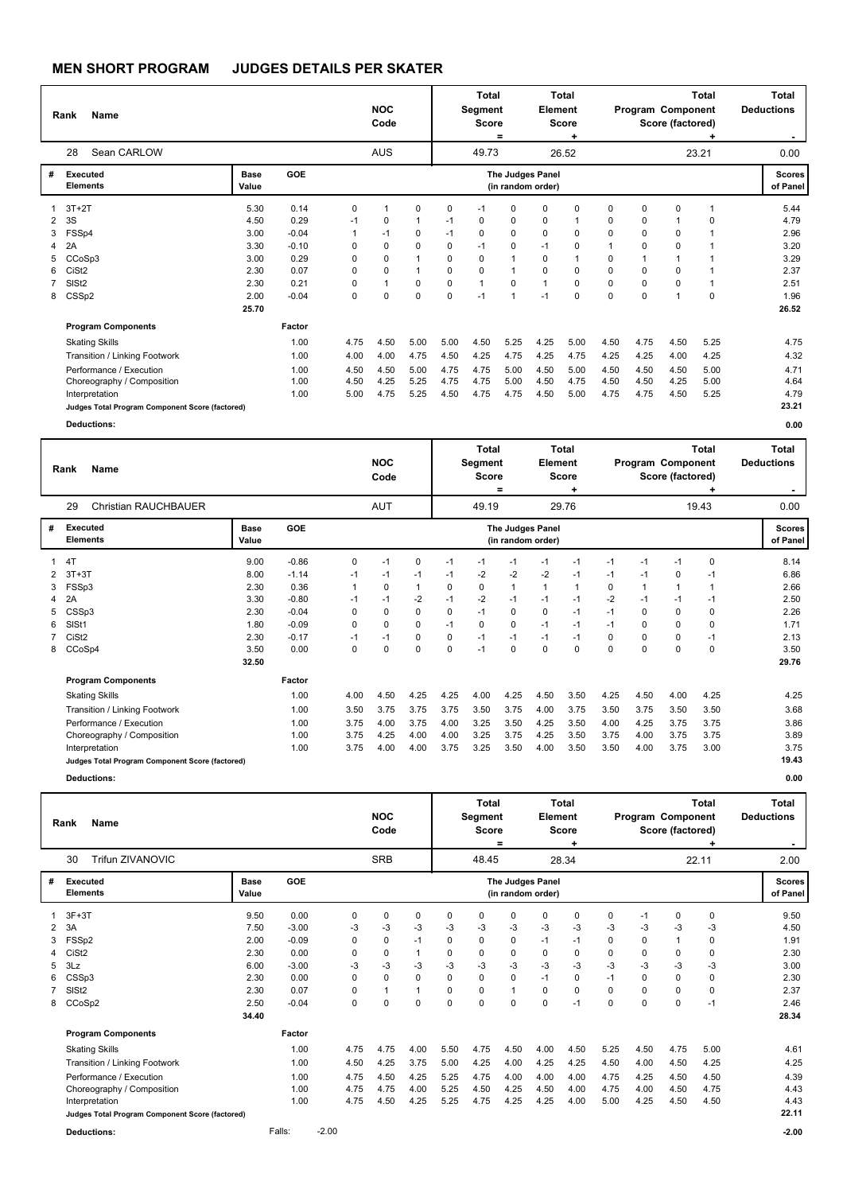|   | Name<br>Rank                                    |               |         |      | <b>NOC</b><br>Code |              |             | <b>Total</b><br>Segment<br><b>Score</b> | $=$                  | Element                               | Total<br>Score<br>÷ |          |                | Program Component<br>Score (factored) | <b>Total</b><br>÷ | <b>Total</b><br><b>Deductions</b> |
|---|-------------------------------------------------|---------------|---------|------|--------------------|--------------|-------------|-----------------------------------------|----------------------|---------------------------------------|---------------------|----------|----------------|---------------------------------------|-------------------|-----------------------------------|
|   | Sean CARLOW<br>28                               |               |         |      | AUS                |              |             | 49.73                                   |                      |                                       | 26.52               |          |                |                                       | 23.21             | 0.00                              |
| # | Executed<br><b>Elements</b>                     | Base<br>Value | GOE     |      |                    |              |             |                                         |                      | The Judges Panel<br>(in random order) |                     |          |                |                                       |                   | <b>Scores</b><br>of Panel         |
|   | $3T+2T$                                         | 5.30          | 0.14    | 0    |                    | 0            | 0           | $-1$                                    | $\Omega$             | 0                                     | $\Omega$            | 0        | $\Omega$       | 0                                     | -1                | 5.44                              |
| 2 | 3S                                              | 4.50          | 0.29    | $-1$ | 0                  | 1            | $-1$        | 0                                       | 0                    | 0                                     | $\mathbf{1}$        | 0        | 0              | 1                                     | <sup>0</sup>      | 4.79                              |
| 3 | FSSp4                                           | 3.00          | $-0.04$ |      | $-1$               | 0            | $-1$        | $\Omega$                                | $\Omega$             | $\Omega$                              | $\Omega$            | 0        | $\Omega$       | 0                                     |                   | 2.96                              |
| 4 | 2A                                              | 3.30          | $-0.10$ | 0    | $\mathbf 0$        | 0            | $\mathbf 0$ | $-1$                                    | $\Omega$             | $-1$                                  | $\mathbf 0$         |          | 0              | 0                                     |                   | 3.20                              |
| 5 | CCoSp3                                          | 3.00          | 0.29    | 0    | $\Omega$           | $\mathbf{1}$ | $\Omega$    | $\Omega$                                | $\blacktriangleleft$ | 0                                     | $\mathbf{1}$        | 0        | $\overline{1}$ | 1                                     |                   | 3.29                              |
| 6 | CiSt <sub>2</sub>                               | 2.30          | 0.07    | 0    | 0                  | $\mathbf{1}$ | $\mathbf 0$ | 0                                       | 1                    | 0                                     | 0                   | 0        | 0              | 0                                     |                   | 2.37                              |
|   | SIS <sub>t2</sub>                               | 2.30          | 0.21    | 0    |                    | 0            | $\mathbf 0$ | $\mathbf{1}$                            | $\Omega$             | 1                                     | $\mathbf 0$         | 0        | $\mathbf 0$    | 0                                     |                   | 2.51                              |
| 8 | CSSp2                                           | 2.00          | $-0.04$ | 0    | $\Omega$           | 0            | $\mathbf 0$ | $-1$                                    | $\overline{1}$       | $-1$                                  | $\Omega$            | $\Omega$ | $\Omega$       | 1                                     | $\Omega$          | 1.96                              |
|   |                                                 | 25.70         |         |      |                    |              |             |                                         |                      |                                       |                     |          |                |                                       |                   | 26.52                             |
|   | <b>Program Components</b>                       |               | Factor  |      |                    |              |             |                                         |                      |                                       |                     |          |                |                                       |                   |                                   |
|   | <b>Skating Skills</b>                           |               | 1.00    | 4.75 | 4.50               | 5.00         | 5.00        | 4.50                                    | 5.25                 | 4.25                                  | 5.00                | 4.50     | 4.75           | 4.50                                  | 5.25              | 4.75                              |
|   | Transition / Linking Footwork                   |               | 1.00    | 4.00 | 4.00               | 4.75         | 4.50        | 4.25                                    | 4.75                 | 4.25                                  | 4.75                | 4.25     | 4.25           | 4.00                                  | 4.25              | 4.32                              |
|   | Performance / Execution                         |               | 1.00    | 4.50 | 4.50               | 5.00         | 4.75        | 4.75                                    | 5.00                 | 4.50                                  | 5.00                | 4.50     | 4.50           | 4.50                                  | 5.00              | 4.71                              |
|   | Choreography / Composition                      |               | 1.00    | 4.50 | 4.25               | 5.25         | 4.75        | 4.75                                    | 5.00                 | 4.50                                  | 4.75                | 4.50     | 4.50           | 4.25                                  | 5.00              | 4.64                              |
|   | Interpretation                                  |               | 1.00    | 5.00 | 4.75               | 5.25         | 4.50        | 4.75                                    | 4.75                 | 4.50                                  | 5.00                | 4.75     | 4.75           | 4.50                                  | 5.25              | 4.79                              |
|   | Judges Total Program Component Score (factored) |               |         |      |                    |              |             |                                         |                      |                                       |                     |          |                |                                       |                   | 23.21                             |
|   | <b>Deductions:</b>                              |               |         |      |                    |              |             |                                         |                      |                                       |                     |          |                |                                       |                   | 0.00                              |
|   |                                                 |               |         |      |                    |              |             | <b>Total</b>                            |                      |                                       | <b>Total</b>        |          |                |                                       | <b>Total</b>      | Total                             |

|   | <b>Name</b><br>Rank                             |                      |         |      | <b>NOC</b><br>Code |          |             | . v.u.<br>Segment<br><b>Score</b> | Ξ        | Element                               | . v.u.<br><b>Score</b> |      |      | Program Component<br>Score (factored) | . v.u.   | . v.u.<br><b>Deductions</b><br>۰. |
|---|-------------------------------------------------|----------------------|---------|------|--------------------|----------|-------------|-----------------------------------|----------|---------------------------------------|------------------------|------|------|---------------------------------------|----------|-----------------------------------|
|   | <b>Christian RAUCHBAUER</b><br>29               |                      |         |      | <b>AUT</b>         |          |             | 49.19                             |          |                                       | 29.76                  |      |      |                                       | 19.43    | 0.00                              |
| # | <b>Executed</b><br><b>Elements</b>              | <b>Base</b><br>Value | GOE     |      |                    |          |             |                                   |          | The Judges Panel<br>(in random order) |                        |      |      |                                       |          | Scores  <br>of Panel              |
|   | 4T                                              | 9.00                 | $-0.86$ | 0    | $-1$               | 0        | $-1$        | -1                                | $-1$     | $-1$                                  | $-1$                   | $-1$ | $-1$ | $-1$                                  | $\Omega$ | 8.14                              |
|   | $3T+3T$                                         | 8.00                 | $-1.14$ | $-1$ | $-1$               | $-1$     | -1          | $-2$                              | $-2$     | $-2$                                  | $-1$                   | $-1$ | $-1$ | 0                                     | $-1$     | 6.86                              |
| 3 | FSSp3                                           | 2.30                 | 0.36    |      | 0                  | 1        | $\mathbf 0$ | 0                                 |          |                                       | $\mathbf{1}$           | 0    |      | 1                                     |          | 2.66                              |
|   | 2A                                              | 3.30                 | $-0.80$ | $-1$ | $-1$               | $-2$     | $-1$        | $-2$                              | -1       | $-1$                                  | $-1$                   | $-2$ | -1   | $-1$                                  | -1       | 2.50                              |
|   | CSSp3                                           | 2.30                 | $-0.04$ | 0    | $\Omega$           | 0        | $\Omega$    | $-1$                              | $\Omega$ | 0                                     | $-1$                   | -1   | 0    | 0                                     | 0        | 2.26                              |
| 6 | SIS <sub>t1</sub>                               | 1.80                 | $-0.09$ | 0    | 0                  | $\Omega$ | $-1$        | $\Omega$                          | $\Omega$ | $-1$                                  | $-1$                   | $-1$ | 0    | 0                                     | $\Omega$ | 1.71                              |
|   | CiSt <sub>2</sub>                               | 2.30                 | $-0.17$ | $-1$ | $-1$               | 0        | 0           | $-1$                              | $-1$     | $-1$                                  | $-1$                   | 0    | 0    | 0                                     | $-1$     | 2.13                              |
|   | 8 CCoSp4                                        | 3.50                 | 0.00    | 0    | 0                  | 0        | 0           | $-1$                              | 0        | 0                                     | 0                      | 0    | 0    | 0                                     | 0        | 3.50                              |
|   |                                                 | 32.50                |         |      |                    |          |             |                                   |          |                                       |                        |      |      |                                       |          | 29.76                             |
|   | <b>Program Components</b>                       |                      | Factor  |      |                    |          |             |                                   |          |                                       |                        |      |      |                                       |          |                                   |
|   | <b>Skating Skills</b>                           |                      | 1.00    | 4.00 | 4.50               | 4.25     | 4.25        | 4.00                              | 4.25     | 4.50                                  | 3.50                   | 4.25 | 4.50 | 4.00                                  | 4.25     | 4.25                              |
|   | Transition / Linking Footwork                   |                      | 1.00    | 3.50 | 3.75               | 3.75     | 3.75        | 3.50                              | 3.75     | 4.00                                  | 3.75                   | 3.50 | 3.75 | 3.50                                  | 3.50     | 3.68                              |
|   | Performance / Execution                         |                      | 1.00    | 3.75 | 4.00               | 3.75     | 4.00        | 3.25                              | 3.50     | 4.25                                  | 3.50                   | 4.00 | 4.25 | 3.75                                  | 3.75     | 3.86                              |
|   | Choreography / Composition                      |                      | 1.00    | 3.75 | 4.25               | 4.00     | 4.00        | 3.25                              | 3.75     | 4.25                                  | 3.50                   | 3.75 | 4.00 | 3.75                                  | 3.75     | 3.89                              |
|   | Interpretation                                  |                      | 1.00    | 3.75 | 4.00               | 4.00     | 3.75        | 3.25                              | 3.50     | 4.00                                  | 3.50                   | 3.50 | 4.00 | 3.75                                  | 3.00     | 3.75                              |
|   | Judges Total Program Component Score (factored) |                      |         |      |                    |          |             |                                   |          |                                       |                        |      |      |                                       |          | 19.43                             |
|   | <b>Deductions:</b>                              |                      |         |      |                    |          |             |                                   |          |                                       |                        |      |      |                                       |          | 0.00                              |

|    | Name<br>Rank                                    |               |         |         |             | <b>NOC</b><br>Code |                |          | <b>Total</b><br>Segment<br><b>Score</b> | =            | Element                               | Total<br><b>Score</b><br>٠ |             |          | Program Component<br>Score (factored) | <b>Total</b> | <b>Total</b><br><b>Deductions</b><br>$\sim$ |
|----|-------------------------------------------------|---------------|---------|---------|-------------|--------------------|----------------|----------|-----------------------------------------|--------------|---------------------------------------|----------------------------|-------------|----------|---------------------------------------|--------------|---------------------------------------------|
|    | Trifun ZIVANOVIC<br>30                          |               |         |         |             | <b>SRB</b>         |                |          | 48.45                                   |              |                                       | 28.34                      |             |          |                                       | 22.11        | 2.00                                        |
| #  | Executed<br><b>Elements</b>                     | Base<br>Value | GOE     |         |             |                    |                |          |                                         |              | The Judges Panel<br>(in random order) |                            |             |          |                                       |              | <b>Scores</b><br>of Panel                   |
|    | $3F+3T$                                         | 9.50          | 0.00    |         | $\Omega$    | $\mathbf 0$        | $\mathbf 0$    | $\Omega$ | 0                                       | 0            | $\Omega$                              | 0                          | $\mathbf 0$ | $-1$     | 0                                     | 0            | 9.50                                        |
| 2  | 3A                                              | 7.50          | $-3.00$ |         | -3          | -3                 | -3             | -3       | $-3$                                    | -3           | -3                                    | $-3$                       | -3          | $-3$     | -3                                    | -3           | 4.50                                        |
| 3  | FSSp2                                           | 2.00          | $-0.09$ |         | 0           | $\Omega$           | $-1$           | 0        | 0                                       | $\Omega$     | $-1$                                  | $-1$                       | $\Omega$    | $\Omega$ | $\mathbf{1}$                          | $\Omega$     | 1.91                                        |
| 4  | CiSt <sub>2</sub>                               | 2.30          | 0.00    |         | 0           | $\mathbf 0$        | $\overline{1}$ | $\Omega$ | $\Omega$                                | $\Omega$     | $\Omega$                              | 0                          | 0           | $\Omega$ | $\Omega$                              | $\Omega$     | 2.30                                        |
| 5. | 3Lz                                             | 6.00          | $-3.00$ |         | -3          | -3                 | -3             | $-3$     | -3                                      | $-3$         | -3                                    | $-3$                       | $-3$        | $-3$     | $-3$                                  | $-3$         | 3.00                                        |
| 6  | CSSp3                                           | 2.30          | 0.00    |         | 0           | $\Omega$           | $\mathbf 0$    | 0        | 0                                       | 0            | $-1$                                  | 0                          | $-1$        | $\Omega$ | $\mathbf 0$                           | 0            | 2.30                                        |
|    | SIS <sub>t2</sub>                               | 2.30          | 0.07    |         | 0           | 1                  | $\overline{1}$ | 0        | 0                                       | $\mathbf{1}$ | 0                                     | 0                          | 0           | 0        | 0                                     | 0            | 2.37                                        |
| 8  | CCoSp2                                          | 2.50          | $-0.04$ |         | $\mathbf 0$ | $\Omega$           | $\mathbf 0$    | $\Omega$ | 0                                       | $\mathbf 0$  | $\mathbf 0$                           | $-1$                       | $\Omega$    | 0        | 0                                     | $-1$         | 2.46                                        |
|    |                                                 | 34.40         |         |         |             |                    |                |          |                                         |              |                                       |                            |             |          |                                       |              | 28.34                                       |
|    | <b>Program Components</b>                       |               | Factor  |         |             |                    |                |          |                                         |              |                                       |                            |             |          |                                       |              |                                             |
|    | <b>Skating Skills</b>                           |               | 1.00    |         | 4.75        | 4.75               | 4.00           | 5.50     | 4.75                                    | 4.50         | 4.00                                  | 4.50                       | 5.25        | 4.50     | 4.75                                  | 5.00         | 4.61                                        |
|    | Transition / Linking Footwork                   |               | 1.00    |         | 4.50        | 4.25               | 3.75           | 5.00     | 4.25                                    | 4.00         | 4.25                                  | 4.25                       | 4.50        | 4.00     | 4.50                                  | 4.25         | 4.25                                        |
|    | Performance / Execution                         |               | 1.00    |         | 4.75        | 4.50               | 4.25           | 5.25     | 4.75                                    | 4.00         | 4.00                                  | 4.00                       | 4.75        | 4.25     | 4.50                                  | 4.50         | 4.39                                        |
|    | Choreography / Composition                      |               | 1.00    |         | 4.75        | 4.75               | 4.00           | 5.25     | 4.50                                    | 4.25         | 4.50                                  | 4.00                       | 4.75        | 4.00     | 4.50                                  | 4.75         | 4.43                                        |
|    | Interpretation                                  |               | 1.00    |         | 4.75        | 4.50               | 4.25           | 5.25     | 4.75                                    | 4.25         | 4.25                                  | 4.00                       | 5.00        | 4.25     | 4.50                                  | 4.50         | 4.43                                        |
|    | Judges Total Program Component Score (factored) |               |         |         |             |                    |                |          |                                         |              |                                       |                            |             |          |                                       |              | 22.11                                       |
|    | <b>Deductions:</b>                              |               | Falls:  | $-2.00$ |             |                    |                |          |                                         |              |                                       |                            |             |          |                                       |              | $-2.00$                                     |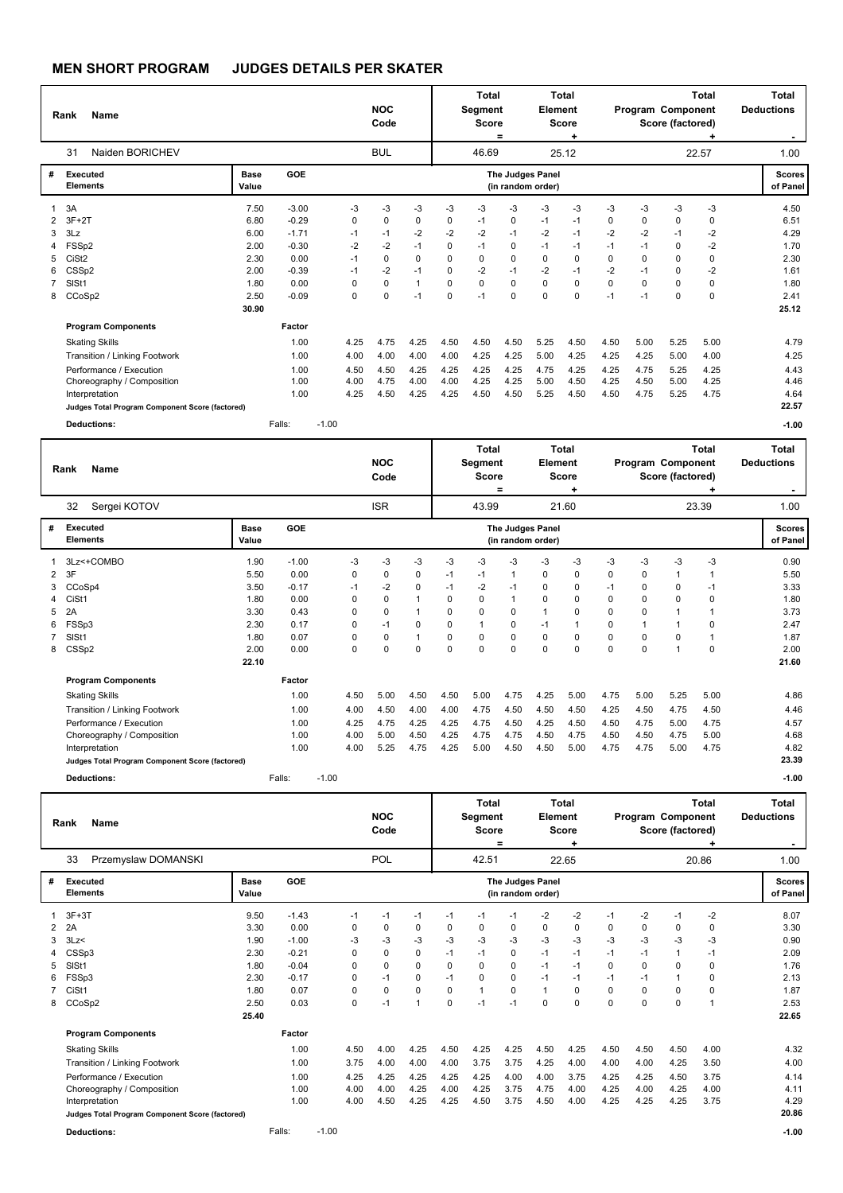|                               | <b>Name</b><br>Rank                                                                                                                                                                                                                     |                                      |                                                          |                                                 | <b>NOC</b><br>Code                           |                                          |                                      | <b>Total</b><br>Segment<br><b>Score</b>        | $=$                                  | Element                                | <b>Total</b><br><b>Score</b><br>÷    |                                                 | Program Component                            | Score (factored)                           | <b>Total</b><br>÷                    | <b>Total</b><br><b>Deductions</b>                        |
|-------------------------------|-----------------------------------------------------------------------------------------------------------------------------------------------------------------------------------------------------------------------------------------|--------------------------------------|----------------------------------------------------------|-------------------------------------------------|----------------------------------------------|------------------------------------------|--------------------------------------|------------------------------------------------|--------------------------------------|----------------------------------------|--------------------------------------|-------------------------------------------------|----------------------------------------------|--------------------------------------------|--------------------------------------|----------------------------------------------------------|
|                               | Naiden BORICHEV<br>31                                                                                                                                                                                                                   |                                      |                                                          |                                                 | <b>BUL</b>                                   |                                          |                                      | 46.69                                          |                                      |                                        | 25.12                                |                                                 |                                              |                                            | 22.57                                | 1.00                                                     |
| #                             | <b>Executed</b><br><b>Elements</b>                                                                                                                                                                                                      | <b>Base</b><br>Value                 | GOE                                                      |                                                 |                                              |                                          |                                      |                                                |                                      | The Judges Panel<br>(in random order)  |                                      |                                                 |                                              |                                            |                                      | <b>Scores</b><br>of Panel                                |
| $\overline{2}$<br>3<br>4<br>5 | 3A<br>$3F+2T$<br>3Lz<br>FSSp2<br>CiSt <sub>2</sub>                                                                                                                                                                                      | 7.50<br>6.80<br>6.00<br>2.00<br>2.30 | $-3.00$<br>$-0.29$<br>$-1.71$<br>$-0.30$<br>0.00         | -3<br>0<br>$-1$<br>$-2$<br>$-1$                 | $-3$<br>$\Omega$<br>$-1$<br>$-2$<br>$\Omega$ | $-3$<br>$\mathbf 0$<br>$-2$<br>$-1$<br>0 | $-3$<br>0<br>$-2$<br>0<br>0          | $-3$<br>$-1$<br>$-2$<br>$-1$<br>0              | $-3$<br>0<br>$-1$<br>0<br>$\Omega$   | -3<br>$-1$<br>$-2$<br>$-1$<br>$\Omega$ | $-3$<br>$-1$<br>$-1$<br>$-1$<br>0    | $-3$<br>$\mathbf 0$<br>$-2$<br>$-1$<br>$\Omega$ | $-3$<br>$\Omega$<br>$-2$<br>$-1$<br>$\Omega$ | -3<br>$\mathbf 0$<br>$-1$<br>0<br>$\Omega$ | $-3$<br>0<br>$-2$<br>$-2$<br>0       | 4.50<br>6.51<br>4.29<br>1.70<br>2.30                     |
| 6<br>$\overline{7}$<br>8      | CSSp2<br>SISt1<br>CCoSp2                                                                                                                                                                                                                | 2.00<br>1.80<br>2.50<br>30.90        | $-0.39$<br>0.00<br>$-0.09$                               | $-1$<br>0<br>0                                  | $-2$<br>$\mathbf 0$<br>$\mathbf 0$           | $-1$<br>$\mathbf{1}$<br>$-1$             | $\Omega$<br>0<br>$\Omega$            | $-2$<br>$\mathbf 0$<br>$-1$                    | $-1$<br>0<br>$\Omega$                | $-2$<br>$\mathbf 0$<br>$\Omega$        | $-1$<br>$\mathbf 0$<br>$\Omega$      | $-2$<br>$\mathbf 0$<br>$-1$                     | $-1$<br>0<br>$-1$                            | $\Omega$<br>$\mathbf 0$<br>$\mathbf 0$     | $-2$<br>0<br>0                       | 1.61<br>1.80<br>2.41<br>25.12                            |
|                               | <b>Program Components</b><br><b>Skating Skills</b><br>Transition / Linking Footwork<br>Performance / Execution<br>Choreography / Composition<br>Interpretation<br>Judges Total Program Component Score (factored)<br><b>Deductions:</b> |                                      | Factor<br>1.00<br>1.00<br>1.00<br>1.00<br>1.00<br>Falls: | 4.25<br>4.00<br>4.50<br>4.00<br>4.25<br>$-1.00$ | 4.75<br>4.00<br>4.50<br>4.75<br>4.50         | 4.25<br>4.00<br>4.25<br>4.00<br>4.25     | 4.50<br>4.00<br>4.25<br>4.00<br>4.25 | 4.50<br>4.25<br>4.25<br>4.25<br>4.50           | 4.50<br>4.25<br>4.25<br>4.25<br>4.50 | 5.25<br>5.00<br>4.75<br>5.00<br>5.25   | 4.50<br>4.25<br>4.25<br>4.50<br>4.50 | 4.50<br>4.25<br>4.25<br>4.25<br>4.50            | 5.00<br>4.25<br>4.75<br>4.50<br>4.75         | 5.25<br>5.00<br>5.25<br>5.00<br>5.25       | 5.00<br>4.00<br>4.25<br>4.25<br>4.75 | 4.79<br>4.25<br>4.43<br>4.46<br>4.64<br>22.57<br>$-1.00$ |
|                               | <b>Name</b><br>Rank                                                                                                                                                                                                                     |                                      |                                                          |                                                 | <b>NOC</b><br>Code                           |                                          |                                      | <b>Total</b><br><b>Segment</b><br><b>Score</b> | $\equiv$                             | Element                                | <b>Total</b><br>Score<br>÷           |                                                 | Program Component                            | Score (factored)                           | <b>Total</b>                         | <b>Total</b><br><b>Deductions</b><br>$\blacksquare$      |
|                               | Sergei KOTOV<br>32                                                                                                                                                                                                                      |                                      |                                                          |                                                 | <b>ISR</b>                                   |                                          |                                      | 43.99                                          |                                      |                                        | 21.60                                |                                                 |                                              |                                            | 23.39                                | 1.00                                                     |

|                      | ےں<br><b>DEIGELINOTOV</b>                       |                      |            |         |      | רוטו |      |          | 40.99       |                                       |      | <b>41.00</b> |          |      |      | 20.09    | <b>UU</b>          |
|----------------------|-------------------------------------------------|----------------------|------------|---------|------|------|------|----------|-------------|---------------------------------------|------|--------------|----------|------|------|----------|--------------------|
| #                    | Executed<br><b>Elements</b>                     | <b>Base</b><br>Value | <b>GOE</b> |         |      |      |      |          |             | The Judges Panel<br>(in random order) |      |              |          |      |      |          | Scores<br>of Panel |
|                      | 3Lz<+COMBO                                      | 1.90                 | $-1.00$    |         | -3   | -3   | -3   | $-3$     | -3          | -3                                    | -3   | -3           | -3       | -3   | -3   | -3       | 0.90               |
| $\mathbf{2}^{\circ}$ | 3F                                              | 5.50                 | 0.00       |         | 0    | 0    | 0    | $-1$     | $-1$        |                                       | 0    | 0            | 0        | 0    |      |          | 5.50               |
|                      | 3 CCoSp4                                        | 3.50                 | $-0.17$    |         | $-1$ | $-2$ | 0    | $-1$     | $-2$        | $-1$                                  | 0    | 0            | $-1$     | 0    | 0    | $-1$     | 3.33               |
| 4                    | CiSt1                                           | 1.80                 | 0.00       |         | 0    | 0    |      | $\Omega$ | $\mathbf 0$ |                                       | 0    | 0            | $\Omega$ | 0    | 0    | $\Omega$ | 1.80               |
| 5                    | 2A                                              | 3.30                 | 0.43       |         | 0    | 0    |      | 0        | $\mathbf 0$ | 0                                     |      | 0            | $\Omega$ | 0    |      |          | 3.73               |
| 6                    | FSSp3                                           | 2.30                 | 0.17       |         | 0    | $-1$ | 0    | 0        |             | 0                                     | $-1$ | 1            | 0        |      |      | 0        | 2.47               |
|                      | 7 SISt1                                         | 1.80                 | 0.07       |         | 0    | 0    |      | $\Omega$ | 0           | 0                                     | 0    | 0            | $\Omega$ | 0    | 0    |          | 1.87               |
|                      | 8 CSSp2                                         | 2.00                 | 0.00       |         | 0    | 0    | 0    | 0        | $\mathbf 0$ | 0                                     | 0    | 0            | $\Omega$ | 0    |      | 0        | 2.00               |
|                      |                                                 | 22.10                |            |         |      |      |      |          |             |                                       |      |              |          |      |      |          | 21.60              |
|                      | <b>Program Components</b>                       |                      | Factor     |         |      |      |      |          |             |                                       |      |              |          |      |      |          |                    |
|                      | <b>Skating Skills</b>                           |                      | 1.00       |         | 4.50 | 5.00 | 4.50 | 4.50     | 5.00        | 4.75                                  | 4.25 | 5.00         | 4.75     | 5.00 | 5.25 | 5.00     | 4.86               |
|                      | Transition / Linking Footwork                   |                      | 1.00       |         | 4.00 | 4.50 | 4.00 | 4.00     | 4.75        | 4.50                                  | 4.50 | 4.50         | 4.25     | 4.50 | 4.75 | 4.50     | 4.46               |
|                      | Performance / Execution                         |                      | 1.00       |         | 4.25 | 4.75 | 4.25 | 4.25     | 4.75        | 4.50                                  | 4.25 | 4.50         | 4.50     | 4.75 | 5.00 | 4.75     | 4.57               |
|                      | Choreography / Composition                      |                      | 1.00       |         | 4.00 | 5.00 | 4.50 | 4.25     | 4.75        | 4.75                                  | 4.50 | 4.75         | 4.50     | 4.50 | 4.75 | 5.00     | 4.68               |
|                      | Interpretation                                  |                      | 1.00       |         | 4.00 | 5.25 | 4.75 | 4.25     | 5.00        | 4.50                                  | 4.50 | 5.00         | 4.75     | 4.75 | 5.00 | 4.75     | 4.82               |
|                      | Judges Total Program Component Score (factored) |                      |            |         |      |      |      |          |             |                                       |      |              |          |      |      |          | 23.39              |
|                      | <b>Deductions:</b>                              |                      | Falls:     | $-1.00$ |      |      |      |          |             |                                       |      |              |          |      |      |          | $-1.00$            |

| Rank | <b>Name</b>         | <b>NOC</b><br>Code | Total<br>Segment<br><b>Score</b><br>$=$ | <b>Total</b><br>Element<br><b>Score</b> | <b>Total</b><br>Program Component<br>Score (factored) | <b>Total</b><br><b>Deductions</b><br>$\sim$ |
|------|---------------------|--------------------|-----------------------------------------|-----------------------------------------|-------------------------------------------------------|---------------------------------------------|
| 33   | Przemyslaw DOMANSKI | POL                | 42.51                                   | 22.65                                   | 20.86                                                 | 1.00                                        |

| # | Executed<br><b>Elements</b>                     | <b>Base</b><br>Value | <b>GOE</b> |         |      |      |                         |      |      |      | The Judges Panel<br>(in random order) |             |      |          |             |          | <b>Scores</b><br>of Panel |
|---|-------------------------------------------------|----------------------|------------|---------|------|------|-------------------------|------|------|------|---------------------------------------|-------------|------|----------|-------------|----------|---------------------------|
|   | 3F+3T                                           | 9.50                 | $-1.43$    |         | $-1$ | $-1$ | $-1$                    | $-1$ | -1   | $-1$ | -2                                    | -2          | $-1$ | $-2$     | $-1$        | $-2$     | 8.07                      |
|   | 2 2A                                            | 3.30                 | 0.00       |         | 0    | 0    | 0                       | 0    | 0    | 0    | $\Omega$                              | 0           | 0    | $\Omega$ | 0           | 0        | 3.30                      |
| 3 | 3Lz                                             | 1.90                 | $-1.00$    |         | -3   | -3   | $-3$                    | -3   | $-3$ | -3   | -3                                    | $-3$        | -3   | $-3$     | $-3$        | -3       | 0.90                      |
| 4 | CSSp3                                           | 2.30                 | $-0.21$    |         | 0    | 0    | 0                       | $-1$ | $-1$ | 0    | $-1$                                  | $-1$        | $-1$ | $-1$     | 1           | $-1$     | 2.09                      |
|   | 5 SISt1                                         | 1.80                 | $-0.04$    |         | 0    | 0    | 0                       | 0    | 0    | 0    | $-1$                                  | $-1$        | 0    | $\Omega$ | 0           | 0        | 1.76                      |
|   | 6 FSSp3                                         | 2.30                 | $-0.17$    |         | 0    | $-1$ | 0                       | $-1$ | 0    | 0    | $-1$                                  | $-1$        | $-1$ | -1       |             | 0        | 2.13                      |
|   | 7 CiSt1                                         | 1.80                 | 0.07       |         | 0    | 0    | 0                       | 0    |      | 0    |                                       | 0           | 0    | $\Omega$ | 0           | $\Omega$ | 1.87                      |
|   | 8 CCoSp2                                        | 2.50                 | 0.03       |         | 0    | $-1$ | $\overline{\mathbf{A}}$ | 0    | $-1$ | $-1$ | $\Omega$                              | $\mathbf 0$ | 0    | $\Omega$ | $\mathbf 0$ |          | 2.53                      |
|   |                                                 | 25.40                |            |         |      |      |                         |      |      |      |                                       |             |      |          |             |          | 22.65                     |
|   | <b>Program Components</b>                       |                      | Factor     |         |      |      |                         |      |      |      |                                       |             |      |          |             |          |                           |
|   | <b>Skating Skills</b>                           |                      | 1.00       |         | 4.50 | 4.00 | 4.25                    | 4.50 | 4.25 | 4.25 | 4.50                                  | 4.25        | 4.50 | 4.50     | 4.50        | 4.00     | 4.32                      |
|   | Transition / Linking Footwork                   |                      | 1.00       |         | 3.75 | 4.00 | 4.00                    | 4.00 | 3.75 | 3.75 | 4.25                                  | 4.00        | 4.00 | 4.00     | 4.25        | 3.50     | 4.00                      |
|   | Performance / Execution                         |                      | 1.00       |         | 4.25 | 4.25 | 4.25                    | 4.25 | 4.25 | 4.00 | 4.00                                  | 3.75        | 4.25 | 4.25     | 4.50        | 3.75     | 4.14                      |
|   | Choreography / Composition                      |                      | 1.00       |         | 4.00 | 4.00 | 4.25                    | 4.00 | 4.25 | 3.75 | 4.75                                  | 4.00        | 4.25 | 4.00     | 4.25        | 4.00     | 4.11                      |
|   | Interpretation                                  |                      | 1.00       |         | 4.00 | 4.50 | 4.25                    | 4.25 | 4.50 | 3.75 | 4.50                                  | 4.00        | 4.25 | 4.25     | 4.25        | 3.75     | 4.29                      |
|   | Judges Total Program Component Score (factored) |                      |            |         |      |      |                         |      |      |      |                                       |             |      |          |             |          | 20.86                     |
|   | <b>Deductions:</b>                              |                      | Falls:     | $-1.00$ |      |      |                         |      |      |      |                                       |             |      |          |             |          | $-1.00$                   |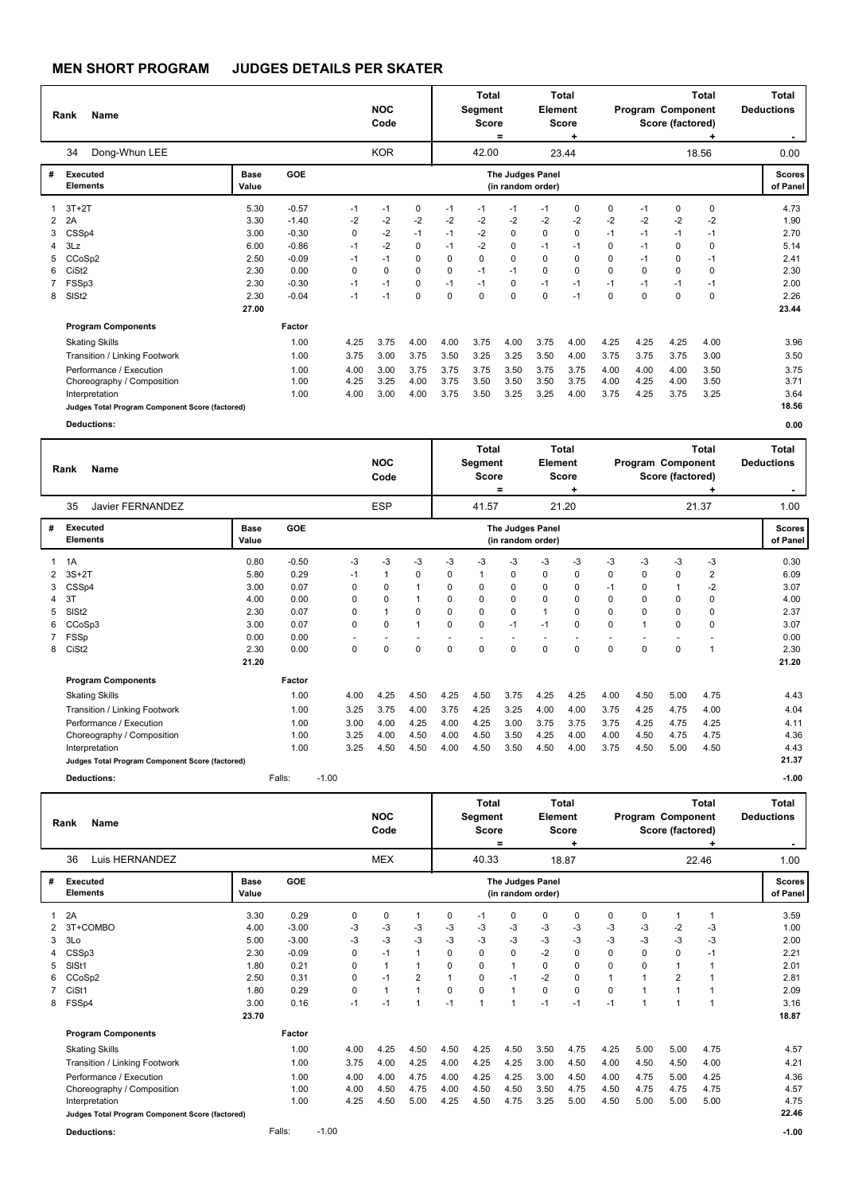|   | Name<br>Rank<br>Dong-Whun LEE<br>34             |                      |         |      | <b>NOC</b><br>Code |             |          | <b>Total</b><br>Segment<br><b>Score</b> | =    | Element                               | Total<br><b>Score</b> |          |          | Program Component<br>Score (factored) | <b>Total</b> | <b>Total</b><br><b>Deductions</b><br>. . |
|---|-------------------------------------------------|----------------------|---------|------|--------------------|-------------|----------|-----------------------------------------|------|---------------------------------------|-----------------------|----------|----------|---------------------------------------|--------------|------------------------------------------|
|   |                                                 |                      |         |      | <b>KOR</b>         |             |          | 42.00                                   |      |                                       | 23.44                 |          |          |                                       | 18.56        | 0.00                                     |
| # | Executed<br><b>Elements</b>                     | <b>Base</b><br>Value | GOE     |      |                    |             |          |                                         |      | The Judges Panel<br>(in random order) |                       |          |          |                                       |              | <b>Scores</b><br>of Panel                |
|   | $3T+2T$                                         | 5.30                 | $-0.57$ | -1   | $-1$               | 0           | $-1$     | $-1$                                    | $-1$ | $-1$                                  | 0                     | 0        | -1       | 0                                     | 0            | 4.73                                     |
| 2 | 2A                                              | 3.30                 | $-1.40$ | $-2$ | $-2$               | $-2$        | $-2$     | $-2$                                    | $-2$ | $-2$                                  | $-2$                  | $-2$     | $-2$     | $-2$                                  | $-2$         | 1.90                                     |
| 3 | CSSp4                                           | 3.00                 | $-0.30$ | 0    | $-2$               | $-1$        | $-1$     | $-2$                                    | 0    | $\Omega$                              | 0                     | $-1$     | $-1$     | $-1$                                  | $-1$         | 2.70                                     |
| 4 | 3Lz                                             | 6.00                 | $-0.86$ | $-1$ | $-2$               | 0           | $-1$     | $-2$                                    | 0    | $-1$                                  | $-1$                  | 0        | $-1$     | 0                                     | 0            | 5.14                                     |
| 5 | CCoSp2                                          | 2.50                 | $-0.09$ | $-1$ | $-1$               | $\mathbf 0$ | $\Omega$ | 0                                       | 0    | $\Omega$                              | 0                     | $\Omega$ | $-1$     | 0                                     | $-1$         | 2.41                                     |
| 6 | CiSt <sub>2</sub>                               | 2.30                 | 0.00    | 0    | $\Omega$           | $\mathbf 0$ | $\Omega$ | $-1$                                    | $-1$ | $\Omega$                              | 0                     | $\Omega$ | $\Omega$ | 0                                     | $\Omega$     | 2.30                                     |
|   | FSSp3                                           | 2.30                 | $-0.30$ | -1   | $-1$               | 0           | $-1$     | $-1$                                    | 0    | $-1$                                  | $-1$                  | $-1$     | $-1$     | $-1$                                  | $-1$         | 2.00                                     |
| 8 | SISt <sub>2</sub>                               | 2.30                 | $-0.04$ | $-1$ | $-1$               | 0           | $\Omega$ | $\Omega$                                | 0    | 0                                     | $-1$                  | $\Omega$ | $\Omega$ | $\mathbf 0$                           | $\Omega$     | 2.26                                     |
|   |                                                 | 27.00                |         |      |                    |             |          |                                         |      |                                       |                       |          |          |                                       |              | 23.44                                    |
|   | <b>Program Components</b>                       |                      | Factor  |      |                    |             |          |                                         |      |                                       |                       |          |          |                                       |              |                                          |
|   | <b>Skating Skills</b>                           |                      | 1.00    | 4.25 | 3.75               | 4.00        | 4.00     | 3.75                                    | 4.00 | 3.75                                  | 4.00                  | 4.25     | 4.25     | 4.25                                  | 4.00         | 3.96                                     |
|   | Transition / Linking Footwork                   |                      | 1.00    | 3.75 | 3.00               | 3.75        | 3.50     | 3.25                                    | 3.25 | 3.50                                  | 4.00                  | 3.75     | 3.75     | 3.75                                  | 3.00         | 3.50                                     |
|   | Performance / Execution                         |                      | 1.00    | 4.00 | 3.00               | 3.75        | 3.75     | 3.75                                    | 3.50 | 3.75                                  | 3.75                  | 4.00     | 4.00     | 4.00                                  | 3.50         | 3.75                                     |
|   | Choreography / Composition                      |                      | 1.00    | 4.25 | 3.25               | 4.00        | 3.75     | 3.50                                    | 3.50 | 3.50                                  | 3.75                  | 4.00     | 4.25     | 4.00                                  | 3.50         | 3.71                                     |
|   | Interpretation                                  |                      | 1.00    | 4.00 | 3.00               | 4.00        | 3.75     | 3.50                                    | 3.25 | 3.25                                  | 4.00                  | 3.75     | 4.25     | 3.75                                  | 3.25         | 3.64                                     |
|   | Judges Total Program Component Score (factored) |                      |         |      |                    |             |          |                                         |      |                                       |                       |          |          |                                       |              | 18.56                                    |
|   | <b>Deductions:</b>                              |                      |         |      |                    |             |          |                                         |      |                                       |                       |          |          |                                       |              | 0.00                                     |

|   | Name<br>Rank                                    |               |            |         |      | <b>NOC</b><br>Code |      |      | <b>Total</b><br>Segment<br><b>Score</b> | =        | <b>Element</b>                        | Total<br><b>Score</b><br>٠ |          | Program Component | Score (factored) | Total<br>٠     | <b>Total</b><br><b>Deductions</b><br>$\sim$ |
|---|-------------------------------------------------|---------------|------------|---------|------|--------------------|------|------|-----------------------------------------|----------|---------------------------------------|----------------------------|----------|-------------------|------------------|----------------|---------------------------------------------|
|   | 35<br>Javier FERNANDEZ                          |               |            |         |      | <b>ESP</b>         |      |      | 41.57                                   |          |                                       | 21.20                      |          |                   |                  | 21.37          | 1.00                                        |
| # | <b>Executed</b><br><b>Elements</b>              | Base<br>Value | <b>GOE</b> |         |      |                    |      |      |                                         |          | The Judges Panel<br>(in random order) |                            |          |                   |                  |                | <b>Scores</b><br>of Panel                   |
|   | 1A                                              | 0.80          | $-0.50$    |         | $-3$ | $-3$               | $-3$ | -3   | -3                                      | $-3$     | -3                                    | -3                         | -3       | $-3$              | $-3$             | $-3$           | 0.30                                        |
|   | $3S+2T$                                         | 5.80          | 0.29       |         | $-1$ |                    | 0    | 0    | $\overline{1}$                          | 0        | 0                                     | 0                          | 0        | 0                 | 0                | $\overline{2}$ | 6.09                                        |
|   | CSSp4                                           | 3.00          | 0.07       |         | 0    | 0                  | 1    | 0    | 0                                       | 0        | 0                                     | 0                          | $-1$     | 0                 |                  | $-2$           | 3.07                                        |
| 4 | 3T                                              | 4.00          | 0.00       |         | 0    | $\Omega$           |      | 0    | $\mathbf 0$                             | $\Omega$ | 0                                     | 0                          | $\Omega$ | 0                 | 0                | $\Omega$       | 4.00                                        |
| 5 | SIS <sub>t2</sub>                               | 2.30          | 0.07       |         | 0    |                    | 0    | 0    | $\mathbf 0$                             | $\Omega$ |                                       | 0                          | $\Omega$ | $\Omega$          | 0                | $\Omega$       | 2.37                                        |
| 6 | CCoSp3                                          | 3.00          | 0.07       |         | 0    | $\Omega$           | 1    | 0    | $\mathbf 0$                             | $-1$     | $-1$                                  | 0                          | $\Omega$ | $\overline{1}$    | 0                | 0              | 3.07                                        |
|   | FSSp                                            | 0.00          | 0.00       |         |      |                    |      |      |                                         |          |                                       |                            |          |                   |                  |                | 0.00                                        |
| 8 | CiSt <sub>2</sub>                               | 2.30          | 0.00       |         | 0    | $\Omega$           | 0    | 0    | 0                                       | 0        | 0                                     | 0                          | $\Omega$ | 0                 | 0                | $\overline{1}$ | 2.30                                        |
|   |                                                 | 21.20         |            |         |      |                    |      |      |                                         |          |                                       |                            |          |                   |                  |                | 21.20                                       |
|   | <b>Program Components</b>                       |               | Factor     |         |      |                    |      |      |                                         |          |                                       |                            |          |                   |                  |                |                                             |
|   | <b>Skating Skills</b>                           |               | 1.00       |         | 4.00 | 4.25               | 4.50 | 4.25 | 4.50                                    | 3.75     | 4.25                                  | 4.25                       | 4.00     | 4.50              | 5.00             | 4.75           | 4.43                                        |
|   | Transition / Linking Footwork                   |               | 1.00       |         | 3.25 | 3.75               | 4.00 | 3.75 | 4.25                                    | 3.25     | 4.00                                  | 4.00                       | 3.75     | 4.25              | 4.75             | 4.00           | 4.04                                        |
|   | Performance / Execution                         |               | 1.00       |         | 3.00 | 4.00               | 4.25 | 4.00 | 4.25                                    | 3.00     | 3.75                                  | 3.75                       | 3.75     | 4.25              | 4.75             | 4.25           | 4.11                                        |
|   | Choreography / Composition                      |               | 1.00       |         | 3.25 | 4.00               | 4.50 | 4.00 | 4.50                                    | 3.50     | 4.25                                  | 4.00                       | 4.00     | 4.50              | 4.75             | 4.75           | 4.36                                        |
|   | Interpretation                                  |               | 1.00       |         | 3.25 | 4.50               | 4.50 | 4.00 | 4.50                                    | 3.50     | 4.50                                  | 4.00                       | 3.75     | 4.50              | 5.00             | 4.50           | 4.43                                        |
|   | Judges Total Program Component Score (factored) |               |            |         |      |                    |      |      |                                         |          |                                       |                            |          |                   |                  |                | 21.37                                       |
|   | <b>Deductions:</b>                              |               | Falls:     | $-1.00$ |      |                    |      |      |                                         |          |                                       |                            |          |                   |                  |                | $-1.00$                                     |

|   | <b>Name</b><br>Rank                             |               |         |         |      | <b>NOC</b><br>Code |                |                | <b>Total</b><br>Segment<br><b>Score</b> | $=$          | Element                               | <b>Total</b><br><b>Score</b><br>٠ |          | Program Component | Score (factored) | <b>Total</b> | <b>Total</b><br><b>Deductions</b> |
|---|-------------------------------------------------|---------------|---------|---------|------|--------------------|----------------|----------------|-----------------------------------------|--------------|---------------------------------------|-----------------------------------|----------|-------------------|------------------|--------------|-----------------------------------|
|   | Luis HERNANDEZ<br>36                            |               |         |         |      | <b>MEX</b>         |                |                | 40.33                                   |              |                                       | 18.87                             |          |                   |                  | 22.46        | 1.00                              |
| # | <b>Executed</b><br><b>Elements</b>              | Base<br>Value | GOE     |         |      |                    |                |                |                                         |              | The Judges Panel<br>(in random order) |                                   |          |                   |                  |              | <b>Scores</b><br>of Panel         |
| 1 | 2A                                              | 3.30          | 0.29    |         | 0    | 0                  | $\overline{1}$ | 0              | $-1$                                    | 0            | 0                                     | 0                                 | 0        | 0                 |                  | 1            | 3.59                              |
|   | 3T+COMBO                                        | 4.00          | $-3.00$ |         | -3   | $-3$               | -3             | $-3$           | -3                                      | $-3$         | -3                                    | -3                                | -3       | -3                | $-2$             | -3           | 1.00                              |
| 3 | 3Lo                                             | 5.00          | $-3.00$ |         | -3   | $-3$               | $-3$           | $-3$           | $-3$                                    | $-3$         | -3                                    | $-3$                              | -3       | -3                | $-3$             | -3           | 2.00                              |
|   | CSSp3                                           | 2.30          | $-0.09$ |         | 0    | $-1$               | $\mathbf{1}$   | 0              | $\Omega$                                | 0            | $-2$                                  | $\mathbf 0$                       | 0        | $\Omega$          | 0                | $-1$         | 2.21                              |
| 5 | SIS <sub>t1</sub>                               | 1.80          | 0.21    |         | 0    | $\mathbf{1}$       | $\mathbf 1$    | 0              | $\Omega$                                | $\mathbf{1}$ | $\Omega$                              | 0                                 | $\Omega$ | $\Omega$          | $\overline{1}$   |              | 2.01                              |
| 6 | CCoSp2                                          | 2.50          | 0.31    |         | 0    | $-1$               | $\overline{2}$ | $\overline{ }$ | $\Omega$                                | $-1$         | $-2$                                  | 0                                 |          |                   | $\overline{2}$   |              | 2.81                              |
|   | CiSt1                                           | 1.80          | 0.29    |         | 0    | 1                  | $\mathbf{1}$   | $\Omega$       | $\Omega$                                | $\mathbf{1}$ | $\Omega$                              | 0                                 | 0        |                   |                  | 1            | 2.09                              |
| 8 | FSSp4                                           | 3.00          | 0.16    |         | $-1$ | $-1$               | $\mathbf{1}$   | $-1$           | $\overline{\mathbf{1}}$                 | 1            | $-1$                                  | $-1$                              | $-1$     |                   | 1                | 1            | 3.16                              |
|   |                                                 | 23.70         |         |         |      |                    |                |                |                                         |              |                                       |                                   |          |                   |                  |              | 18.87                             |
|   | <b>Program Components</b>                       |               | Factor  |         |      |                    |                |                |                                         |              |                                       |                                   |          |                   |                  |              |                                   |
|   | <b>Skating Skills</b>                           |               | 1.00    |         | 4.00 | 4.25               | 4.50           | 4.50           | 4.25                                    | 4.50         | 3.50                                  | 4.75                              | 4.25     | 5.00              | 5.00             | 4.75         | 4.57                              |
|   | Transition / Linking Footwork                   |               | 1.00    |         | 3.75 | 4.00               | 4.25           | 4.00           | 4.25                                    | 4.25         | 3.00                                  | 4.50                              | 4.00     | 4.50              | 4.50             | 4.00         | 4.21                              |
|   | Performance / Execution                         |               | 1.00    |         | 4.00 | 4.00               | 4.75           | 4.00           | 4.25                                    | 4.25         | 3.00                                  | 4.50                              | 4.00     | 4.75              | 5.00             | 4.25         | 4.36                              |
|   | Choreography / Composition                      |               | 1.00    |         | 4.00 | 4.50               | 4.75           | 4.00           | 4.50                                    | 4.50         | 3.50                                  | 4.75                              | 4.50     | 4.75              | 4.75             | 4.75         | 4.57                              |
|   | Interpretation                                  |               | 1.00    |         | 4.25 | 4.50               | 5.00           | 4.25           | 4.50                                    | 4.75         | 3.25                                  | 5.00                              | 4.50     | 5.00              | 5.00             | 5.00         | 4.75                              |
|   | Judges Total Program Component Score (factored) |               |         |         |      |                    |                |                |                                         |              |                                       |                                   |          |                   |                  |              | 22.46                             |
|   | <b>Deductions:</b>                              |               | Falls:  | $-1.00$ |      |                    |                |                |                                         |              |                                       |                                   |          |                   |                  |              | $-1.00$                           |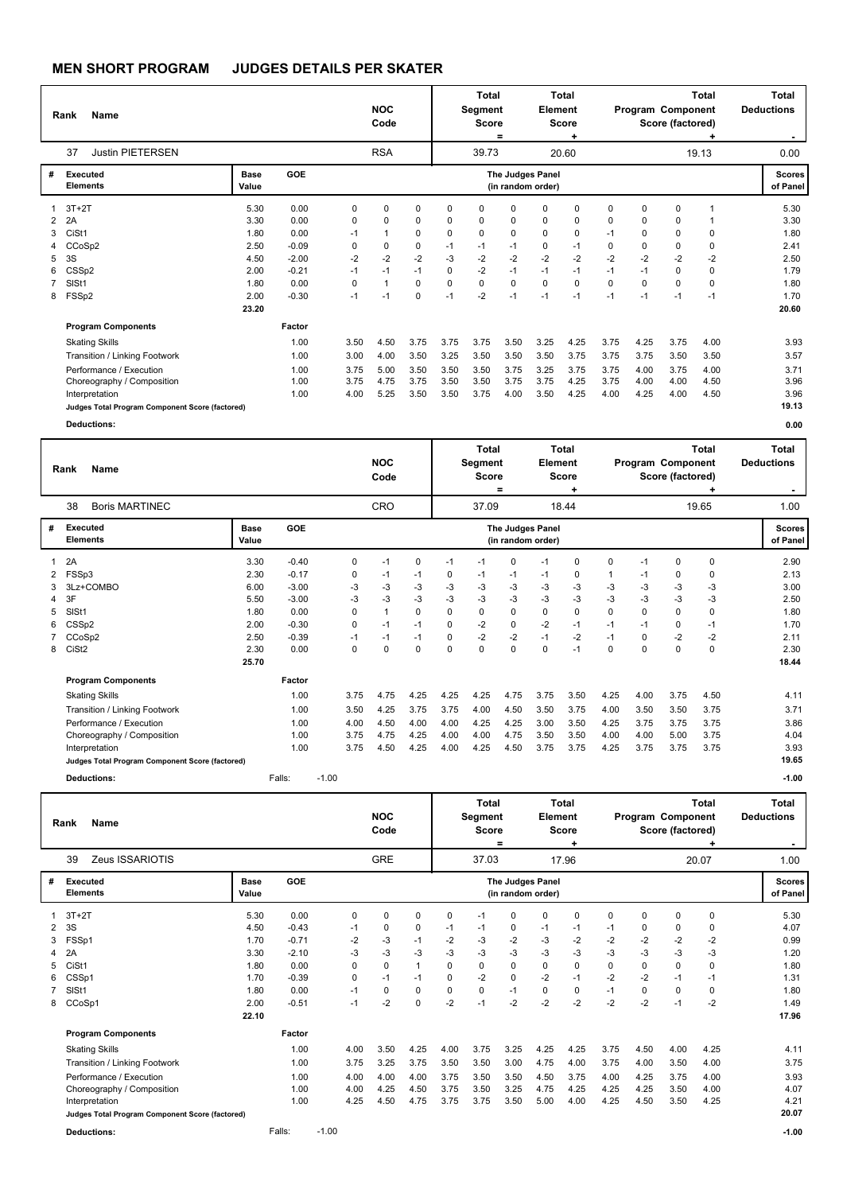| Name<br>Rank |                                                 |               |            |      | <b>NOC</b><br>Code |             |          | <b>Total</b><br>Segment<br><b>Score</b><br>$=$ |                                       | Total<br>Element<br><b>Score</b><br>۰ |          |             | Program Component | <b>Total</b><br>Score (factored) | Total<br><b>Deductions</b><br>. . |                           |
|--------------|-------------------------------------------------|---------------|------------|------|--------------------|-------------|----------|------------------------------------------------|---------------------------------------|---------------------------------------|----------|-------------|-------------------|----------------------------------|-----------------------------------|---------------------------|
|              | 37<br><b>Justin PIETERSEN</b>                   |               | <b>RSA</b> |      |                    | 39.73       |          |                                                | 20.60                                 |                                       |          | 19.13       | 0.00              |                                  |                                   |                           |
| #            | <b>Executed</b><br><b>Elements</b>              | Base<br>Value | GOE        |      |                    |             |          |                                                | The Judges Panel<br>(in random order) |                                       |          |             |                   |                                  |                                   | <b>Scores</b><br>of Panel |
|              | $3T+2T$                                         | 5.30          | 0.00       | 0    | 0                  | 0           | $\Omega$ | $\Omega$                                       | 0                                     | $\Omega$                              | 0        | $\Omega$    | $\Omega$          | 0                                | 1                                 | 5.30                      |
| 2            | 2A                                              | 3.30          | 0.00       | 0    | 0                  | 0           | 0        | 0                                              | 0                                     | 0                                     | 0        | $\Omega$    | $\Omega$          | 0                                | 1                                 | 3.30                      |
| 3            | CiSt1                                           | 1.80          | 0.00       | $-1$ | 1                  | 0           | 0        | 0                                              | 0                                     | 0                                     | 0        | $-1$        | 0                 | 0                                | 0                                 | 1.80                      |
| 4            | CCoSp2                                          | 2.50          | $-0.09$    | 0    | 0                  | 0           | $-1$     | $-1$                                           | $-1$                                  | 0                                     | $-1$     | $\mathbf 0$ | 0                 | 0                                | 0                                 | 2.41                      |
| 5            | 3S                                              | 4.50          | $-2.00$    | -2   | $-2$               | $-2$        | $-3$     | $-2$                                           | $-2$                                  | $-2$                                  | $-2$     | $-2$        | $-2$              | $-2$                             | $-2$                              | 2.50                      |
| 6            | CSSp2                                           | 2.00          | $-0.21$    | $-1$ | $-1$               | $-1$        | 0        | $-2$                                           | $-1$                                  | $-1$                                  | $-1$     | $-1$        | $-1$              | 0                                | 0                                 | 1.79                      |
|              | SISt1                                           | 1.80          | 0.00       | 0    | 1                  | $\Omega$    | $\Omega$ | $\Omega$                                       | 0                                     | $\Omega$                              | $\Omega$ | $\Omega$    | $\Omega$          | $\Omega$                         | $\Omega$                          | 1.80                      |
| 8            | FSSp2                                           | 2.00          | $-0.30$    | $-1$ | $-1$               | $\mathbf 0$ | $-1$     | $-2$                                           | $-1$                                  | $-1$                                  | $-1$     | $-1$        | -1                | $-1$                             | $-1$                              | 1.70                      |
|              |                                                 | 23.20         |            |      |                    |             |          |                                                |                                       |                                       |          |             |                   |                                  |                                   | 20.60                     |
|              | <b>Program Components</b>                       |               | Factor     |      |                    |             |          |                                                |                                       |                                       |          |             |                   |                                  |                                   |                           |
|              | <b>Skating Skills</b>                           |               | 1.00       | 3.50 | 4.50               | 3.75        | 3.75     | 3.75                                           | 3.50                                  | 3.25                                  | 4.25     | 3.75        | 4.25              | 3.75                             | 4.00                              | 3.93                      |
|              | Transition / Linking Footwork                   |               | 1.00       | 3.00 | 4.00               | 3.50        | 3.25     | 3.50                                           | 3.50                                  | 3.50                                  | 3.75     | 3.75        | 3.75              | 3.50                             | 3.50                              | 3.57                      |
|              | Performance / Execution                         |               | 1.00       | 3.75 | 5.00               | 3.50        | 3.50     | 3.50                                           | 3.75                                  | 3.25                                  | 3.75     | 3.75        | 4.00              | 3.75                             | 4.00                              | 3.71                      |
|              | Choreography / Composition                      |               | 1.00       | 3.75 | 4.75               | 3.75        | 3.50     | 3.50                                           | 3.75                                  | 3.75                                  | 4.25     | 3.75        | 4.00              | 4.00                             | 4.50                              | 3.96                      |
|              | Interpretation                                  |               | 1.00       | 4.00 | 5.25               | 3.50        | 3.50     | 3.75                                           | 4.00                                  | 3.50                                  | 4.25     | 4.00        | 4.25              | 4.00                             | 4.50                              | 3.96                      |
|              | Judges Total Program Component Score (factored) |               |            |      |                    |             |          |                                                |                                       |                                       |          |             |                   |                                  |                                   | 19.13                     |
|              | <b>Deductions:</b>                              |               |            |      |                    |             |          |                                                |                                       |                                       |          |             |                   |                                  |                                   | 0.00                      |

|   | <b>Name</b><br>Rank                             |               |            |         | <b>NOC</b><br>Code |          |             |      | Total<br>Segment<br><b>Score</b><br>$=$ |          |                                       | Total<br>Element<br><b>Score</b><br>÷ |          | Program Component | Total<br>Score (factored) | Total<br><b>Deductions</b> |                           |
|---|-------------------------------------------------|---------------|------------|---------|--------------------|----------|-------------|------|-----------------------------------------|----------|---------------------------------------|---------------------------------------|----------|-------------------|---------------------------|----------------------------|---------------------------|
|   | 38<br><b>Boris MARTINEC</b>                     |               |            |         |                    | CRO      |             |      | 37.09                                   |          |                                       | 18.44                                 |          |                   |                           | 19.65                      | 1.00                      |
| # | Executed<br><b>Elements</b>                     | Base<br>Value | <b>GOE</b> |         |                    |          |             |      |                                         |          | The Judges Panel<br>(in random order) |                                       |          |                   |                           |                            | <b>Scores</b><br>of Panel |
|   | 2A                                              | 3.30          | $-0.40$    |         | 0                  | $-1$     | 0           | $-1$ | $-1$                                    | 0        | $-1$                                  | 0                                     | 0        | $-1$              | 0                         | 0                          | 2.90                      |
| 2 | FSSp3                                           | 2.30          | $-0.17$    |         | 0                  | $-1$     | $-1$        | 0    | $-1$                                    | $-1$     | $-1$                                  | 0                                     | -1       | $-1$              | 0                         | 0                          | 2.13                      |
|   | 3Lz+COMBO                                       | 6.00          | $-3.00$    |         | -3                 | -3       | -3          | $-3$ | $-3$                                    | $-3$     | -3                                    | $-3$                                  | -3       | -3                | -3                        | -3                         | 3.00                      |
| 4 | 3F                                              | 5.50          | $-3.00$    |         | -3                 | $-3$     | $-3$        | $-3$ | $-3$                                    | $-3$     | $-3$                                  | $-3$                                  | $-3$     | $-3$              | $-3$                      | -3                         | 2.50                      |
| 5 | SIS <sub>t1</sub>                               | 1.80          | 0.00       |         | 0                  |          | $\mathbf 0$ | 0    | $\pmb{0}$                               | 0        | 0                                     | 0                                     | 0        | 0                 | 0                         | 0                          | 1.80                      |
| 6 | CSSp2                                           | 2.00          | $-0.30$    |         | 0                  | $-1$     | $-1$        | 0    | $-2$                                    | 0        | $-2$                                  | $-1$                                  | $-1$     | $-1$              | 0                         | $-1$                       | 1.70                      |
|   | CCoSp2                                          | 2.50          | $-0.39$    |         | $-1$               | $-1$     | $-1$        | 0    | $-2$                                    | $-2$     | $-1$                                  | $-2$                                  | $-1$     | 0                 | $-2$                      | $-2$                       | 2.11                      |
| 8 | CiSt <sub>2</sub>                               | 2.30          | 0.00       |         | 0                  | $\Omega$ | 0           | 0    | $\mathbf 0$                             | $\Omega$ | $\Omega$                              | $-1$                                  | $\Omega$ | $\Omega$          | 0                         | $\mathbf 0$                | 2.30                      |
|   |                                                 | 25.70         |            |         |                    |          |             |      |                                         |          |                                       |                                       |          |                   |                           |                            | 18.44                     |
|   | <b>Program Components</b>                       |               | Factor     |         |                    |          |             |      |                                         |          |                                       |                                       |          |                   |                           |                            |                           |
|   | <b>Skating Skills</b>                           |               | 1.00       |         | 3.75               | 4.75     | 4.25        | 4.25 | 4.25                                    | 4.75     | 3.75                                  | 3.50                                  | 4.25     | 4.00              | 3.75                      | 4.50                       | 4.11                      |
|   | Transition / Linking Footwork                   |               | 1.00       |         | 3.50               | 4.25     | 3.75        | 3.75 | 4.00                                    | 4.50     | 3.50                                  | 3.75                                  | 4.00     | 3.50              | 3.50                      | 3.75                       | 3.71                      |
|   | Performance / Execution                         |               | 1.00       |         | 4.00               | 4.50     | 4.00        | 4.00 | 4.25                                    | 4.25     | 3.00                                  | 3.50                                  | 4.25     | 3.75              | 3.75                      | 3.75                       | 3.86                      |
|   | Choreography / Composition                      |               | 1.00       |         | 3.75               | 4.75     | 4.25        | 4.00 | 4.00                                    | 4.75     | 3.50                                  | 3.50                                  | 4.00     | 4.00              | 5.00                      | 3.75                       | 4.04                      |
|   | Interpretation                                  |               | 1.00       |         | 3.75               | 4.50     | 4.25        | 4.00 | 4.25                                    | 4.50     | 3.75                                  | 3.75                                  | 4.25     | 3.75              | 3.75                      | 3.75                       | 3.93                      |
|   | Judges Total Program Component Score (factored) |               |            |         |                    |          |             |      |                                         |          |                                       |                                       |          |                   |                           |                            | 19.65                     |
|   | <b>Deductions:</b>                              |               | Falls:     | $-1.00$ |                    |          |             |      |                                         |          |                                       |                                       |          |                   |                           |                            | $-1.00$                   |

Τ

| <b>Name</b><br>Rank |                                                 |               |            |         | <b>NOC</b><br>Code |             |              | Total<br>Segment<br><b>Score</b><br>= |       | Total<br>Element<br><b>Score</b><br>٠ |                  |       | Program Component | <b>Total</b><br>Score (factored) | Total<br><b>Deductions</b><br>. . |       |                           |
|---------------------|-------------------------------------------------|---------------|------------|---------|--------------------|-------------|--------------|---------------------------------------|-------|---------------------------------------|------------------|-------|-------------------|----------------------------------|-----------------------------------|-------|---------------------------|
|                     | Zeus ISSARIOTIS<br>39                           |               |            |         |                    | <b>GRE</b>  |              |                                       | 37.03 |                                       |                  | 17.96 |                   |                                  |                                   | 20.07 | 1.00                      |
| #                   | Executed<br><b>Elements</b>                     | Base<br>Value | <b>GOE</b> |         |                    |             |              |                                       |       | (in random order)                     | The Judges Panel |       |                   |                                  |                                   |       | <b>Scores</b><br>of Panel |
|                     | $3T+2T$                                         | 5.30          | 0.00       |         | 0                  | $\Omega$    | 0            | $\Omega$                              | $-1$  | 0                                     | $\mathbf 0$      | 0     | $\Omega$          | $\Omega$                         | 0                                 | 0     | 5.30                      |
| 2                   | 3S                                              | 4.50          | $-0.43$    |         | $-1$               | $\mathbf 0$ | 0            | $-1$                                  | $-1$  | 0                                     | $-1$             | $-1$  | $-1$              | 0                                | 0                                 | 0     | 4.07                      |
| 3                   | FSSp1                                           | 1.70          | $-0.71$    |         | $-2$               | $-3$        | $-1$         | $-2$                                  | -3    | $-2$                                  | -3               | $-2$  | $-2$              | $-2$                             | $-2$                              | $-2$  | 0.99                      |
| 4                   | 2A                                              | 3.30          | $-2.10$    |         | $-3$               | -3          | $-3$         | $-3$                                  | $-3$  | $-3$                                  | $-3$             | $-3$  | $-3$              | $-3$                             | $-3$                              | $-3$  | 1.20                      |
| 5.                  | CiSt1                                           | 1.80          | 0.00       |         | 0                  | $\mathbf 0$ | $\mathbf{1}$ | 0                                     | 0     | 0                                     | 0                | 0     | 0                 | 0                                | 0                                 | 0     | 1.80                      |
| 6                   | CSSp1                                           | 1.70          | $-0.39$    |         | 0                  | $-1$        | $-1$         | $\Omega$                              | $-2$  | 0                                     | $-2$             | $-1$  | $-2$              | $-2$                             | $-1$                              | $-1$  | 1.31                      |
|                     | SISt1                                           | 1.80          | 0.00       |         | $-1$               | $\mathbf 0$ | 0            | 0                                     | 0     | $-1$                                  | 0                | 0     | $-1$              | $\Omega$                         | 0                                 | 0     | 1.80                      |
| 8                   | CCoSp1                                          | 2.00          | $-0.51$    |         | $-1$               | $-2$        | $\mathbf 0$  | $-2$                                  | $-1$  | $-2$                                  | $-2$             | $-2$  | $-2$              | $-2$                             | $-1$                              | $-2$  | 1.49                      |
|                     |                                                 | 22.10         |            |         |                    |             |              |                                       |       |                                       |                  |       |                   |                                  |                                   |       | 17.96                     |
|                     | <b>Program Components</b>                       |               | Factor     |         |                    |             |              |                                       |       |                                       |                  |       |                   |                                  |                                   |       |                           |
|                     | <b>Skating Skills</b>                           |               | 1.00       |         | 4.00               | 3.50        | 4.25         | 4.00                                  | 3.75  | 3.25                                  | 4.25             | 4.25  | 3.75              | 4.50                             | 4.00                              | 4.25  | 4.11                      |
|                     | Transition / Linking Footwork                   |               | 1.00       |         | 3.75               | 3.25        | 3.75         | 3.50                                  | 3.50  | 3.00                                  | 4.75             | 4.00  | 3.75              | 4.00                             | 3.50                              | 4.00  | 3.75                      |
|                     | Performance / Execution                         |               | 1.00       |         | 4.00               | 4.00        | 4.00         | 3.75                                  | 3.50  | 3.50                                  | 4.50             | 3.75  | 4.00              | 4.25                             | 3.75                              | 4.00  | 3.93                      |
|                     | Choreography / Composition                      |               | 1.00       |         | 4.00               | 4.25        | 4.50         | 3.75                                  | 3.50  | 3.25                                  | 4.75             | 4.25  | 4.25              | 4.25                             | 3.50                              | 4.00  | 4.07                      |
|                     | Interpretation                                  |               | 1.00       |         | 4.25               | 4.50        | 4.75         | 3.75                                  | 3.75  | 3.50                                  | 5.00             | 4.00  | 4.25              | 4.50                             | 3.50                              | 4.25  | 4.21                      |
|                     | Judges Total Program Component Score (factored) |               |            |         |                    |             |              |                                       |       |                                       |                  |       |                   |                                  |                                   |       | 20.07                     |
|                     | <b>Deductions:</b>                              |               | Falls:     | $-1.00$ |                    |             |              |                                       |       |                                       |                  |       |                   |                                  |                                   |       | $-1.00$                   |